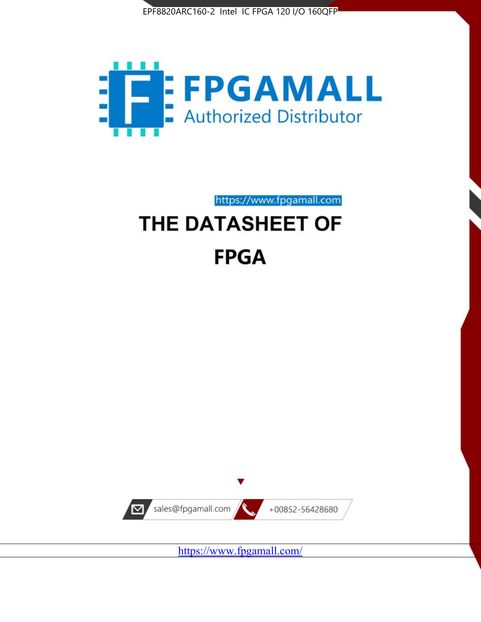



https://www.fpgamall.com

# THE DATASHEET OF **FPGA**



<https://www.fpgamall.com/>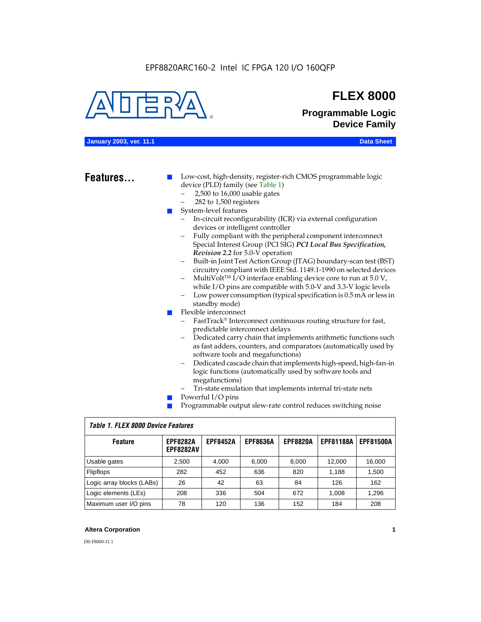

## **FLEX 8000**

**Programmable Logic Device Family**

### **January 2003, ver. 11.1 Data Sheet**

### Features...

Low-cost, high-density, register-rich CMOS programmable logic device (PLD) family (see Table 1)

- 2,500 to 16,000 usable gates
- 282 to 1,500 registers
- System-level features
	- In-circuit reconfigurability (ICR) via external configuration devices or intelligent controller
	- Fully compliant with the peripheral component interconnect Special Interest Group (PCI SIG) *PCI Local Bus Specification, Revision 2.2* for 5.0-V operation
	- Built-in Joint Test Action Group (JTAG) boundary-scan test (BST) circuitry compliant with IEEE Std. 1149.1-1990 on selected devices
	- MultiVolt<sup>™</sup> I/O interface enabling device core to run at  $5.0 V$ , while I/O pins are compatible with 5.0-V and 3.3-V logic levels
	- Low power consumption (typical specification is 0.5 mA or less in standby mode)
- Flexible interconnect
	- FastTrack<sup>®</sup> Interconnect continuous routing structure for fast, predictable interconnect delays
	- Dedicated carry chain that implements arithmetic functions such as fast adders, counters, and comparators (automatically used by software tools and megafunctions)
	- Dedicated cascade chain that implements high-speed, high-fan-in logic functions (automatically used by software tools and megafunctions)
	- Tri-state emulation that implements internal tri-state nets
- Powerful I/O pins
- Programmable output slew-rate control reduces switching noise

| <b>Feature</b>            | <b>EPF8282A</b><br><b>EPF8282AV</b> | <b>EPF8452A</b> | <b>EPF8636A</b> | <b>EPF8820A</b> | <b>EPF81188A</b> | <b>EPF81500A</b> |  |  |  |  |  |
|---------------------------|-------------------------------------|-----------------|-----------------|-----------------|------------------|------------------|--|--|--|--|--|
| Usable gates              | 2,500                               | 4.000           | 6,000           | 8,000           | 12.000           | 16,000           |  |  |  |  |  |
| <b>Flipflops</b>          | 282                                 | 452             | 636             | 820             | 1.188            | 1,500            |  |  |  |  |  |
| Logic array blocks (LABs) | 26                                  | 42              | 63              | 84              | 126              | 162              |  |  |  |  |  |
| Logic elements (LEs)      | 208                                 | 336             | 504             | 672             | 1.008            | 1,296            |  |  |  |  |  |
| Maximum user I/O pins     | 78                                  | 120             | 136             | 152             | 184              | 208              |  |  |  |  |  |

### *Table 1. FLEX 8000 Device Features*

### **Altera Corporation 1**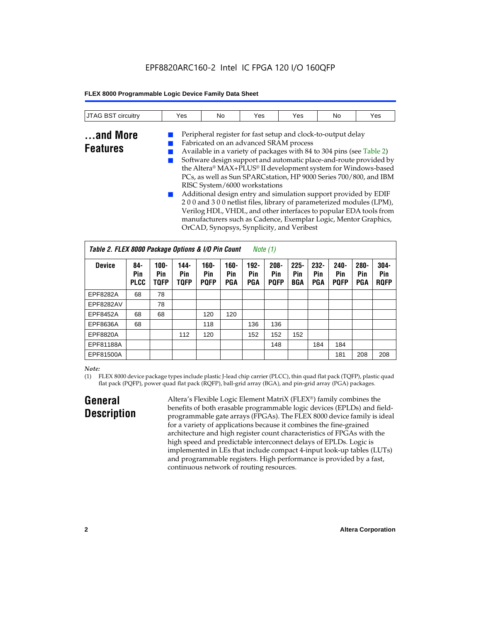### EPF8820ARC160-2 Intel IC FPGA 120 I/O 160QFP

### **FLEX 8000 Programmable Logic Device Family Data Sheet**

| <b>JTAG BST circuitry</b>   | Yes | No | Yes                                    | Yes                                                                                                                                  | No | Yes |
|-----------------------------|-----|----|----------------------------------------|--------------------------------------------------------------------------------------------------------------------------------------|----|-----|
| and More<br><b>Features</b> |     |    | Fabricated on an advanced SRAM process | Peripheral register for fast setup and clock-to-output delay<br>Available in a variety of packages with 84 to 304 pins (see Table 2) |    |     |

Software design support and automatic place-and-route provided by the Altera® MAX+PLUS® II development system for Windows-based PCs, as well as Sun SPARCstation, HP 9000 Series 700/800, and IBM RISC System/6000 workstations

Additional design entry and simulation support provided by EDIF 2 0 0 and 3 0 0 netlist files, library of parameterized modules (LPM), Verilog HDL, VHDL, and other interfaces to popular EDA tools from manufacturers such as Cadence, Exemplar Logic, Mentor Graphics, OrCAD, Synopsys, Synplicity, and Veribest

| Table 2. FLEX 8000 Package Options & I/O Pin Count<br>Note $(1)$ |                           |                               |                            |                            |                       |                              |                               |                              |                              |                               |                              |                               |
|------------------------------------------------------------------|---------------------------|-------------------------------|----------------------------|----------------------------|-----------------------|------------------------------|-------------------------------|------------------------------|------------------------------|-------------------------------|------------------------------|-------------------------------|
| <b>Device</b>                                                    | 84-<br>Pin<br><b>PLCC</b> | $100 -$<br>Pin<br><b>TOFP</b> | 144-<br>Pin<br><b>TQFP</b> | 160-<br>Pin<br><b>PQFP</b> | $160 -$<br>Pin<br>PGA | $192 -$<br>Pin<br><b>PGA</b> | $208 -$<br>Pin<br><b>PQFP</b> | $225 -$<br>Pin<br><b>BGA</b> | $232 -$<br>Pin<br><b>PGA</b> | $240 -$<br>Pin<br><b>PQFP</b> | $280 -$<br>Pin<br><b>PGA</b> | $304 -$<br>Pin<br><b>ROFP</b> |
| EPF8282A                                                         | 68                        | 78                            |                            |                            |                       |                              |                               |                              |                              |                               |                              |                               |
| EPF8282AV                                                        |                           | 78                            |                            |                            |                       |                              |                               |                              |                              |                               |                              |                               |
| EPF8452A                                                         | 68                        | 68                            |                            | 120                        | 120                   |                              |                               |                              |                              |                               |                              |                               |
| EPF8636A                                                         | 68                        |                               |                            | 118                        |                       | 136                          | 136                           |                              |                              |                               |                              |                               |
| EPF8820A                                                         |                           |                               | 112                        | 120                        |                       | 152                          | 152                           | 152                          |                              |                               |                              |                               |
| EPF81188A                                                        |                           |                               |                            |                            |                       |                              | 148                           |                              | 184                          | 184                           |                              |                               |
| EPF81500A                                                        |                           |                               |                            |                            |                       |                              |                               |                              |                              | 181                           | 208                          | 208                           |

### *Note:*

(1) FLEX 8000 device package types include plastic J-lead chip carrier (PLCC), thin quad flat pack (TQFP), plastic quad flat pack (PQFP), power quad flat pack (RQFP), ball-grid array (BGA), and pin-grid array (PGA) packages.

### **General Description**

Altera's Flexible Logic Element MatriX (FLEX®) family combines the benefits of both erasable programmable logic devices (EPLDs) and fieldprogrammable gate arrays (FPGAs). The FLEX 8000 device family is ideal for a variety of applications because it combines the fine-grained architecture and high register count characteristics of FPGAs with the high speed and predictable interconnect delays of EPLDs. Logic is implemented in LEs that include compact 4-input look-up tables (LUTs) and programmable registers. High performance is provided by a fast, continuous network of routing resources.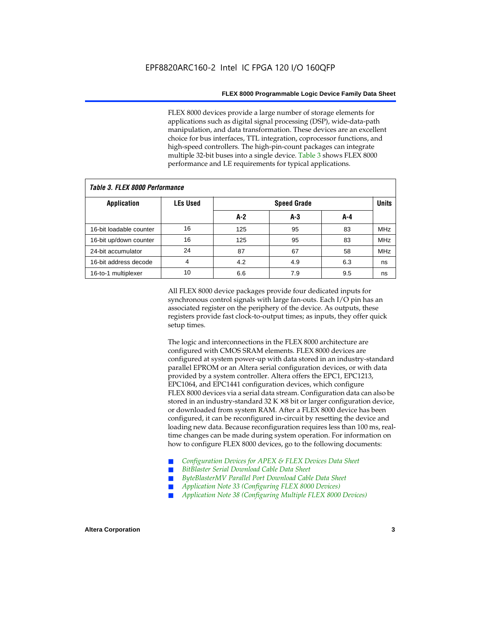FLEX 8000 devices provide a large number of storage elements for applications such as digital signal processing (DSP), wide-data-path manipulation, and data transformation. These devices are an excellent choice for bus interfaces, TTL integration, coprocessor functions, and high-speed controllers. The high-pin-count packages can integrate multiple 32-bit buses into a single device. Table 3 shows FLEX 8000 performance and LE requirements for typical applications.

| Tadie J. Flea Quuu Feituitiiaiige |                 |       |                    |     |            |  |  |  |  |  |  |
|-----------------------------------|-----------------|-------|--------------------|-----|------------|--|--|--|--|--|--|
| <b>Application</b>                | <b>LEs Used</b> |       | <b>Speed Grade</b> |     |            |  |  |  |  |  |  |
|                                   |                 | $A-2$ | A-3                | A-4 |            |  |  |  |  |  |  |
| 16-bit loadable counter           | 16              | 125   | 95                 | 83  | <b>MHz</b> |  |  |  |  |  |  |
| 16-bit up/down counter            | 16              | 125   | 95                 | 83  | <b>MHz</b> |  |  |  |  |  |  |
| 24-bit accumulator                | 24              | 87    | 67                 | 58  | <b>MHz</b> |  |  |  |  |  |  |
| 16-bit address decode             | 4               | 4.2   | 4.9                | 6.3 | ns         |  |  |  |  |  |  |
| 16-to-1 multiplexer               | 10              | 6.6   | 7.9                | 9.5 | ns         |  |  |  |  |  |  |

*Table 3. FLEX 8000 Performance*

All FLEX 8000 device packages provide four dedicated inputs for synchronous control signals with large fan-outs. Each I/O pin has an associated register on the periphery of the device. As outputs, these registers provide fast clock-to-output times; as inputs, they offer quick setup times.

The logic and interconnections in the FLEX 8000 architecture are configured with CMOS SRAM elements. FLEX 8000 devices are configured at system power-up with data stored in an industry-standard parallel EPROM or an Altera serial configuration devices, or with data provided by a system controller. Altera offers the EPC1, EPC1213, EPC1064, and EPC1441 configuration devices, which configure FLEX 8000 devices via a serial data stream. Configuration data can also be stored in an industry-standard  $32 K \times 8$  bit or larger configuration device, or downloaded from system RAM. After a FLEX 8000 device has been configured, it can be reconfigured in-circuit by resetting the device and loading new data. Because reconfiguration requires less than 100 ms, realtime changes can be made during system operation. For information on how to configure FLEX 8000 devices, go to the following documents:

- Configuration Devices for APEX & FLEX Devices Data Sheet
- $BitBlaster$  Serial Download Cable Data Sheet
- ByteBlasterMV Parallel Port Download Cable Data Sheet
- *Application Note 33 (Configuring FLEX 8000 Devices)*
- *Application Note 38 (Configuring Multiple FLEX 8000 Devices)*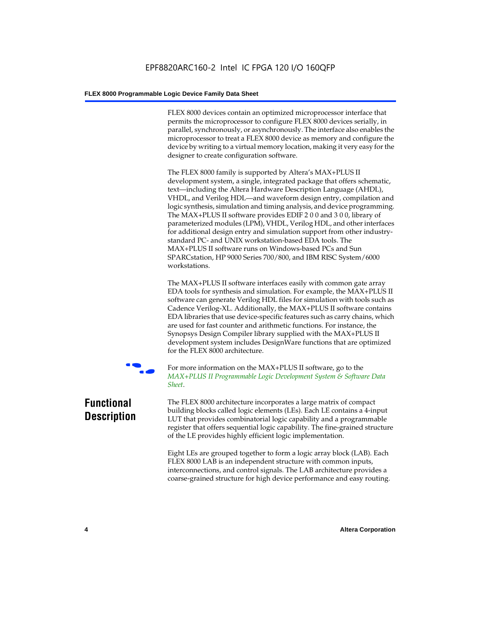FLEX 8000 devices contain an optimized microprocessor interface that permits the microprocessor to configure FLEX 8000 devices serially, in parallel, synchronously, or asynchronously. The interface also enables the microprocessor to treat a FLEX 8000 device as memory and configure the device by writing to a virtual memory location, making it very easy for the designer to create configuration software.

The FLEX 8000 family is supported by Altera's MAX+PLUS II development system, a single, integrated package that offers schematic, text—including the Altera Hardware Description Language (AHDL), VHDL, and Verilog HDL—and waveform design entry, compilation and logic synthesis, simulation and timing analysis, and device programming. The MAX+PLUS II software provides EDIF 2 0 0 and 3 0 0, library of parameterized modules (LPM), VHDL, Verilog HDL, and other interfaces for additional design entry and simulation support from other industrystandard PC- and UNIX workstation-based EDA tools. The MAX+PLUS II software runs on Windows-based PCs and Sun SPARCstation, HP 9000 Series 700/800, and IBM RISC System/6000 workstations.

The MAX+PLUS II software interfaces easily with common gate array EDA tools for synthesis and simulation. For example, the MAX+PLUS II software can generate Verilog HDL files for simulation with tools such as Cadence Verilog-XL. Additionally, the MAX+PLUS II software contains EDA libraries that use device-specific features such as carry chains, which are used for fast counter and arithmetic functions. For instance, the Synopsys Design Compiler library supplied with the MAX+PLUS II development system includes DesignWare functions that are optimized for the FLEX 8000 architecture.



For more information on the MAX+PLUS II software, go to the *MAX+PLUS II Programmable Logic Development System & Software Data Sheet*.

### **Functional Description**

The FLEX 8000 architecture incorporates a large matrix of compact building blocks called logic elements (LEs). Each LE contains a 4-input LUT that provides combinatorial logic capability and a programmable register that offers sequential logic capability. The fine-grained structure of the LE provides highly efficient logic implementation.

Eight LEs are grouped together to form a logic array block (LAB). Each FLEX 8000 LAB is an independent structure with common inputs, interconnections, and control signals. The LAB architecture provides a coarse-grained structure for high device performance and easy routing.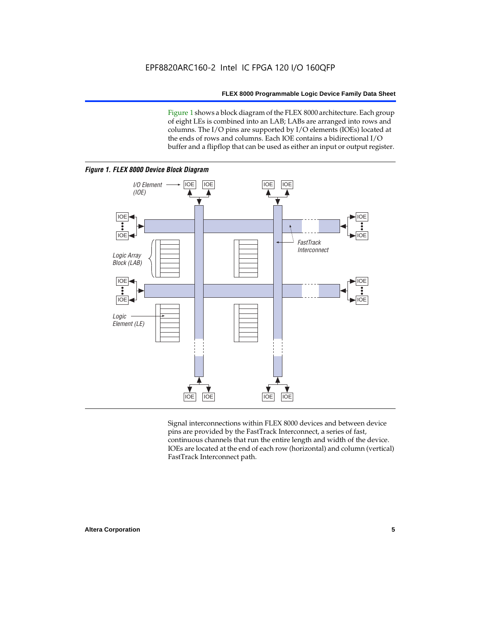Figure 1 shows a block diagram of the FLEX 8000 architecture. Each group of eight LEs is combined into an LAB; LABs are arranged into rows and columns. The I/O pins are supported by I/O elements (IOEs) located at the ends of rows and columns. Each IOE contains a bidirectional I/O buffer and a flipflop that can be used as either an input or output register.



Signal interconnections within FLEX 8000 devices and between device pins are provided by the FastTrack Interconnect, a series of fast, continuous channels that run the entire length and width of the device. IOEs are located at the end of each row (horizontal) and column (vertical) FastTrack Interconnect path.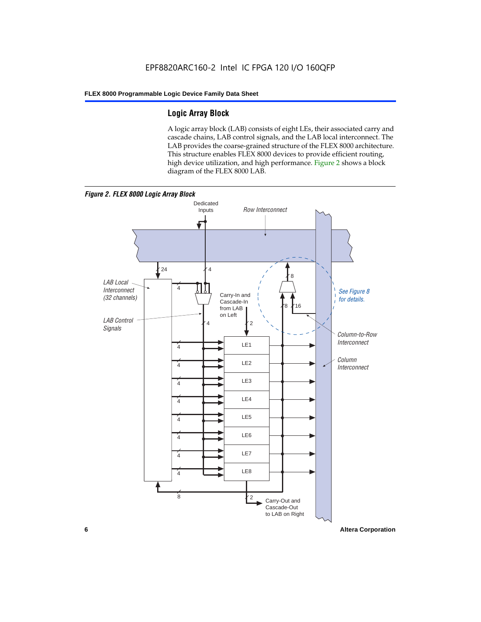### **Logic Array Block**

A logic array block (LAB) consists of eight LEs, their associated carry and cascade chains, LAB control signals, and the LAB local interconnect. The LAB provides the coarse-grained structure of the FLEX 8000 architecture. This structure enables FLEX 8000 devices to provide efficient routing, high device utilization, and high performance. Figure 2 shows a block diagram of the FLEX 8000 LAB.



**6 Altera Corporation**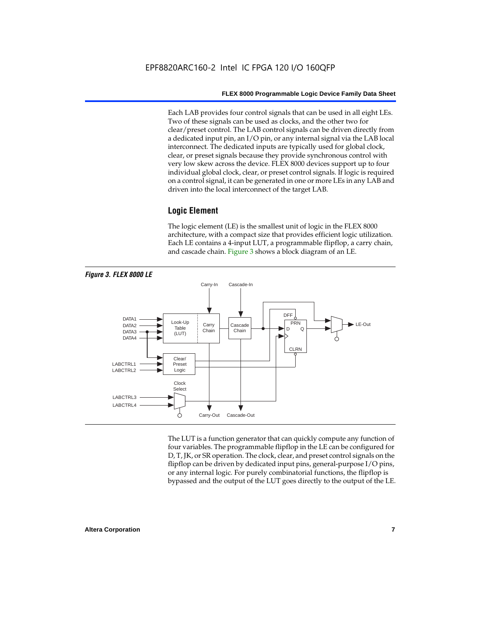Each LAB provides four control signals that can be used in all eight LEs. Two of these signals can be used as clocks, and the other two for clear/preset control. The LAB control signals can be driven directly from a dedicated input pin, an I/O pin, or any internal signal via the LAB local interconnect. The dedicated inputs are typically used for global clock, clear, or preset signals because they provide synchronous control with very low skew across the device. FLEX 8000 devices support up to four individual global clock, clear, or preset control signals. If logic is required on a control signal, it can be generated in one or more LEs in any LAB and driven into the local interconnect of the target LAB.

### **Logic Element**

The logic element (LE) is the smallest unit of logic in the FLEX 8000 architecture, with a compact size that provides efficient logic utilization. Each LE contains a 4-input LUT, a programmable flipflop, a carry chain, and cascade chain. Figure 3 shows a block diagram of an LE.



The LUT is a function generator that can quickly compute any function of four variables. The programmable flipflop in the LE can be configured for D, T, JK, or SR operation. The clock, clear, and preset control signals on the flipflop can be driven by dedicated input pins, general-purpose I/O pins, or any internal logic. For purely combinatorial functions, the flipflop is bypassed and the output of the LUT goes directly to the output of the LE.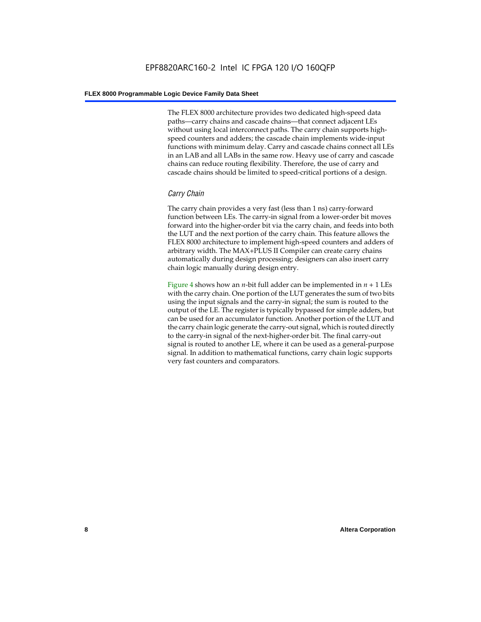The FLEX 8000 architecture provides two dedicated high-speed data paths—carry chains and cascade chains—that connect adjacent LEs without using local interconnect paths. The carry chain supports highspeed counters and adders; the cascade chain implements wide-input functions with minimum delay. Carry and cascade chains connect all LEs in an LAB and all LABs in the same row. Heavy use of carry and cascade chains can reduce routing flexibility. Therefore, the use of carry and cascade chains should be limited to speed-critical portions of a design.

### *Carry Chain*

The carry chain provides a very fast (less than 1 ns) carry-forward function between LEs. The carry-in signal from a lower-order bit moves forward into the higher-order bit via the carry chain, and feeds into both the LUT and the next portion of the carry chain. This feature allows the FLEX 8000 architecture to implement high-speed counters and adders of arbitrary width. The MAX+PLUS II Compiler can create carry chains automatically during design processing; designers can also insert carry chain logic manually during design entry.

Figure 4 shows how an *n*-bit full adder can be implemented in *n* + 1 LEs with the carry chain. One portion of the LUT generates the sum of two bits using the input signals and the carry-in signal; the sum is routed to the output of the LE. The register is typically bypassed for simple adders, but can be used for an accumulator function. Another portion of the LUT and the carry chain logic generate the carry-out signal, which is routed directly to the carry-in signal of the next-higher-order bit. The final carry-out signal is routed to another LE, where it can be used as a general-purpose signal. In addition to mathematical functions, carry chain logic supports very fast counters and comparators.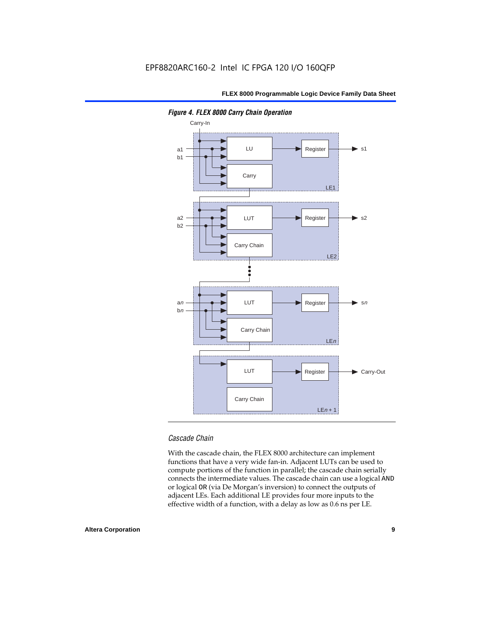

*Figure 4. FLEX 8000 Carry Chain Operation*

### *Cascade Chain*

With the cascade chain, the FLEX 8000 architecture can implement functions that have a very wide fan-in. Adjacent LUTs can be used to compute portions of the function in parallel; the cascade chain serially connects the intermediate values. The cascade chain can use a logical AND or logical OR (via De Morgan's inversion) to connect the outputs of adjacent LEs. Each additional LE provides four more inputs to the effective width of a function, with a delay as low as 0.6 ns per LE.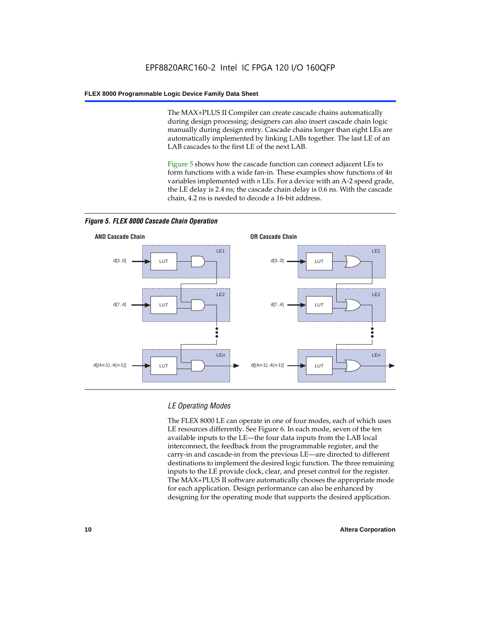The MAX+PLUS II Compiler can create cascade chains automatically during design processing; designers can also insert cascade chain logic manually during design entry. Cascade chains longer than eight LEs are automatically implemented by linking LABs together. The last LE of an LAB cascades to the first LE of the next LAB.

Figure 5 shows how the cascade function can connect adjacent LEs to form functions with a wide fan-in. These examples show functions of 4*n* variables implemented with *n* LEs. For a device with an A-2 speed grade, the LE delay is 2.4 ns; the cascade chain delay is 0.6 ns. With the cascade chain, 4.2 ns is needed to decode a 16-bit address.



*Figure 5. FLEX 8000 Cascade Chain Operation*

### *LE Operating Modes*

The FLEX 8000 LE can operate in one of four modes, each of which uses LE resources differently. See Figure 6. In each mode, seven of the ten available inputs to the LE—the four data inputs from the LAB local interconnect, the feedback from the programmable register, and the carry-in and cascade-in from the previous LE—are directed to different destinations to implement the desired logic function. The three remaining inputs to the LE provide clock, clear, and preset control for the register. The MAX+PLUS II software automatically chooses the appropriate mode for each application. Design performance can also be enhanced by designing for the operating mode that supports the desired application.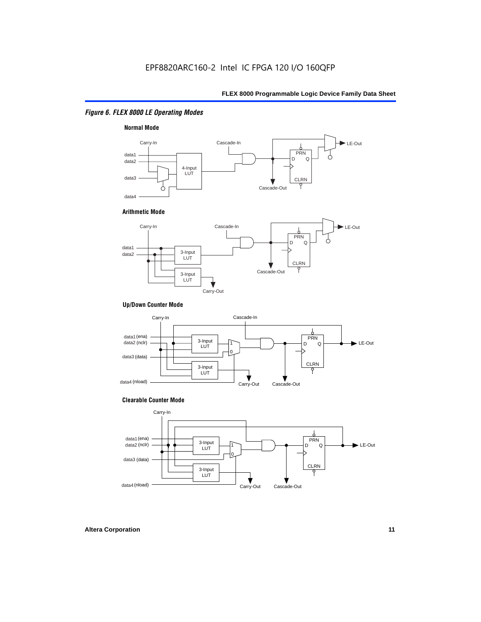### *Figure 6. FLEX 8000 LE Operating Modes*



#### **Arithmetic Mode**



### **Up/Down Counter Mode**



#### **Clearable Counter Mode**

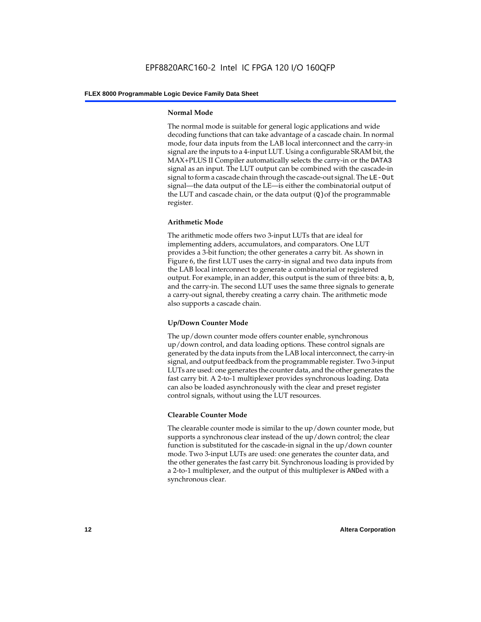### **Normal Mode**

The normal mode is suitable for general logic applications and wide decoding functions that can take advantage of a cascade chain. In normal mode, four data inputs from the LAB local interconnect and the carry-in signal are the inputs to a 4-input LUT. Using a configurable SRAM bit, the MAX+PLUS II Compiler automatically selects the carry-in or the DATA3 signal as an input. The LUT output can be combined with the cascade-in signal to form a cascade chain through the cascade-out signal. The LE-Out signal—the data output of the LE—is either the combinatorial output of the LUT and cascade chain, or the data output  $(Q)$  of the programmable register.

### **Arithmetic Mode**

The arithmetic mode offers two 3-input LUTs that are ideal for implementing adders, accumulators, and comparators. One LUT provides a 3-bit function; the other generates a carry bit. As shown in Figure 6, the first LUT uses the carry-in signal and two data inputs from the LAB local interconnect to generate a combinatorial or registered output. For example, in an adder, this output is the sum of three bits: a, b, and the carry-in. The second LUT uses the same three signals to generate a carry-out signal, thereby creating a carry chain. The arithmetic mode also supports a cascade chain.

### **Up/Down Counter Mode**

The up/down counter mode offers counter enable, synchronous up/down control, and data loading options. These control signals are generated by the data inputs from the LAB local interconnect, the carry-in signal, and output feedback from the programmable register. Two 3-input LUTs are used: one generates the counter data, and the other generates the fast carry bit. A 2-to-1 multiplexer provides synchronous loading. Data can also be loaded asynchronously with the clear and preset register control signals, without using the LUT resources.

### **Clearable Counter Mode**

The clearable counter mode is similar to the up/down counter mode, but supports a synchronous clear instead of the up/down control; the clear function is substituted for the cascade-in signal in the up/down counter mode. Two 3-input LUTs are used: one generates the counter data, and the other generates the fast carry bit. Synchronous loading is provided by a 2-to-1 multiplexer, and the output of this multiplexer is ANDed with a synchronous clear.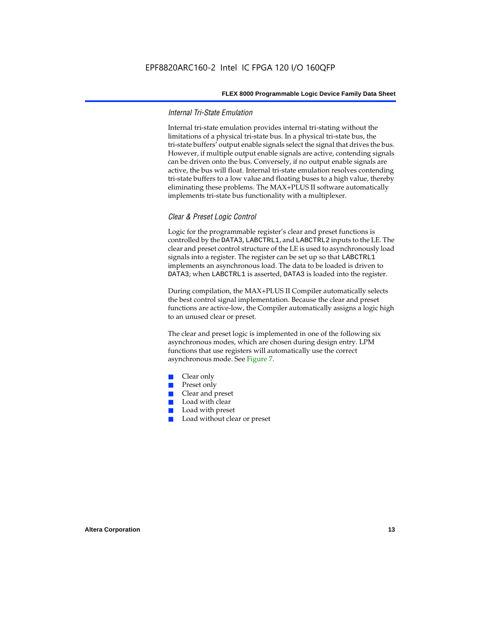### *Internal Tri-State Emulation*

Internal tri-state emulation provides internal tri-stating without the limitations of a physical tri-state bus. In a physical tri-state bus, the tri-state buffers' output enable signals select the signal that drives the bus. However, if multiple output enable signals are active, contending signals can be driven onto the bus. Conversely, if no output enable signals are active, the bus will float. Internal tri-state emulation resolves contending tri-state buffers to a low value and floating buses to a high value, thereby eliminating these problems. The MAX+PLUS II software automatically implements tri-state bus functionality with a multiplexer.

### *Clear & Preset Logic Control*

Logic for the programmable register's clear and preset functions is controlled by the DATA3, LABCTRL1, and LABCTRL2 inputs to the LE. The clear and preset control structure of the LE is used to asynchronously load signals into a register. The register can be set up so that LABCTRL1 implements an asynchronous load. The data to be loaded is driven to DATA3; when LABCTRL1 is asserted, DATA3 is loaded into the register.

During compilation, the MAX+PLUS II Compiler automatically selects the best control signal implementation. Because the clear and preset functions are active-low, the Compiler automatically assigns a logic high to an unused clear or preset.

The clear and preset logic is implemented in one of the following six asynchronous modes, which are chosen during design entry. LPM functions that use registers will automatically use the correct asynchronous mode. See Figure 7.

- Clear only
- Preset only
- Clear and preset
- Load with clear
- Load with preset
- Load without clear or preset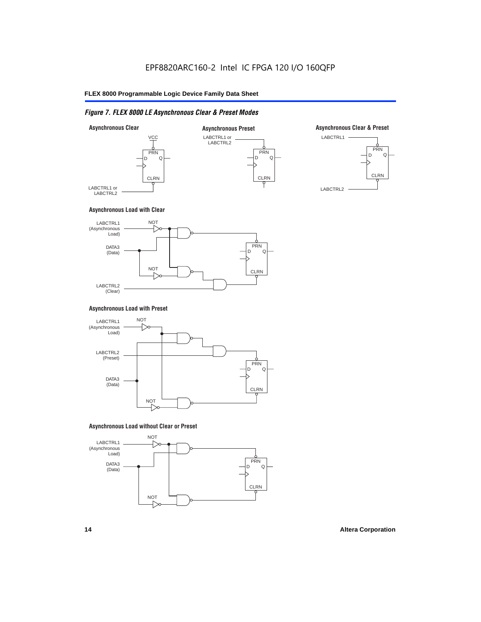### *Figure 7. FLEX 8000 LE Asynchronous Clear & Preset Modes*



### **Asynchronous Load with Clear**



### **Asynchronous Load with Preset**



### **Asynchronous Load without Clear or Preset**

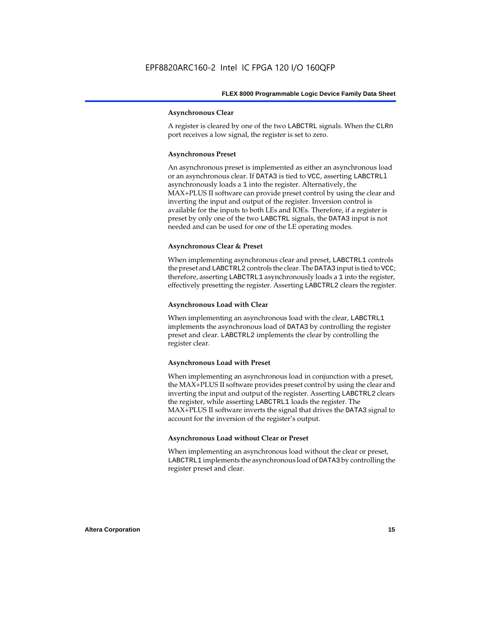### **Asynchronous Clear**

A register is cleared by one of the two LABCTRL signals. When the CLRn port receives a low signal, the register is set to zero.

### **Asynchronous Preset**

An asynchronous preset is implemented as either an asynchronous load or an asynchronous clear. If DATA3 is tied to VCC, asserting LABCTRLl asynchronously loads a 1 into the register. Alternatively, the MAX+PLUS II software can provide preset control by using the clear and inverting the input and output of the register. Inversion control is available for the inputs to both LEs and IOEs. Therefore, if a register is preset by only one of the two LABCTRL signals, the DATA3 input is not needed and can be used for one of the LE operating modes.

### **Asynchronous Clear & Preset**

When implementing asynchronous clear and preset, LABCTRL1 controls the preset and LABCTRL2 controls the clear. The DATA3 input is tied to VCC; therefore, asserting LABCTRL1 asynchronously loads a 1 into the register, effectively presetting the register. Asserting LABCTRL2 clears the register.

### **Asynchronous Load with Clear**

When implementing an asynchronous load with the clear, LABCTRL1 implements the asynchronous load of DATA3 by controlling the register preset and clear. LABCTRL2 implements the clear by controlling the register clear.

#### **Asynchronous Load with Preset**

When implementing an asynchronous load in conjunction with a preset, the MAX+PLUS II software provides preset control by using the clear and inverting the input and output of the register. Asserting LABCTRL2 clears the register, while asserting LABCTRL1 loads the register. The MAX+PLUS II software inverts the signal that drives the DATA3 signal to account for the inversion of the register's output.

### **Asynchronous Load without Clear or Preset**

When implementing an asynchronous load without the clear or preset, LABCTRL1 implements the asynchronous load of DATA3 by controlling the register preset and clear.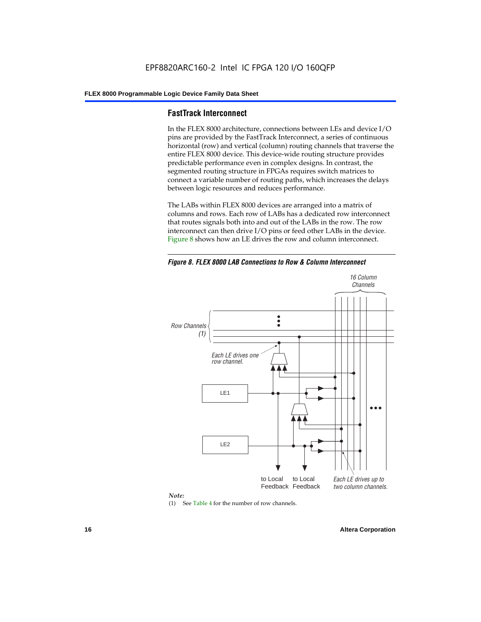### **FastTrack Interconnect**

In the FLEX 8000 architecture, connections between LEs and device I/O pins are provided by the FastTrack Interconnect, a series of continuous horizontal (row) and vertical (column) routing channels that traverse the entire FLEX 8000 device. This device-wide routing structure provides predictable performance even in complex designs. In contrast, the segmented routing structure in FPGAs requires switch matrices to connect a variable number of routing paths, which increases the delays between logic resources and reduces performance.

The LABs within FLEX 8000 devices are arranged into a matrix of columns and rows. Each row of LABs has a dedicated row interconnect that routes signals both into and out of the LABs in the row. The row interconnect can then drive I/O pins or feed other LABs in the device. Figure 8 shows how an LE drives the row and column interconnect.

*Figure 8. FLEX 8000 LAB Connections to Row & Column Interconnect*





(1) See Table 4 for the number of row channels.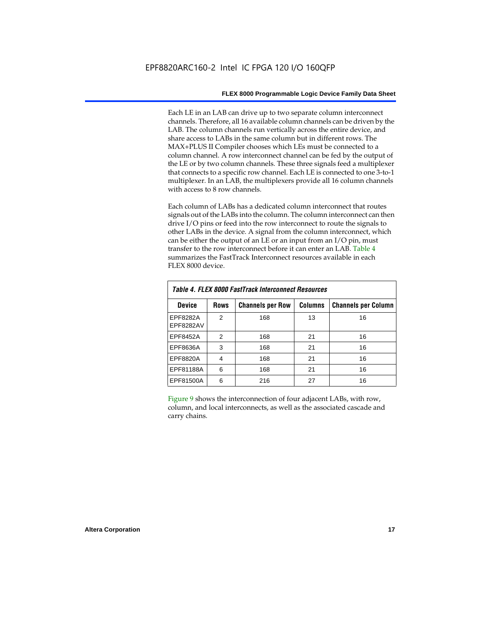Each LE in an LAB can drive up to two separate column interconnect channels. Therefore, all 16 available column channels can be driven by the LAB. The column channels run vertically across the entire device, and share access to LABs in the same column but in different rows. The MAX+PLUS II Compiler chooses which LEs must be connected to a column channel. A row interconnect channel can be fed by the output of the LE or by two column channels. These three signals feed a multiplexer that connects to a specific row channel. Each LE is connected to one 3-to-1 multiplexer. In an LAB, the multiplexers provide all 16 column channels with access to 8 row channels.

Each column of LABs has a dedicated column interconnect that routes signals out of the LABs into the column. The column interconnect can then drive I/O pins or feed into the row interconnect to route the signals to other LABs in the device. A signal from the column interconnect, which can be either the output of an LE or an input from an I/O pin, must transfer to the row interconnect before it can enter an LAB. Table 4 summarizes the FastTrack Interconnect resources available in each FLEX 8000 device.

| Table 4. FLEX 8000 FastTrack Interconnect Resources |                |                         |                |                            |  |  |  |  |  |  |
|-----------------------------------------------------|----------------|-------------------------|----------------|----------------------------|--|--|--|--|--|--|
| <b>Device</b>                                       | <b>Rows</b>    | <b>Channels per Row</b> | <b>Columns</b> | <b>Channels per Column</b> |  |  |  |  |  |  |
| EPF8282A<br>EPF8282AV                               | $\mathfrak{p}$ | 168                     | 13             | 16                         |  |  |  |  |  |  |
| EPF8452A                                            | 2              | 168                     | 21             | 16                         |  |  |  |  |  |  |
| EPF8636A                                            | 3              | 168                     | 21             | 16                         |  |  |  |  |  |  |
| EPF8820A                                            | 4              | 168                     | 21             | 16                         |  |  |  |  |  |  |
| EPF81188A                                           | 6              | 168                     | 21             | 16                         |  |  |  |  |  |  |
| EPF81500A                                           | 6              | 216                     | 27             | 16                         |  |  |  |  |  |  |

Figure 9 shows the interconnection of four adjacent LABs, with row, column, and local interconnects, as well as the associated cascade and carry chains.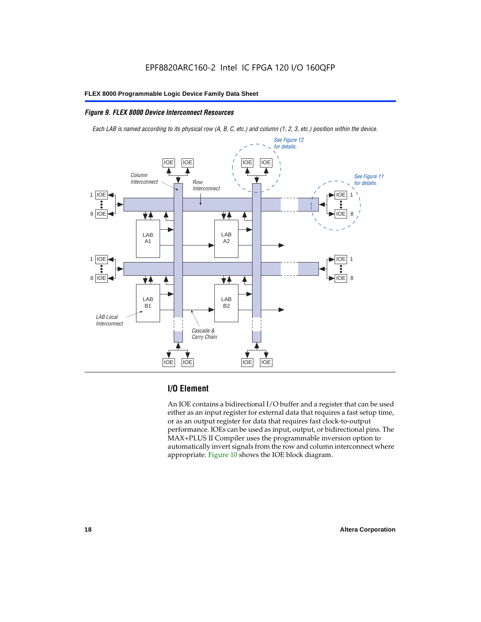### *Figure 9. FLEX 8000 Device Interconnect Resources*

*Each LAB is named according to its physical row (A, B, C, etc.) and column (1, 2, 3, etc.) position within the device.*



### **I/O Element**

An IOE contains a bidirectional I/O buffer and a register that can be used either as an input register for external data that requires a fast setup time, or as an output register for data that requires fast clock-to-output performance. IOEs can be used as input, output, or bidirectional pins. The MAX+PLUS II Compiler uses the programmable inversion option to automatically invert signals from the row and column interconnect where appropriate. Figure 10 shows the IOE block diagram.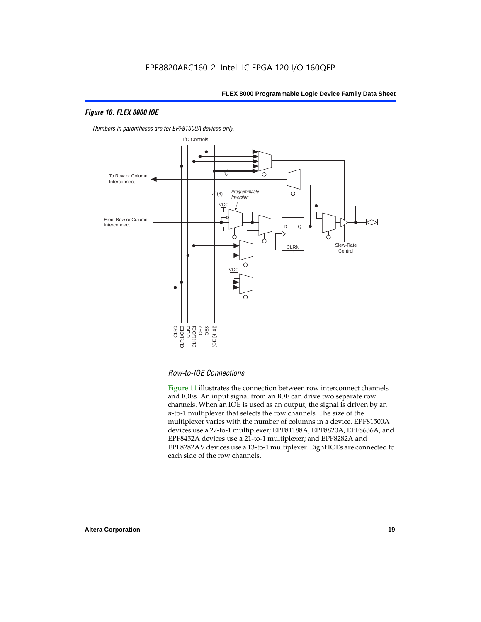### *Figure 10. FLEX 8000 IOE*



*Numbers in parentheses are for EPF81500A devices only.*

### *Row-to-IOE Connections*

Figure 11 illustrates the connection between row interconnect channels and IOEs. An input signal from an IOE can drive two separate row channels. When an IOE is used as an output, the signal is driven by an *n*-to-1 multiplexer that selects the row channels. The size of the multiplexer varies with the number of columns in a device. EPF81500A devices use a 27-to-1 multiplexer; EPF81188A, EPF8820A, EPF8636A, and EPF8452A devices use a 21-to-1 multiplexer; and EPF8282A and EPF8282AV devices use a 13-to-1 multiplexer. Eight IOEs are connected to each side of the row channels.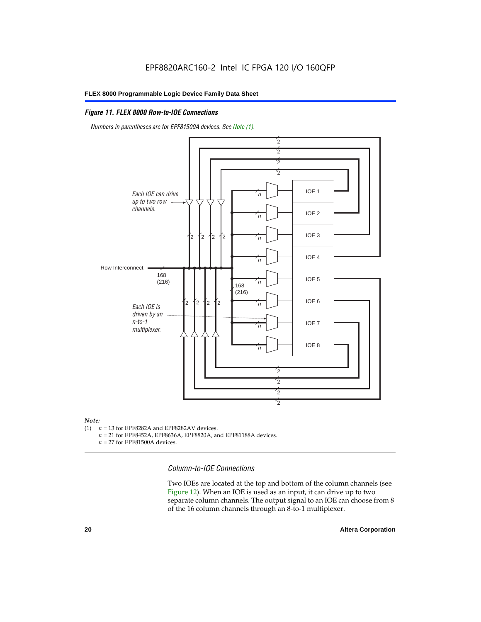### *Figure 11. FLEX 8000 Row-to-IOE Connections*

*Numbers in parentheses are for EPF81500A devices. See Note (1).*



## *Note:*<br>(1) *n*

- $n = 13$  for EPF8282A and EPF8282AV devices.
	- *n* = 21 for EPF8452A, EPF8636A, EPF8820A, and EPF81188A devices.
	- *n* = 27 for EPF81500A devices.

*Column-to-IOE Connections*

Two IOEs are located at the top and bottom of the column channels (see Figure 12). When an IOE is used as an input, it can drive up to two separate column channels. The output signal to an IOE can choose from 8 of the 16 column channels through an 8-to-1 multiplexer.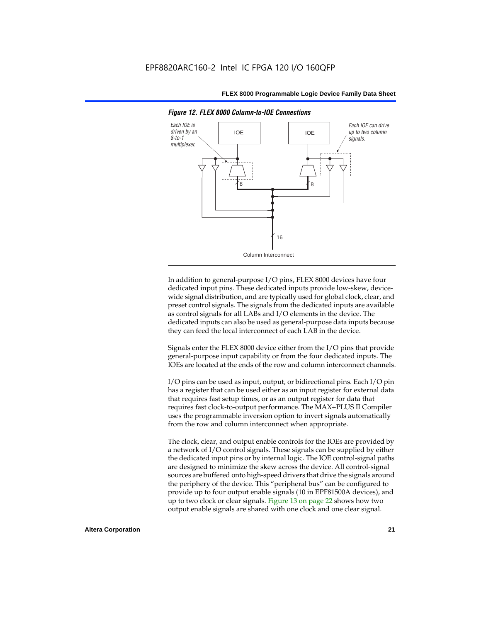

*Figure 12. FLEX 8000 Column-to-IOE Connections*

In addition to general-purpose I/O pins, FLEX 8000 devices have four dedicated input pins. These dedicated inputs provide low-skew, devicewide signal distribution, and are typically used for global clock, clear, and preset control signals. The signals from the dedicated inputs are available as control signals for all LABs and I/O elements in the device. The dedicated inputs can also be used as general-purpose data inputs because they can feed the local interconnect of each LAB in the device.

Signals enter the FLEX 8000 device either from the I/O pins that provide general-purpose input capability or from the four dedicated inputs. The IOEs are located at the ends of the row and column interconnect channels.

I/O pins can be used as input, output, or bidirectional pins. Each I/O pin has a register that can be used either as an input register for external data that requires fast setup times, or as an output register for data that requires fast clock-to-output performance. The MAX+PLUS II Compiler uses the programmable inversion option to invert signals automatically from the row and column interconnect when appropriate.

The clock, clear, and output enable controls for the IOEs are provided by a network of I/O control signals. These signals can be supplied by either the dedicated input pins or by internal logic. The IOE control-signal paths are designed to minimize the skew across the device. All control-signal sources are buffered onto high-speed drivers that drive the signals around the periphery of the device. This "peripheral bus" can be configured to provide up to four output enable signals (10 in EPF81500A devices), and up to two clock or clear signals. Figure 13 on page 22 shows how two output enable signals are shared with one clock and one clear signal.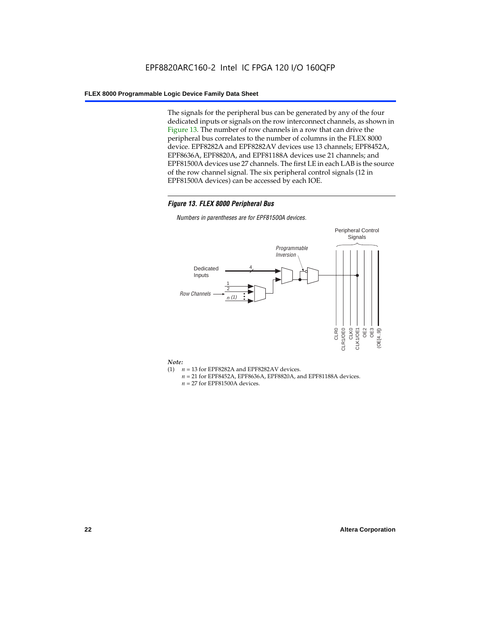The signals for the peripheral bus can be generated by any of the four dedicated inputs or signals on the row interconnect channels, as shown in Figure 13. The number of row channels in a row that can drive the peripheral bus correlates to the number of columns in the FLEX 8000 device. EPF8282A and EPF8282AV devices use 13 channels; EPF8452A, EPF8636A, EPF8820A, and EPF81188A devices use 21 channels; and EPF81500A devices use 27 channels. The first LE in each LAB is the source of the row channel signal. The six peripheral control signals (12 in EPF81500A devices) can be accessed by each IOE.

### *Figure 13. FLEX 8000 Peripheral Bus*

*Numbers in parentheses are for EPF81500A devices.*



#### *Note:*

- (1)  $n = 13$  for EPF8282A and EPF8282AV devices.
	- *n* = 21 for EPF8452A, EPF8636A, EPF8820A, and EPF81188A devices.
	- *n* = 27 for EPF81500A devices.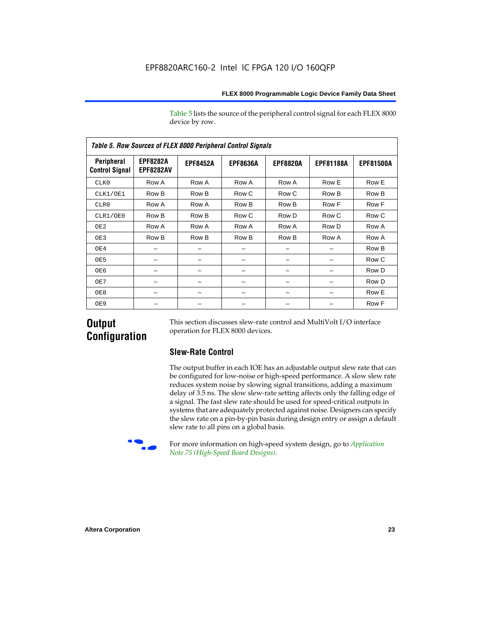Table 5 lists the source of the peripheral control signal for each FLEX 8000 device by row.

| <b>Table 5. Row Sources of FLEX 8000 Peripheral Control Signals</b> |                                     |                 |                 |                 |                  |                  |  |  |  |  |  |
|---------------------------------------------------------------------|-------------------------------------|-----------------|-----------------|-----------------|------------------|------------------|--|--|--|--|--|
| Peripheral<br><b>Control Signal</b>                                 | <b>EPF8282A</b><br><b>EPF8282AV</b> | <b>EPF8452A</b> | <b>EPF8636A</b> | <b>EPF8820A</b> | <b>EPF81188A</b> | <b>EPF81500A</b> |  |  |  |  |  |
| CLK0                                                                | Row A                               | Row A           | Row A           | Row A           | Row E            | Row E            |  |  |  |  |  |
| CLK1/OE1                                                            | Row B                               | Row B           | Row C           | Row C           | Row B            | Row B            |  |  |  |  |  |
| CLR0                                                                | Row A                               | Row A           | Row B           | Row B           | Row F            | Row F            |  |  |  |  |  |
| CLR1/OE0                                                            | Row B                               | Row B           | Row C           | Row D           | Row C            | Row C            |  |  |  |  |  |
| OE <sub>2</sub>                                                     | Row A                               | Row A           | Row A           | Row A           | Row D            | Row A            |  |  |  |  |  |
| OE3                                                                 | Row B                               | Row B           | Row B           | Row B           | Row A            | Row A            |  |  |  |  |  |
| OE4                                                                 |                                     |                 |                 |                 |                  | Row B            |  |  |  |  |  |
| OE5                                                                 |                                     |                 |                 |                 |                  | Row C            |  |  |  |  |  |
| OE6                                                                 |                                     |                 |                 |                 |                  | Row D            |  |  |  |  |  |
| OE7                                                                 |                                     |                 |                 |                 |                  | Row D            |  |  |  |  |  |
| OE8                                                                 |                                     |                 |                 |                 |                  | Row E            |  |  |  |  |  |
| OE9                                                                 |                                     |                 |                 |                 |                  | Row F            |  |  |  |  |  |

### **Output Configuration**

This section discusses slew-rate control and MultiVolt I/O interface operation for FLEX 8000 devices.

### **Slew-Rate Control**

The output buffer in each IOE has an adjustable output slew rate that can be configured for low-noise or high-speed performance. A slow slew rate reduces system noise by slowing signal transitions, adding a maximum delay of 3.5 ns. The slow slew-rate setting affects only the falling edge of a signal. The fast slew rate should be used for speed-critical outputs in systems that are adequately protected against noise. Designers can specify the slew rate on a pin-by-pin basis during design entry or assign a default slew rate to all pins on a global basis.



For more information on high-speed system design, go to *Application Note 75 (High-Speed Board Designs)*.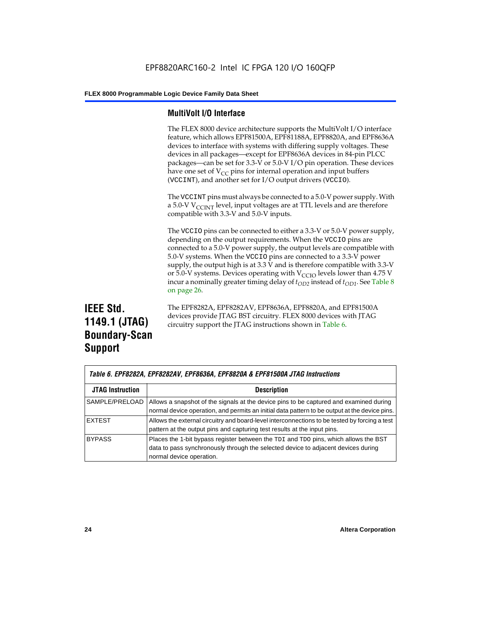### **MultiVolt I/O Interface**

The FLEX 8000 device architecture supports the MultiVolt I/O interface feature, which allows EPF81500A, EPF81188A, EPF8820A, and EPF8636A devices to interface with systems with differing supply voltages. These devices in all packages—except for EPF8636A devices in 84-pin PLCC packages—can be set for 3.3-V or 5.0-V I/O pin operation. These devices have one set of  $V_{CC}$  pins for internal operation and input buffers (VCCINT), and another set for I/O output drivers (VCCIO).

The VCCINT pins must always be connected to a 5.0-V power supply. With a 5.0-V  $V_{\text{CCINT}}$  level, input voltages are at TTL levels and are therefore compatible with 3.3-V and 5.0-V inputs.

The VCCIO pins can be connected to either a 3.3-V or 5.0-V power supply, depending on the output requirements. When the VCCIO pins are connected to a 5.0-V power supply, the output levels are compatible with 5.0-V systems. When the VCCIO pins are connected to a 3.3-V power supply, the output high is at 3.3 V and is therefore compatible with 3.3-V or 5.0-V systems. Devices operating with  $V_{\text{C}CD}$  levels lower than 4.75 V incur a nominally greater timing delay of  $t_{OD2}$  instead of  $t_{OD1}$ . See Table 8 on page 26.

### **IEEE Std. 1149.1 (JTAG) Boundary-Scan Support**

The EPF8282A, EPF8282AV, EPF8636A, EPF8820A, and EPF81500A devices provide JTAG BST circuitry. FLEX 8000 devices with JTAG circuitry support the JTAG instructions shown in Table 6.

| Table 6. EPF8282A, EPF8282AV, EPF8636A, EPF8820A & EPF81500A JTAG Instructions |                                                                                                                                                                                                      |  |  |  |  |
|--------------------------------------------------------------------------------|------------------------------------------------------------------------------------------------------------------------------------------------------------------------------------------------------|--|--|--|--|
| <b>JTAG Instruction</b>                                                        | <b>Description</b>                                                                                                                                                                                   |  |  |  |  |
| SAMPLE/PRELOAD                                                                 | Allows a snapshot of the signals at the device pins to be captured and examined during<br>normal device operation, and permits an initial data pattern to be output at the device pins.              |  |  |  |  |
| <b>EXTEST</b>                                                                  | Allows the external circuitry and board-level interconnections to be tested by forcing a test<br>pattern at the output pins and capturing test results at the input pins.                            |  |  |  |  |
| <b>BYPASS</b>                                                                  | Places the 1-bit bypass register between the TDI and TDO pins, which allows the BST<br>data to pass synchronously through the selected device to adjacent devices during<br>normal device operation. |  |  |  |  |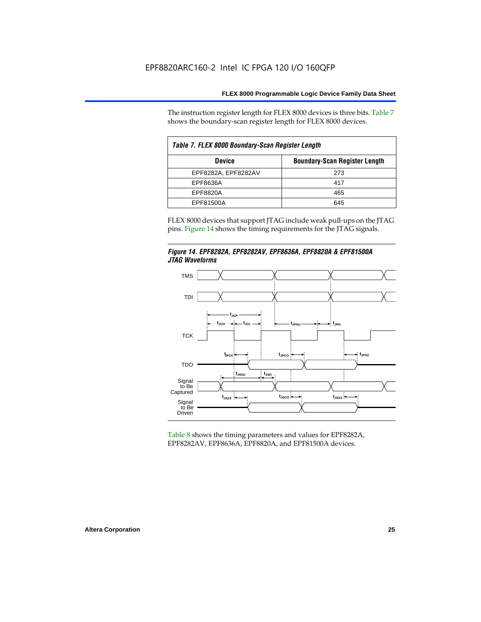The instruction register length for FLEX 8000 devices is three bits. Table 7 shows the boundary-scan register length for FLEX 8000 devices.

| Table 7. FLEX 8000 Boundary-Scan Register Length |                                      |  |  |  |  |  |
|--------------------------------------------------|--------------------------------------|--|--|--|--|--|
| <b>Device</b>                                    | <b>Boundary-Scan Register Length</b> |  |  |  |  |  |
| EPF8282A, EPF8282AV                              | 273                                  |  |  |  |  |  |
| EPF8636A                                         | 417                                  |  |  |  |  |  |
| EPF8820A                                         | 465                                  |  |  |  |  |  |
| EPF81500A                                        | 645                                  |  |  |  |  |  |

FLEX 8000 devices that support JTAG include weak pull-ups on the JTAG pins. Figure 14 shows the timing requirements for the JTAG signals.





Table 8 shows the timing parameters and values for EPF8282A, EPF8282AV, EPF8636A, EPF8820A, and EPF81500A devices.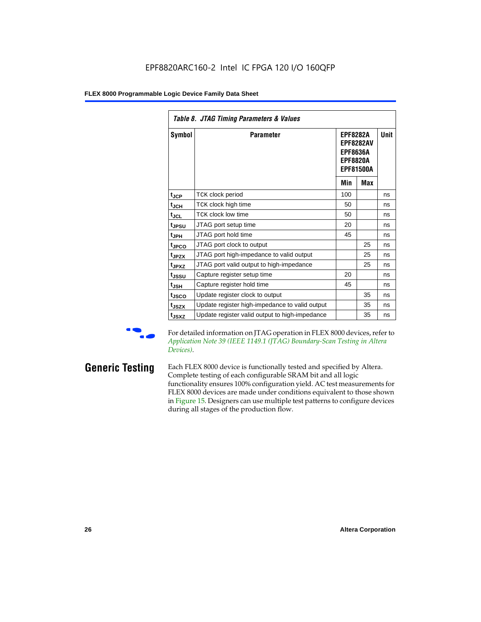| Table 8. JTAG Timing Parameters & Values |                                                |                                                                                               |     |             |  |  |  |  |  |
|------------------------------------------|------------------------------------------------|-----------------------------------------------------------------------------------------------|-----|-------------|--|--|--|--|--|
| Symbol                                   | <b>Parameter</b>                               | <b>EPF8282A</b><br><b>EPF8282AV</b><br><b>EPF8636A</b><br><b>EPF8820A</b><br><b>EPF81500A</b> |     | <b>Unit</b> |  |  |  |  |  |
|                                          |                                                | Min                                                                                           | Max |             |  |  |  |  |  |
| $t_{\rm JCP}$                            | TCK clock period                               | 100                                                                                           |     | ns          |  |  |  |  |  |
| $t_{JCH}$                                | TCK clock high time                            | 50                                                                                            |     | ns          |  |  |  |  |  |
| $t_{JCL}$                                | <b>TCK clock low time</b>                      | 50                                                                                            |     | ns          |  |  |  |  |  |
| t <sub>JPSU</sub>                        | JTAG port setup time                           | 20                                                                                            |     | ns          |  |  |  |  |  |
| t <sub>JPH</sub>                         | JTAG port hold time                            | 45                                                                                            |     | ns          |  |  |  |  |  |
| t <sub>JPCO</sub>                        | JTAG port clock to output                      |                                                                                               | 25  | ns          |  |  |  |  |  |
| t <sub>JPZX</sub>                        | JTAG port high-impedance to valid output       |                                                                                               | 25  | ns          |  |  |  |  |  |
| t <sub>JPXZ</sub>                        | JTAG port valid output to high-impedance       |                                                                                               | 25  | ns          |  |  |  |  |  |
| tjssu                                    | Capture register setup time                    | 20                                                                                            |     | ns          |  |  |  |  |  |
| $t_{JSH}$                                | Capture register hold time                     | 45                                                                                            |     | ns          |  |  |  |  |  |
| t <sub>JSCO</sub>                        | Update register clock to output                |                                                                                               | 35  | ns          |  |  |  |  |  |
| t <sub>JSZX</sub>                        | Update register high-impedance to valid output |                                                                                               | 35  | ns          |  |  |  |  |  |
| t <sub>JSXZ</sub>                        | Update register valid output to high-impedance |                                                                                               | 35  | ns          |  |  |  |  |  |

For detailed information on JTAG operation in FLEX 8000 devices, refer to *Application Note 39 (IEEE 1149.1 (JTAG) Boundary-Scan Testing in Altera Devices)*.

**Generic Testing** Each FLEX 8000 device is functionally tested and specified by Altera. Complete testing of each configurable SRAM bit and all logic functionality ensures 100% configuration yield. AC test measurements for FLEX 8000 devices are made under conditions equivalent to those shown in Figure 15. Designers can use multiple test patterns to configure devices during all stages of the production flow.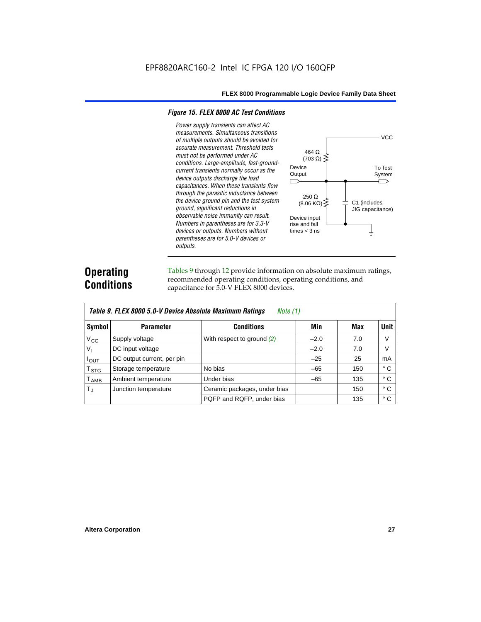### *Figure 15. FLEX 8000 AC Test Conditions*

*Power supply transients can affect AC measurements. Simultaneous transitions*  **VCC** *of multiple outputs should be avoided for accurate measurement. Threshold tests*  464 Ω *must not be performed under AC*   $(703 \Omega)$ *conditions. Large-amplitude, fast-ground-*Device To Test *current transients normally occur as the*  **Output** System *device outputs discharge the load*   $\Box$ ⌒ *capacitances. When these transients flow through the parasitic inductance between*  250 Ω *the device ground pin and the test system*   $(8.06 \text{ K}\Omega)$ C1 (includes *ground, significant reductions in*  JIG capacitance) *observable noise immunity can result.*  Device input *Numbers in parentheses are for 3.3-V*  rise and fall *devices or outputs. Numbers without*  times  $<$  3 ns ╧ *parentheses are for 5.0-V devices or outputs.*

### **Operating Conditions**

Tables 9 through 12 provide information on absolute maximum ratings, recommended operating conditions, operating conditions, and capacitance for 5.0-V FLEX 8000 devices.

|                  | Table 9. FLEX 8000 5.0-V Device Absolute Maximum Ratings<br>Note (1) |                              |        |     |              |  |  |  |  |  |  |  |
|------------------|----------------------------------------------------------------------|------------------------------|--------|-----|--------------|--|--|--|--|--|--|--|
| Symbol           | <b>Parameter</b>                                                     | <b>Conditions</b>            | Min    | Max | <b>Unit</b>  |  |  |  |  |  |  |  |
| $V_{\rm CC}$     | Supply voltage                                                       | With respect to ground $(2)$ | $-2.0$ | 7.0 | V            |  |  |  |  |  |  |  |
| $V_{\parallel}$  | DC input voltage                                                     |                              | $-2.0$ | 7.0 | V            |  |  |  |  |  |  |  |
| $I_{\text{OUT}}$ | DC output current, per pin                                           |                              | $-25$  | 25  | mA           |  |  |  |  |  |  |  |
| $T_{\,rm STG}$   | Storage temperature                                                  | No bias                      | $-65$  | 150 | $^{\circ}$ C |  |  |  |  |  |  |  |
| $T_{\sf AMB}$    | Ambient temperature                                                  | Under bias                   | $-65$  | 135 | $^{\circ}$ C |  |  |  |  |  |  |  |
| $T_{\rm J}$      | Junction temperature                                                 | Ceramic packages, under bias |        | 150 | $^{\circ}$ C |  |  |  |  |  |  |  |
|                  |                                                                      | PQFP and RQFP, under bias    |        | 135 | $^{\circ}$ C |  |  |  |  |  |  |  |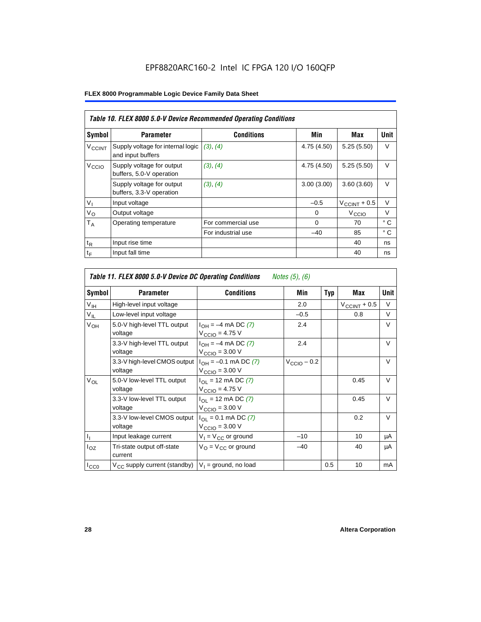|                          | Table 10. FLEX 8000 5.0-V Device Recommended Operating Conditions |                    |             |                          |              |  |  |  |  |  |
|--------------------------|-------------------------------------------------------------------|--------------------|-------------|--------------------------|--------------|--|--|--|--|--|
| Symbol                   | <b>Parameter</b>                                                  | <b>Conditions</b>  | Min         | Max                      | Unit         |  |  |  |  |  |
| <b>V<sub>CCINT</sub></b> | Supply voltage for internal logic<br>and input buffers            | (3), (4)           | 4.75 (4.50) | 5.25(5.50)               | $\vee$       |  |  |  |  |  |
| V <sub>CCIO</sub>        | Supply voltage for output<br>buffers, 5.0-V operation             | (3), (4)           | 4.75 (4.50) | 5.25(5.50)               | $\vee$       |  |  |  |  |  |
|                          | Supply voltage for output<br>buffers, 3.3-V operation             | (3), (4)           | 3.00(3.00)  | 3.60(3.60)               | V            |  |  |  |  |  |
| $V_{I}$                  | Input voltage                                                     |                    | $-0.5$      | $V_{\text{CCINT}} + 0.5$ | $\vee$       |  |  |  |  |  |
| $V_{\rm O}$              | Output voltage                                                    |                    | 0           | V <sub>CCIO</sub>        | $\vee$       |  |  |  |  |  |
| $T_A$                    | Operating temperature                                             | For commercial use | $\Omega$    | 70                       | $^{\circ}$ C |  |  |  |  |  |
|                          |                                                                   | For industrial use | $-40$       | 85                       | $^{\circ}$ C |  |  |  |  |  |
| $t_{R}$                  | Input rise time                                                   |                    |             | 40                       | ns           |  |  |  |  |  |
| $t_F$                    | Input fall time                                                   |                    |             | 40                       | ns           |  |  |  |  |  |

| Table 11. FLEX 8000 5.0-V Device DC Operating Conditions<br>Notes (5), (6) |                                         |                                                                      |                         |            |                       |             |  |  |  |  |
|----------------------------------------------------------------------------|-----------------------------------------|----------------------------------------------------------------------|-------------------------|------------|-----------------------|-------------|--|--|--|--|
| Symbol                                                                     | <b>Parameter</b>                        | <b>Conditions</b>                                                    | Min                     | <b>Typ</b> | Max                   | <b>Unit</b> |  |  |  |  |
| V <sub>IH</sub>                                                            | High-level input voltage                |                                                                      | 2.0                     |            | $V_{\rm CCINT}$ + 0.5 | V           |  |  |  |  |
| $V_{IL}$                                                                   | Low-level input voltage                 |                                                                      | $-0.5$                  |            | 0.8                   | V           |  |  |  |  |
| V <sub>OH</sub>                                                            | 5.0-V high-level TTL output<br>voltage  | $I_{OH} = -4$ mA DC (7)<br>$V_{\text{CCIO}} = 4.75 V$                | 2.4                     |            |                       | V           |  |  |  |  |
|                                                                            | 3.3-V high-level TTL output<br>voltage  | $I_{OH} = -4$ mA DC (7)<br>$VCCIO = 3.00 V$                          | 2.4                     |            |                       | $\vee$      |  |  |  |  |
|                                                                            | 3.3-V high-level CMOS output<br>voltage | $I_{OH} = -0.1$ mA DC (7)<br>$V_{\text{CCIO}} = 3.00 \text{ V}$      | $V_{\text{CCIO}} - 0.2$ |            |                       | $\vee$      |  |  |  |  |
| $V_{OL}$                                                                   | 5.0-V low-level TTL output<br>voltage   | $I_{\Omega I}$ = 12 mA DC (7)<br>$V_{CClO} = 4.75 V$                 |                         |            | 0.45                  | $\vee$      |  |  |  |  |
|                                                                            | 3.3-V low-level TTL output<br>voltage   | $I_{\text{OI}}$ = 12 mA DC (7)<br>$V_{\text{CCIO}} = 3.00 \text{ V}$ |                         |            | 0.45                  | $\vee$      |  |  |  |  |
|                                                                            | 3.3-V low-level CMOS output<br>voltage  | $I_{\Omega I} = 0.1$ mA DC (7)<br>$V_{\text{CCIO}} = 3.00 \text{ V}$ |                         |            | 0.2                   | $\vee$      |  |  |  |  |
| $I_1$                                                                      | Input leakage current                   | $V_1 = V_{CC}$ or ground                                             | $-10$                   |            | 10                    | μA          |  |  |  |  |
| $I_{OZ}$                                                                   | Tri-state output off-state<br>current   | $V_{\Omega} = V_{\Omega}$ or ground                                  | $-40$                   |            | 40                    | μA          |  |  |  |  |
| $I_{CC0}$                                                                  | $V_{CC}$ supply current (standby)       | $V_1$ = ground, no load                                              |                         | 0.5        | 10                    | mA          |  |  |  |  |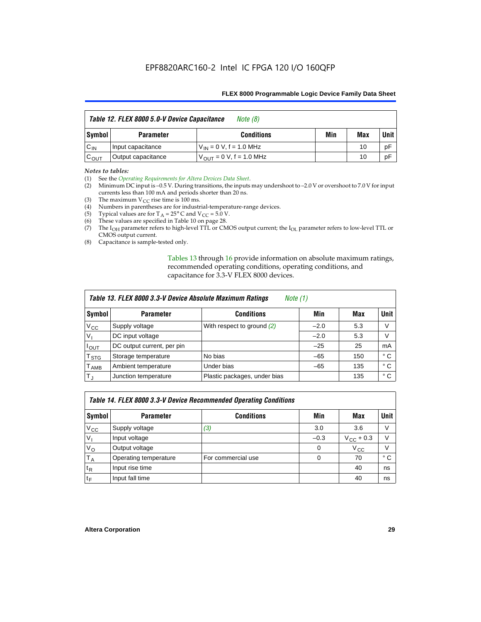| Table 12. FLEX 8000 5.0-V Device Capacitance<br>Note (8) |                    |                               |     |     |             |
|----------------------------------------------------------|--------------------|-------------------------------|-----|-----|-------------|
| Symbol                                                   | <b>Parameter</b>   | <b>Conditions</b>             | Min | Max | <b>Unit</b> |
| $C_{IN}$                                                 | Input capacitance  | $V_{IN} = 0 V, f = 1.0 MHz$   |     | 10  | рF          |
| $C_{\text{OUT}}$                                         | Output capacitance | $V_{OIII}$ = 0 V, f = 1.0 MHz |     | 10  | рF          |

#### *Notes to tables:*

(1) See the *Operating Requirements for Altera Devices Data Sheet*.

- (2) Minimum DC input is –0.5 V. During transitions, the inputs may undershoot to –2.0 V or overshoot to 7.0 V for input currents less than 100 mA and periods shorter than 20 ns.
- (3) The maximum  $V_{CC}$  rise time is 100 ms.
- (4) Numbers in parentheses are for industrial-temperature-range devices.
- (5) Typical values are for  $T_A = 25^\circ$  C and  $V_{CC} = 5.0$  V.
- (6) These values are specified in Table 10 on page 28.
- (7) The  $I_{OH}$  parameter refers to high-level TTL or CMOS output current; the  $I_{OL}$  parameter refers to low-level TTL or CMOS output current.
- (8) Capacitance is sample-tested only.

Tables 13 through 16 provide information on absolute maximum ratings, recommended operating conditions, operating conditions, and capacitance for 3.3-V FLEX 8000 devices.

|                         | Table 13. FLEX 8000 3.3-V Device Absolute Maximum Ratings<br><i>Note</i> $(1)$ |                              |        |     |      |  |  |
|-------------------------|--------------------------------------------------------------------------------|------------------------------|--------|-----|------|--|--|
| Symbol                  | <b>Parameter</b>                                                               | <b>Conditions</b>            | Min    | Max | Unit |  |  |
| $V_{CC}$                | Supply voltage                                                                 | With respect to ground (2)   | $-2.0$ | 5.3 | V    |  |  |
| V <sub>1</sub>          | DC input voltage                                                               |                              | $-2.0$ | 5.3 | V    |  |  |
| $I_{\text{OUT}}$        | DC output current, per pin                                                     |                              | $-25$  | 25  | mA   |  |  |
| T <sub>STG</sub>        | Storage temperature                                                            | No bias                      | $-65$  | 150 | ° C  |  |  |
| <b>T</b> <sub>AMB</sub> | Ambient temperature                                                            | Under bias                   | $-65$  | 135 | ° C  |  |  |
| $T_J$                   | Junction temperature                                                           | Plastic packages, under bias |        | 135 | ° C  |  |  |

|              |                       | Table 14. FLEX 8000 3.3-V Device Recommended Operating Conditions |          |                    |        |
|--------------|-----------------------|-------------------------------------------------------------------|----------|--------------------|--------|
| Symbol       | <b>Parameter</b>      | <b>Conditions</b>                                                 | Min      | Max                | Unit I |
| $V_{\rm CC}$ | Supply voltage        | (3)                                                               | 3.0      | 3.6                | V      |
| $V_{1}$      | Input voltage         |                                                                   | $-0.3$   | $V_{\rm CC}$ + 0.3 | $\vee$ |
| $V_{\rm O}$  | Output voltage        |                                                                   | $\Omega$ | $V_{\rm CC}$       | $\vee$ |
| $T_A$        | Operating temperature | For commercial use                                                | 0        | 70                 | ۰c     |
| $t_{R}$      | Input rise time       |                                                                   |          | 40                 | ns     |
| $t_F$        | Input fall time       |                                                                   |          | 40                 | ns     |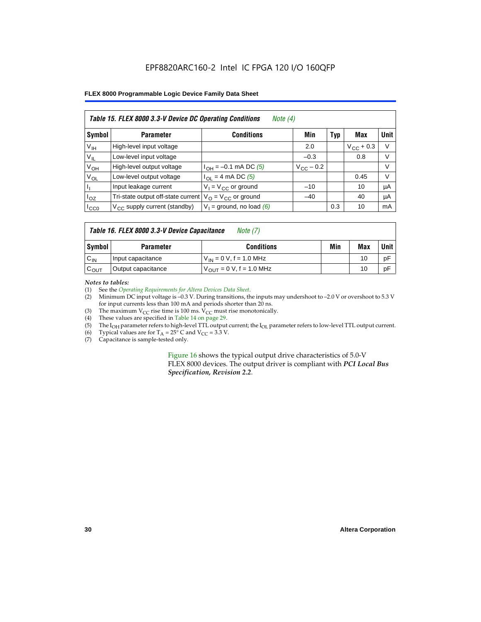### EPF8820ARC160-2 Intel IC FPGA 120 I/O 160QFP

### **FLEX 8000 Programmable Logic Device Family Data Sheet**

|                 | Table 15. FLEX 8000 3.3-V Device DC Operating Conditions<br>Note $(4)$ |                                          |                    |     |                    |             |  |  |
|-----------------|------------------------------------------------------------------------|------------------------------------------|--------------------|-----|--------------------|-------------|--|--|
| Symbol          | <b>Parameter</b>                                                       | <b>Conditions</b>                        | Min                | Typ | Max                | <b>Unit</b> |  |  |
| V <sub>IH</sub> | High-level input voltage                                               |                                          | 2.0                |     | $V_{\rm CC}$ + 0.3 | $\vee$      |  |  |
| $V_{IL}$        | Low-level input voltage                                                |                                          | $-0.3$             |     | 0.8                | V           |  |  |
| $V_{OH}$        | High-level output voltage                                              | $I_{OH} = -0.1$ mA DC (5)                | $V_{\rm CC}$ – 0.2 |     |                    | V           |  |  |
| $V_{OL}$        | Low-level output voltage                                               | $I_{OL}$ = 4 mA DC (5)                   |                    |     | 0.45               | $\vee$      |  |  |
| Пı              | Input leakage current                                                  | $V_1 = V_{CC}$ or ground                 | $-10$              |     | 10                 | μA          |  |  |
| $I_{OZ}$        | Tri-state output off-state current                                     | $V_{\text{O}} = V_{\text{CC}}$ or ground | $-40$              |     | 40                 | μA          |  |  |
| ICCO            | $V_{\text{CC}}$ supply current (standby)                               | $V_1$ = ground, no load (6)              |                    | 0.3 | 10                 | mA          |  |  |

### *Table 16. FLEX 8000 3.3-V Device Capacitance Note (7)*

| Symbol           | <b>Parameter</b>   | <b>Conditions</b>                   | Min | Max | Unit |
|------------------|--------------------|-------------------------------------|-----|-----|------|
| $C_{IN}$         | Input capacitance  | $V_{IN} = 0 V$ , f = 1.0 MHz        |     | 10  | рF   |
| $c_{\text{OUT}}$ | Output capacitance | $V_{\text{OUT}} = 0 V, f = 1.0 MHz$ |     | 10  | рF   |

#### *Notes to tables:*

(1) See the *Operating Requirements for Altera Devices Data Sheet*.

- (2) Minimum DC input voltage is –0.3 V. During transitions, the inputs may undershoot to –2.0 V or overshoot to 5.3 V for input currents less than 100 mA and periods shorter than 20 ns.
- (3) The maximum  $V_{CC}$  rise time is 100 ms.  $V_{CC}$  must rise monotonically.<br>(4) These values are specified in Table 14 on page 29.
- These values are specified in Table 14 on page 29.
- (5) The I<sub>OH</sub> parameter refers to high-level TTL output current; the I<sub>OL</sub> parameter refers to low-level TTL output current.<br>(6) Typical values are for T<sub>A</sub> = 25° C and V<sub>CC</sub> = 3.3 V.
- (6) Typical values are for  $T_A = 25^\circ$  C and  $V_{CC} = 3.3$  V.<br>(7) Capacitance is sample-tested only.
- Capacitance is sample-tested only.

Figure 16 shows the typical output drive characteristics of 5.0-V FLEX 8000 devices. The output driver is compliant with *PCI Local Bus Specification, Revision 2.2*.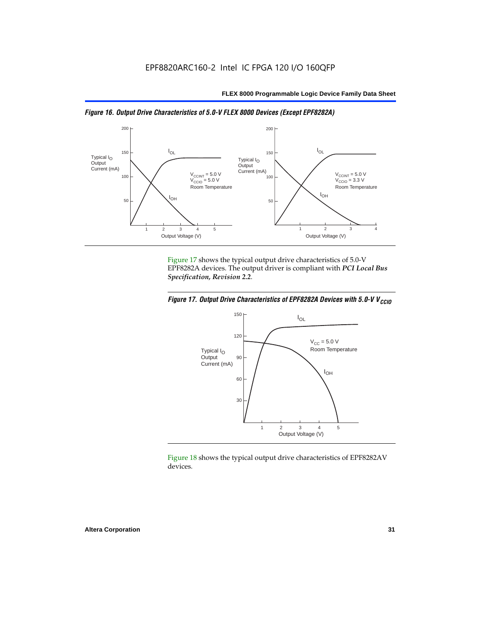



Figure 17 shows the typical output drive characteristics of 5.0-V EPF8282A devices. The output driver is compliant with *PCI Local Bus Specification, Revision 2.2*.





Figure 18 shows the typical output drive characteristics of EPF8282AV devices.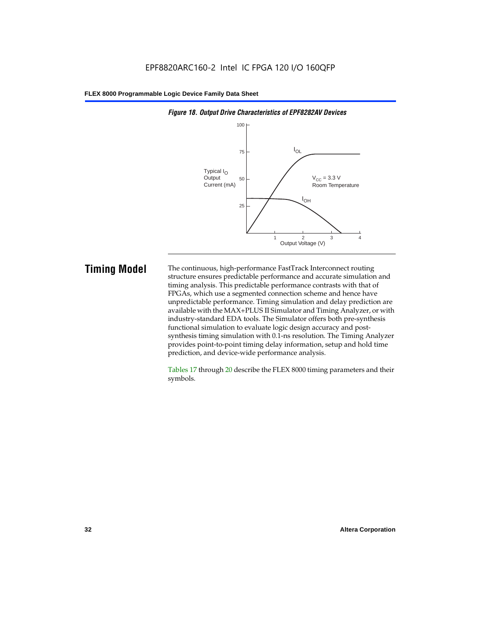

#### *Figure 18. Output Drive Characteristics of EPF8282AV Devices*

**Timing Model** The continuous, high-performance FastTrack Interconnect routing structure ensures predictable performance and accurate simulation and timing analysis. This predictable performance contrasts with that of FPGAs, which use a segmented connection scheme and hence have unpredictable performance. Timing simulation and delay prediction are available with the MAX+PLUS II Simulator and Timing Analyzer, or with industry-standard EDA tools. The Simulator offers both pre-synthesis functional simulation to evaluate logic design accuracy and postsynthesis timing simulation with 0.1-ns resolution. The Timing Analyzer provides point-to-point timing delay information, setup and hold time prediction, and device-wide performance analysis.

> Tables 17 through 20 describe the FLEX 8000 timing parameters and their symbols.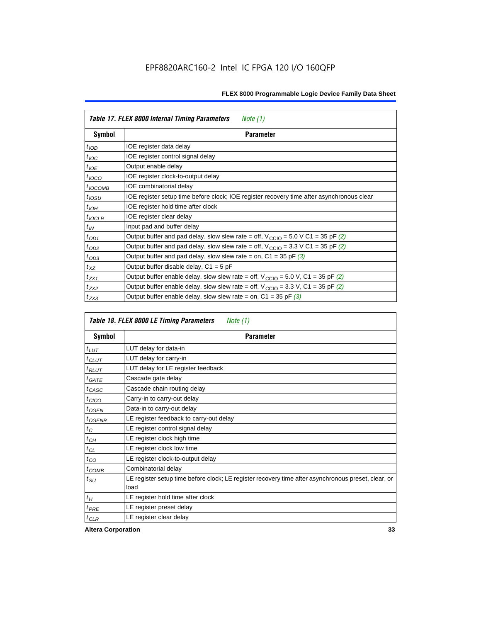|                  | Table 17. FLEX 8000 Internal Timing Parameters<br><i>Note</i> $(1)$                                          |
|------------------|--------------------------------------------------------------------------------------------------------------|
| Symbol           | <b>Parameter</b>                                                                                             |
| $t_{\text{IOD}}$ | IOE register data delay                                                                                      |
| $t_{\text{IOC}}$ | IOE register control signal delay                                                                            |
| $t_{IOE}$        | Output enable delay                                                                                          |
| $t_{IOCO}$       | IOE register clock-to-output delay                                                                           |
| $t_{IOCOMB}$     | IOE combinatorial delay                                                                                      |
| $t_{IOSU}$       | IOE register setup time before clock; IOE register recovery time after asynchronous clear                    |
| $t_{IOH}$        | IOE register hold time after clock                                                                           |
| $t_{IOCLR}$      | IOE register clear delay                                                                                     |
| $t_{IN}$         | Input pad and buffer delay                                                                                   |
| $t_{OD1}$        | Output buffer and pad delay, slow slew rate = off, $V_{\text{CCIO}} = 5.0 \text{ V C1} = 35 \text{ pF } (2)$ |
| $t_{OD2}$        | Output buffer and pad delay, slow slew rate = off, $V_{\text{CCIO}} = 3.3 \text{ V C1} = 35 \text{ pF } (2)$ |
| $t_{OD3}$        | Output buffer and pad delay, slow slew rate = on, $C1 = 35$ pF (3)                                           |
| $t_{XZ}$         | Output buffer disable delay, $C1 = 5$ pF                                                                     |
| $t_{ZX1}$        | Output buffer enable delay, slow slew rate = off, $V_{\text{CCIO}} = 5.0$ V, C1 = 35 pF (2)                  |
| $t_{ZX2}$        | Output buffer enable delay, slow slew rate = off, $V_{\text{CCIO}} = 3.3$ V, C1 = 35 pF (2)                  |
| $t_{ZX3}$        | Output buffer enable delay, slow slew rate = on, $C1 = 35$ pF (3)                                            |

|                     | Table 18. FLEX 8000 LE Timing Parameters<br>Note (1)                                                        |  |  |  |  |
|---------------------|-------------------------------------------------------------------------------------------------------------|--|--|--|--|
| Symbol              | Parameter                                                                                                   |  |  |  |  |
| $t_{LUT}$           | LUT delay for data-in                                                                                       |  |  |  |  |
| $t_{CLUT}$          | LUT delay for carry-in                                                                                      |  |  |  |  |
| $t_{RLUT}$          | LUT delay for LE register feedback                                                                          |  |  |  |  |
| $t$ GATE            | Cascade gate delay                                                                                          |  |  |  |  |
| $t_{CASC}$          | Cascade chain routing delay                                                                                 |  |  |  |  |
| $t_{CICO}$          | Carry-in to carry-out delay                                                                                 |  |  |  |  |
| $t_{GEN}$           | Data-in to carry-out delay                                                                                  |  |  |  |  |
| ${}^{t}$ CGENR      | LE register feedback to carry-out delay                                                                     |  |  |  |  |
| $t_C$               | LE register control signal delay                                                                            |  |  |  |  |
| $t_{CH}$            | LE register clock high time                                                                                 |  |  |  |  |
| $t_{CL}$            | LE register clock low time                                                                                  |  |  |  |  |
| $t_{CO}$            | LE register clock-to-output delay                                                                           |  |  |  |  |
| $t$ <sub>COMB</sub> | Combinatorial delay                                                                                         |  |  |  |  |
| t <sub>SU</sub>     | LE register setup time before clock; LE register recovery time after asynchronous preset, clear, or<br>load |  |  |  |  |
| $t_H$               | LE register hold time after clock                                                                           |  |  |  |  |
| $t_{PRE}$           | LE register preset delay                                                                                    |  |  |  |  |
| $t_{CLR}$           | LE register clear delay                                                                                     |  |  |  |  |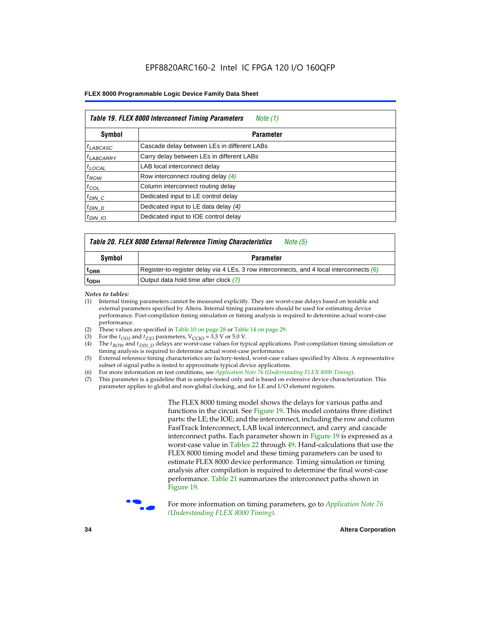|                      | Table 19. FLEX 8000 Interconnect Timing Parameters<br>Note (1) |  |  |  |  |
|----------------------|----------------------------------------------------------------|--|--|--|--|
| Symbol               | <b>Parameter</b>                                               |  |  |  |  |
| <sup>t</sup> LABCASC | Cascade delay between LEs in different LABs                    |  |  |  |  |
| $t_{LABCARRY}$       | Carry delay between LEs in different LABs                      |  |  |  |  |
| $t_{\text{LOCAL}}$   | LAB local interconnect delay                                   |  |  |  |  |
| $t_{ROW}$            | Row interconnect routing delay (4)                             |  |  |  |  |
| $t_{COL}$            | Column interconnect routing delay                              |  |  |  |  |
| $t_{DIN}$ $C$        | Dedicated input to LE control delay                            |  |  |  |  |
| $t_{DIN}$ D          | Dedicated input to LE data delay (4)                           |  |  |  |  |
| $t_{DIN}$ 10         | Dedicated input to IOE control delay                           |  |  |  |  |

### *Table 20. FLEX 8000 External Reference Timing Characteristics Note (5)*

| Symbol           | <b>Parameter</b>                                                                           |
|------------------|--------------------------------------------------------------------------------------------|
| <sup>T</sup> DRR | Register-to-register delay via 4 LEs, 3 row interconnects, and 4 local interconnects $(6)$ |
| <sup>T</sup> ODH | Output data hold time after clock (7)                                                      |

*Notes to tables:*

- (1) Internal timing parameters cannot be measured explicitly. They are worst-case delays based on testable and external parameters specified by Altera. Internal timing parameters should be used for estimating device performance. Post-compilation timing simulation or timing analysis is required to determine actual worst-case performance.
- (2) These values are specified in Table 10 on page 28 or Table 14 on page 29.<br>(3) For the  $t_{OD3}$  and  $t_{ZX3}$  parameters,  $V_{CCIO} = 3.3$  V or 5.0 V.
- (3) For the  $t_{OD3}$  and  $t_{ZX3}$  parameters,  $V_{CCIO} = 3.3$  V or 5.0 V.<br>(4) The  $t_{ROM}$  and  $t_{DIN}$   $_D$  delays are worst-case values for type
- The *t<sub>ROW</sub>* and *t<sub>DIN\_D</sub>* delays are worst-case values for typical applications. Post-compilation timing simulation or timing analysis is required to determine actual worst-case performance.
- (5) External reference timing characteristics are factory-tested, worst-case values specified by Altera. A representative subset of signal paths is tested to approximate typical device applications.
- (6) For more information on test conditions, see *Application Note 76* (*Understanding FLEX 8000 Timing*).
- (7) This parameter is a guideline that is sample-tested only and is based on extensive device characterization. This parameter applies to global and non-global clocking, and for LE and I/O element registers.

The FLEX 8000 timing model shows the delays for various paths and functions in the circuit. See Figure 19. This model contains three distinct parts: the LE; the IOE; and the interconnect, including the row and column FastTrack Interconnect, LAB local interconnect, and carry and cascade interconnect paths. Each parameter shown in Figure 19 is expressed as a worst-case value in Tables 22 through 49. Hand-calculations that use the FLEX 8000 timing model and these timing parameters can be used to estimate FLEX 8000 device performance. Timing simulation or timing analysis after compilation is required to determine the final worst-case performance. Table 21 summarizes the interconnect paths shown in Figure 19.



f For more information on timing parameters, go to *Application Note 76 (Understanding FLEX 8000 Timing)*.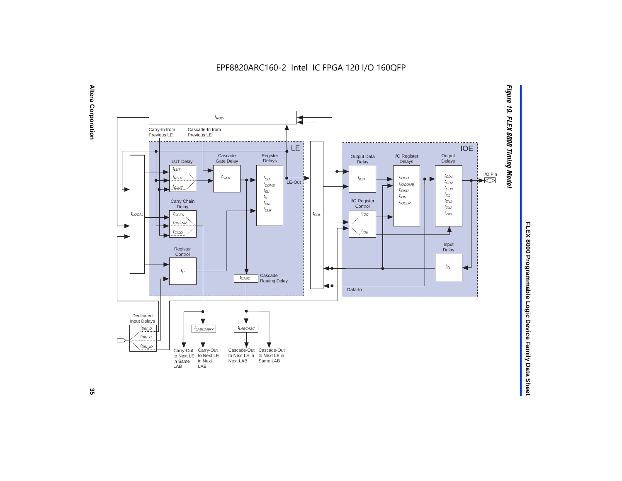EPF8820ARC160-2 Intel IC FPGA 120 I/O 160QFP



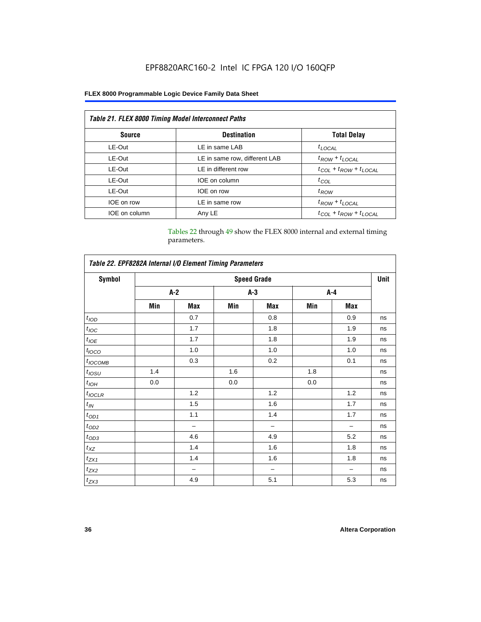### EPF8820ARC160-2 Intel IC FPGA 120 I/O 160QFP

### **FLEX 8000 Programmable Logic Device Family Data Sheet**

| <b>Table 21. FLEX 8000 Timing Model Interconnect Paths</b> |                               |                                 |  |  |  |
|------------------------------------------------------------|-------------------------------|---------------------------------|--|--|--|
| <b>Source</b>                                              | <b>Destination</b>            | <b>Total Delay</b>              |  |  |  |
| LE-Out                                                     | LE in same LAB                | $t_{LOCAL}$                     |  |  |  |
| LE-Out                                                     | LE in same row, different LAB | $t_{ROW} + t_{LOCAL}$           |  |  |  |
| LE-Out                                                     | LE in different row           | $t_{COL} + t_{ROW} + t_{LOCAL}$ |  |  |  |
| LE-Out                                                     | IOE on column                 | $t_{COL}$                       |  |  |  |
| LE-Out                                                     | IOE on row                    | $t_{ROW}$                       |  |  |  |
| IOE on row                                                 | LE in same row                | $t_{ROW} + t_{LOCAL}$           |  |  |  |
| IOE on column                                              | Any LE                        | $t_{COL} + t_{ROW} + t_{LOCAL}$ |  |  |  |

Tables 22 through 49 show the FLEX 8000 internal and external timing parameters.

| Table 22. EPF8282A Internal I/O Element Timing Parameters |                    |                          |       |     |         |     |    |
|-----------------------------------------------------------|--------------------|--------------------------|-------|-----|---------|-----|----|
| <b>Symbol</b>                                             | <b>Speed Grade</b> |                          |       |     |         |     |    |
|                                                           |                    | $A-2$                    | $A-3$ |     | $A - 4$ |     |    |
|                                                           | Min                | Max                      | Min   | Max | Min     | Max |    |
| t <sub>IOD</sub>                                          |                    | 0.7                      |       | 0.8 |         | 0.9 | ns |
| $t_{\text{IOC}}$                                          |                    | 1.7                      |       | 1.8 |         | 1.9 | ns |
| $t_{IOE}$                                                 |                    | 1.7                      |       | 1.8 |         | 1.9 | ns |
| $t_{IOCO}$                                                |                    | 1.0                      |       | 1.0 |         | 1.0 | ns |
| $t_{IOCOMB}$                                              |                    | 0.3                      |       | 0.2 |         | 0.1 | ns |
| $t_{IOSU}$                                                | 1.4                |                          | 1.6   |     | 1.8     |     | ns |
| $t_{IOH}$                                                 | 0.0                |                          | 0.0   |     | 0.0     |     | ns |
| $t_{IOCLR}$                                               |                    | 1.2                      |       | 1.2 |         | 1.2 | ns |
| $t_{I\!N}$                                                |                    | 1.5                      |       | 1.6 |         | 1.7 | ns |
| $t_{OD1}$                                                 |                    | 1.1                      |       | 1.4 |         | 1.7 | ns |
| $t_{OD2}$                                                 |                    | $\overline{\phantom{0}}$ |       | -   |         |     | ns |
| $t_{0D3}$                                                 |                    | 4.6                      |       | 4.9 |         | 5.2 | ns |
| $t_{XZ}$                                                  |                    | 1.4                      |       | 1.6 |         | 1.8 | ns |
| $t_{ZX1}$                                                 |                    | 1.4                      |       | 1.6 |         | 1.8 | ns |
| $t_{ZX2}$                                                 |                    | -                        |       | -   |         |     | ns |
| $t_{ZX3}$                                                 |                    | 4.9                      |       | 5.1 |         | 5.3 | ns |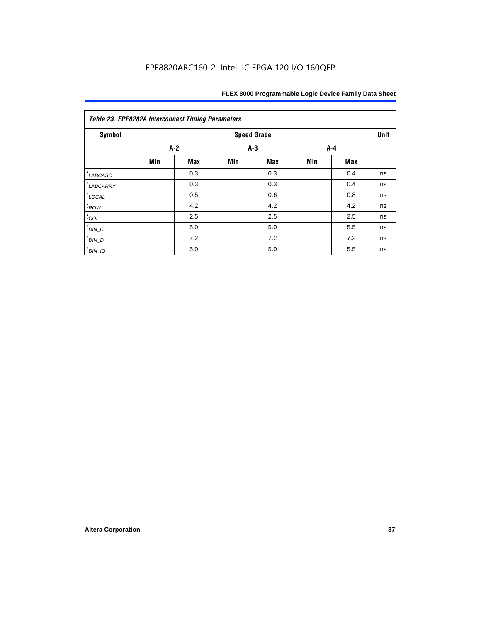| Symbol                |     |            |     | <b>Speed Grade</b> |       |     | Unit |
|-----------------------|-----|------------|-----|--------------------|-------|-----|------|
|                       |     | $A-2$      |     | $A-3$              | $A-4$ |     |      |
|                       | Min | <b>Max</b> | Min | <b>Max</b>         | Min   | Max |      |
| $t_{LABCASC}$         |     | 0.3        |     | 0.3                |       | 0.4 | ns   |
| <sup>t</sup> LABCARRY |     | 0.3        |     | 0.3                |       | 0.4 | ns   |
| $t_{\text{LOCAL}}$    |     | 0.5        |     | 0.6                |       | 0.8 | ns   |
| $t_{ROW}$             |     | 4.2        |     | 4.2                |       | 4.2 | ns   |
| $t_{COL}$             |     | 2.5        |     | 2.5                |       | 2.5 | ns   |
| $t_{DIN\_C}$          |     | 5.0        |     | 5.0                |       | 5.5 | ns   |
| $t_{DIN\_D}$          |     | 7.2        |     | 7.2                |       | 7.2 | ns   |
| $t_{DIN_1O}$          |     | 5.0        |     | 5.0                |       | 5.5 | ns   |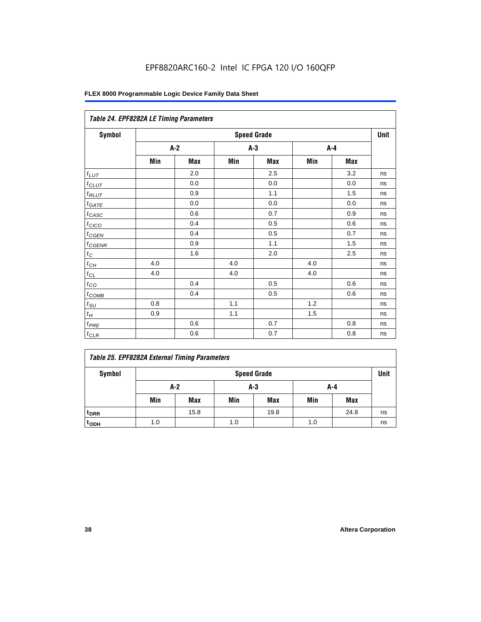### EPF8820ARC160-2 Intel IC FPGA 120 I/O 160QFP

| Table 24. EPF8282A LE Timing Parameters |     |                    |     |            |     |     |    |  |  |  |
|-----------------------------------------|-----|--------------------|-----|------------|-----|-----|----|--|--|--|
| <b>Symbol</b>                           |     | <b>Speed Grade</b> |     |            |     |     |    |  |  |  |
|                                         |     | $A-2$              |     | A-3        |     | A-4 |    |  |  |  |
|                                         | Min | <b>Max</b>         | Min | <b>Max</b> | Min | Max |    |  |  |  |
| $t_{LUT}$                               |     | 2.0                |     | 2.5        |     | 3.2 | ns |  |  |  |
| $t_{CLUT}$                              |     | 0.0                |     | 0.0        |     | 0.0 | ns |  |  |  |
| $t_{RLUT}$                              |     | 0.9                |     | 1.1        |     | 1.5 | ns |  |  |  |
| $t_{\underline{GATE}}$                  |     | 0.0                |     | 0.0        |     | 0.0 | ns |  |  |  |
| $t_{CASC}$                              |     | 0.6                |     | 0.7        |     | 0.9 | ns |  |  |  |
| $t_{CICO}$                              |     | 0.4                |     | 0.5        |     | 0.6 | ns |  |  |  |
| $t_{\text{GEN}}$                        |     | 0.4                |     | 0.5        |     | 0.7 | ns |  |  |  |
| $t_{CGENR}$                             |     | 0.9                |     | 1.1        |     | 1.5 | ns |  |  |  |
| $t_C\,$                                 |     | 1.6                |     | 2.0        |     | 2.5 | ns |  |  |  |
| $t_{CH}$                                | 4.0 |                    | 4.0 |            | 4.0 |     | ns |  |  |  |
| $t_{CL}$                                | 4.0 |                    | 4.0 |            | 4.0 |     | ns |  |  |  |
| $t_{CO}$                                |     | 0.4                |     | 0.5        |     | 0.6 | ns |  |  |  |
| $t_{COMB}$                              |     | 0.4                |     | 0.5        |     | 0.6 | ns |  |  |  |
| $t_{SU}$                                | 0.8 |                    | 1.1 |            | 1.2 |     | ns |  |  |  |
| $t_H$                                   | 0.9 |                    | 1.1 |            | 1.5 |     | ns |  |  |  |
| $t_{PRE}$                               |     | 0.6                |     | 0.7        |     | 0.8 | ns |  |  |  |
| $t_{CLR}$                               |     | 0.6                |     | 0.7        |     | 0.8 | ns |  |  |  |

| Symbol<br><b>Speed Grade</b> |     |      |     |      |     |            | <b>Unit</b> |
|------------------------------|-----|------|-----|------|-----|------------|-------------|
| A-2<br>$A-3$<br>A-4          |     |      |     |      |     |            |             |
|                              | Min | Max  | Min | Max  | Min | <b>Max</b> |             |
| t <sub>DRR</sub>             |     | 15.8 |     | 19.8 |     | 24.8       | ns          |
| $t$ <sub>ODH</sub>           | 1.0 |      | 1.0 |      | 1.0 |            | ns          |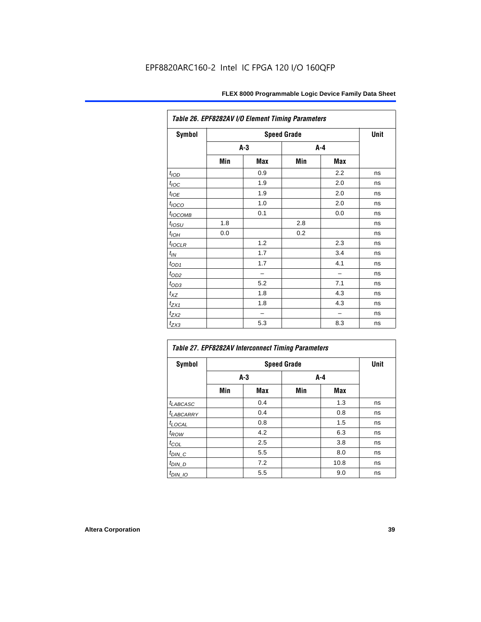| Table 26. EPF8282AV I/O Element Timing Parameters |       |                          |                    |     |             |  |
|---------------------------------------------------|-------|--------------------------|--------------------|-----|-------------|--|
| <b>Symbol</b>                                     |       |                          | <b>Speed Grade</b> |     | <b>Unit</b> |  |
|                                                   | $A-3$ |                          | A-4                |     |             |  |
|                                                   | Min   | Max                      | Min                | Max |             |  |
| t <sub>IOD</sub>                                  |       | 0.9                      |                    | 2.2 | ns          |  |
| $t_{\text{loc}}$                                  |       | 1.9                      |                    | 2.0 | ns          |  |
| $t_{IOE}$                                         |       | 1.9                      |                    | 2.0 | ns          |  |
| $t_{\text{LOCO}}$                                 |       | 1.0                      |                    | 2.0 | ns          |  |
| t <sub>IOCOMB</sub>                               |       | 0.1                      |                    | 0.0 | ns          |  |
| $t_{IOSU}$                                        | 1.8   |                          | 2.8                |     | ns          |  |
| $t_{IOH}$                                         | 0.0   |                          | 0.2                |     | ns          |  |
| $t_{IOCLR}$                                       |       | 1.2                      |                    | 2.3 | ns          |  |
| $t_{IN}$                                          |       | 1.7                      |                    | 3.4 | ns          |  |
| $t_{OD1}$                                         |       | 1.7                      |                    | 4.1 | ns          |  |
| $t_{OD2}$                                         |       | $\overline{\phantom{0}}$ |                    |     | ns          |  |
| $t_{OD3}$                                         |       | 5.2                      |                    | 7.1 | ns          |  |
| $t_{XZ}$                                          |       | 1.8                      |                    | 4.3 | ns          |  |
| $t_{ZX1}$                                         |       | 1.8                      |                    | 4.3 | ns          |  |
| $t_{ZX2}$                                         |       |                          |                    |     | ns          |  |
| $t_{ZX3}$                                         |       | 5.3                      |                    | 8.3 | ns          |  |

| Table 27. EPF8282AV Interconnect Timing Parameters |       |            |                    |            |             |  |  |
|----------------------------------------------------|-------|------------|--------------------|------------|-------------|--|--|
| <b>Symbol</b>                                      |       |            | <b>Speed Grade</b> |            | <b>Unit</b> |  |  |
|                                                    | $A-3$ |            | $A-4$              |            |             |  |  |
|                                                    | Min   | <b>Max</b> | Min                | <b>Max</b> |             |  |  |
| $t_{LABCASC}$                                      |       | 0.4        |                    | 1.3        | ns          |  |  |
| t <sub>LABCARRY</sub>                              |       | 0.4        |                    | 0.8        | ns          |  |  |
| $t_{\text{LOCAL}}$                                 |       | 0.8        |                    | 1.5        | ns          |  |  |
| $t_{ROW}$                                          |       | 4.2        |                    | 6.3        | ns          |  |  |
| $t_{COL}$                                          |       | 2.5        |                    | 3.8        | ns          |  |  |
| $t_{DIN\_C}$                                       |       | 5.5        |                    | 8.0        | ns          |  |  |
| $t_{DIN\_D}$                                       |       | 7.2        |                    | 10.8       | ns          |  |  |
| $t_{DIN\_IO}$                                      |       | 5.5        |                    | 9.0        | ns          |  |  |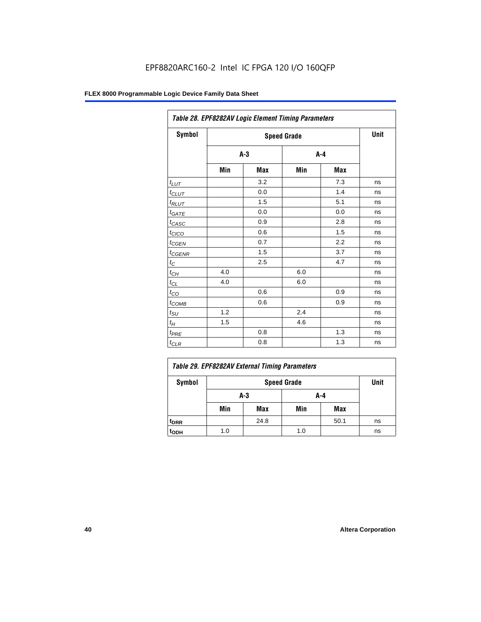| Table 28. EPF8282AV Logic Element Timing Parameters |       |     |                    |     |      |  |  |
|-----------------------------------------------------|-------|-----|--------------------|-----|------|--|--|
| Symbol                                              |       |     | <b>Speed Grade</b> |     | Unit |  |  |
|                                                     | $A-3$ |     | $A - 4$            |     |      |  |  |
|                                                     | Min   | Max | Min                | Max |      |  |  |
| $t_{LUT}$                                           |       | 3.2 |                    | 7.3 | ns   |  |  |
| $t_{CLUT}$                                          |       | 0.0 |                    | 1.4 | ns   |  |  |
| $t_{RLUT}$                                          |       | 1.5 |                    | 5.1 | ns   |  |  |
| $t_{GATE}$                                          |       | 0.0 |                    | 0.0 | ns   |  |  |
| $t_{CASC}$                                          |       | 0.9 |                    | 2.8 | ns   |  |  |
| $t_{CICO}$                                          |       | 0.6 |                    | 1.5 | ns   |  |  |
| $t_{G\cancel{E}N}$                                  |       | 0.7 |                    | 2.2 | ns   |  |  |
| $t_{\text{GENR}}$                                   |       | 1.5 |                    | 3.7 | ns   |  |  |
| $t_{\rm C}$                                         |       | 2.5 |                    | 4.7 | ns   |  |  |
| $t_{CH}$                                            | 4.0   |     | 6.0                |     | ns   |  |  |
| $t_{CL}$                                            | 4.0   |     | 6.0                |     | ns   |  |  |
| $t_{CO}$                                            |       | 0.6 |                    | 0.9 | ns   |  |  |
| $t_{COMB}$                                          |       | 0.6 |                    | 0.9 | ns   |  |  |
| $t_{\text{SU}}$                                     | 1.2   |     | 2.4                |     | ns   |  |  |
| $t_H$                                               | 1.5   |     | 4.6                |     | ns   |  |  |
| $t_{PRE}$                                           |       | 0.8 |                    | 1.3 | ns   |  |  |
| $t_{CLR}$                                           |       | 0.8 |                    | 1.3 | ns   |  |  |

| Table 29. EPF8282AV External Timing Parameters |                            |            |     |      |    |  |  |
|------------------------------------------------|----------------------------|------------|-----|------|----|--|--|
| Symbol                                         | Unit<br><b>Speed Grade</b> |            |     |      |    |  |  |
|                                                |                            | A-4<br>A-3 |     |      |    |  |  |
|                                                | Min                        | Max        | Min | Max  |    |  |  |
| <sup>t</sup> DRR                               |                            | 24.8       |     | 50.1 | ns |  |  |
| toph                                           | 1.0                        |            | 1.0 |      | ns |  |  |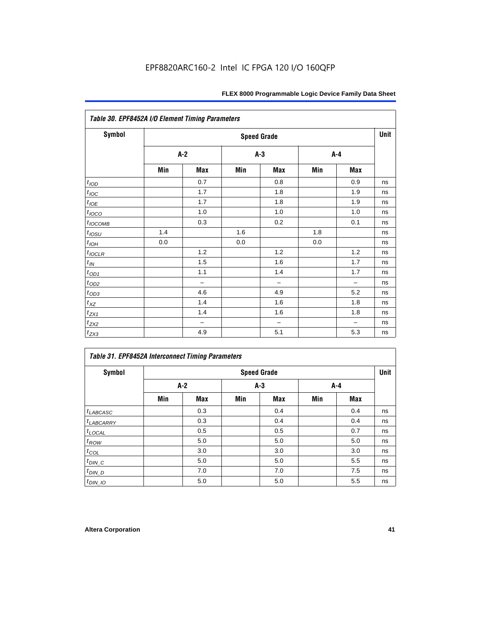| Table 30. EPF8452A I/O Element Timing Parameters |                    |                          |       |                          |       |                          |    |  |
|--------------------------------------------------|--------------------|--------------------------|-------|--------------------------|-------|--------------------------|----|--|
| <b>Symbol</b>                                    | <b>Speed Grade</b> |                          |       |                          |       |                          |    |  |
|                                                  |                    | $A-2$                    | $A-3$ |                          | $A-4$ |                          |    |  |
|                                                  | Min                | Max                      | Min   | Max                      | Min   | Max                      |    |  |
| t <sub>IOD</sub>                                 |                    | 0.7                      |       | 0.8                      |       | 0.9                      | ns |  |
| $t_{\text{IOC}}$                                 |                    | 1.7                      |       | 1.8                      |       | 1.9                      | ns |  |
| $t_{IOE}$                                        |                    | 1.7                      |       | 1.8                      |       | 1.9                      | ns |  |
| $t_{IOCO}$                                       |                    | 1.0                      |       | 1.0                      |       | 1.0                      | ns |  |
| $t_{IOCOMB}$                                     |                    | 0.3                      |       | 0.2                      |       | 0.1                      | ns |  |
| $t_{IOSU}$                                       | 1.4                |                          | 1.6   |                          | 1.8   |                          | ns |  |
| $t_{IOH}$                                        | 0.0                |                          | 0.0   |                          | 0.0   |                          | ns |  |
| $t_{IOCLR}$                                      |                    | 1.2                      |       | 1.2                      |       | 1.2                      | ns |  |
| $t_{I\!N}$                                       |                    | 1.5                      |       | 1.6                      |       | 1.7                      | ns |  |
| $t_{OD1}$                                        |                    | 1.1                      |       | 1.4                      |       | 1.7                      | ns |  |
| $t_{OD2}$                                        |                    | $\overline{\phantom{0}}$ |       | $\overline{\phantom{0}}$ |       | $\overline{\phantom{0}}$ | ns |  |
| $t_{OD3}$                                        |                    | 4.6                      |       | 4.9                      |       | 5.2                      | ns |  |
| $t_{XZ}$                                         |                    | 1.4                      |       | 1.6                      |       | 1.8                      | ns |  |
| $t_{ZX1}$                                        |                    | 1.4                      |       | 1.6                      |       | 1.8                      | ns |  |
| $t_{ZX2}$                                        |                    | $\qquad \qquad -$        |       | $\overline{\phantom{0}}$ |       | $\overline{\phantom{0}}$ | ns |  |
| $t_{ZX3}$                                        |                    | 4.9                      |       | 5.1                      |       | 5.3                      | ns |  |

### *Table 31. EPF8452A Interconnect Timing Parameters*

| Symbol             | <b>Speed Grade</b> |     |       |     |       |     |    |  |
|--------------------|--------------------|-----|-------|-----|-------|-----|----|--|
|                    | $A-2$              |     | $A-3$ |     | $A-4$ |     |    |  |
|                    | Min                | Max | Min   | Max | Min   | Max |    |  |
| $t_{LABCASC}$      |                    | 0.3 |       | 0.4 |       | 0.4 | ns |  |
| $t_{LABCARRY}$     |                    | 0.3 |       | 0.4 |       | 0.4 | ns |  |
| $t_{\text{LOCAL}}$ |                    | 0.5 |       | 0.5 |       | 0.7 | ns |  |
| $t_{\mathit{ROW}}$ |                    | 5.0 |       | 5.0 |       | 5.0 | ns |  |
| $t_{COL}$          |                    | 3.0 |       | 3.0 |       | 3.0 | ns |  |
| $t_{DIN\_C}$       |                    | 5.0 |       | 5.0 |       | 5.5 | ns |  |
| $t_{DI N_D}$       |                    | 7.0 |       | 7.0 |       | 7.5 | ns |  |
| $t_{DIN\_IO}$      |                    | 5.0 |       | 5.0 |       | 5.5 | ns |  |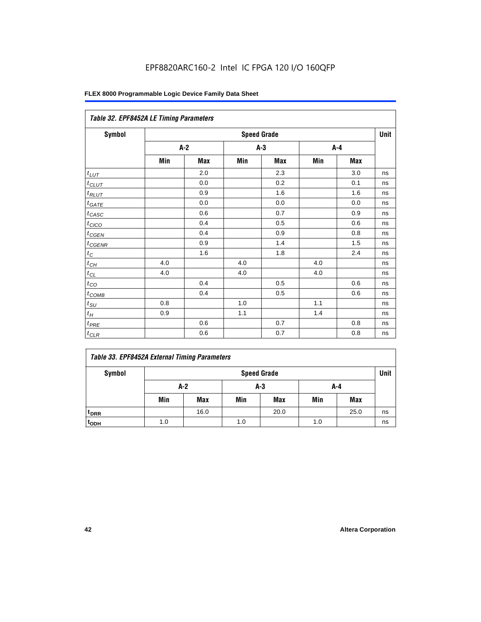| Table 32. EPF8452A LE Timing Parameters |                    |       |     |       |     |         |    |  |
|-----------------------------------------|--------------------|-------|-----|-------|-----|---------|----|--|
| <b>Symbol</b>                           | <b>Speed Grade</b> |       |     |       |     |         |    |  |
|                                         |                    | $A-2$ |     | $A-3$ |     | $A-4$   |    |  |
|                                         | Min                | Max   | Min | Max   | Min | Max     |    |  |
| $t_{LUT}$                               |                    | 2.0   |     | 2.3   |     | 3.0     | ns |  |
| $t_{CLUT}$                              |                    | 0.0   |     | 0.2   |     | 0.1     | ns |  |
| $t_{RLUT}$                              |                    | 0.9   |     | 1.6   |     | 1.6     | ns |  |
| $t_{\underline{GATE}}$                  |                    | 0.0   |     | 0.0   |     | 0.0     | ns |  |
| $t_{CASC}$                              |                    | 0.6   |     | 0.7   |     | 0.9     | ns |  |
| $t_{CICO}$                              |                    | 0.4   |     | 0.5   |     | 0.6     | ns |  |
| $t_{CGEN}$                              |                    | 0.4   |     | 0.9   |     | 0.8     | ns |  |
| $t_{CGENR}$                             |                    | 0.9   |     | 1.4   |     | 1.5     | ns |  |
| $t_C$                                   |                    | 1.6   |     | 1.8   |     | 2.4     | ns |  |
| $t_{\mathit{CH}}$                       | 4.0                |       | 4.0 |       | 4.0 |         | ns |  |
| $t_{\ensuremath{\textit{CL}}}$          | 4.0                |       | 4.0 |       | 4.0 |         | ns |  |
| $t_{CQ}$                                |                    | 0.4   |     | 0.5   |     | 0.6     | ns |  |
| $t_{\text{COMB}}$                       |                    | 0.4   |     | 0.5   |     | 0.6     | ns |  |
| $t_{\text{S}\underline{U}}$             | 0.8                |       | 1.0 |       | 1.1 |         | ns |  |
| $t_H\,$                                 | 0.9                |       | 1.1 |       | 1.4 |         | ns |  |
| $t_{PRE}$                               |                    | 0.6   |     | 0.7   |     | 0.8     | ns |  |
| $t_{CLR}$                               |                    | 0.6   |     | 0.7   |     | $0.8\,$ | ns |  |

### *Table 33. EPF8452A External Timing Parameters*

| Symbol                      | <b>Speed Grade</b> |      |     |            |     |            |    |
|-----------------------------|--------------------|------|-----|------------|-----|------------|----|
|                             |                    | A-2  |     | $A-3$      | A-4 |            |    |
|                             | Min                | Max  | Min | <b>Max</b> | Min | <b>Max</b> |    |
| <sup>t</sup> <sub>DRR</sub> |                    | 16.0 |     | 20.0       |     | 25.0       | ns |
| t <sub>ODH</sub>            | 1.0                |      | 1.0 |            | 1.0 |            | ns |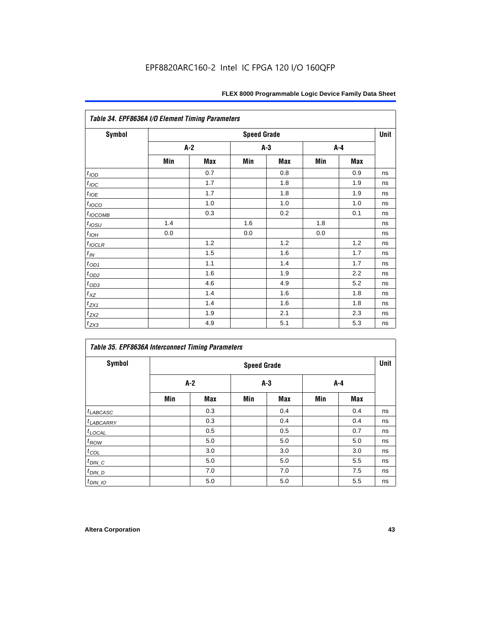| FLEX 8000 Programmable Logic Device Family Data Sheet |  |  |  |
|-------------------------------------------------------|--|--|--|
|-------------------------------------------------------|--|--|--|

| <b>Symbol</b>         |       |     | <b>Speed Grade</b> |     |     |     | Unit |
|-----------------------|-------|-----|--------------------|-----|-----|-----|------|
|                       | $A-2$ |     | $A-3$              |     | A-4 |     |      |
|                       | Min   | Max | Min                | Max | Min | Max |      |
| t <sub>IOD</sub>      |       | 0.7 |                    | 0.8 |     | 0.9 | ns   |
| $t_{\text{IOC}}$      |       | 1.7 |                    | 1.8 |     | 1.9 | ns   |
| $t_{IOE}$             |       | 1.7 |                    | 1.8 |     | 1.9 | ns   |
| $t_{IOCO}$            |       | 1.0 |                    | 1.0 |     | 1.0 | ns   |
| $t_{IOCOMB}$          |       | 0.3 |                    | 0.2 |     | 0.1 | ns   |
| $t_{IOSU}$            | 1.4   |     | 1.6                |     | 1.8 |     | ns   |
| $t_{IOH}$             | 0.0   |     | 0.0                |     | 0.0 |     | ns   |
| $t_{IOCLR}$           |       | 1.2 |                    | 1.2 |     | 1.2 | ns   |
| $t_{I\!N}$            |       | 1.5 |                    | 1.6 |     | 1.7 | ns   |
| $t_{OD1}$             |       | 1.1 |                    | 1.4 |     | 1.7 | ns   |
| $t_{\underline{OD2}}$ |       | 1.6 |                    | 1.9 |     | 2.2 | ns   |
| $t_{OD3}$             |       | 4.6 |                    | 4.9 |     | 5.2 | ns   |
| $t_{XZ}$              |       | 1.4 |                    | 1.6 |     | 1.8 | ns   |
| $t_{ZX1}$             |       | 1.4 |                    | 1.6 |     | 1.8 | ns   |
| $t_{ZX2}$             |       | 1.9 |                    | 2.1 |     | 2.3 | ns   |
| $t_{ZX3}$             |       | 4.9 |                    | 5.1 |     | 5.3 | ns   |

|                        | <b>Table 35. EPF8636A Interconnect Timing Parameters</b> |                    |       |            |     |     |    |  |  |  |  |  |
|------------------------|----------------------------------------------------------|--------------------|-------|------------|-----|-----|----|--|--|--|--|--|
| <b>Symbol</b>          |                                                          | <b>Speed Grade</b> |       |            |     |     |    |  |  |  |  |  |
|                        | A-2                                                      |                    | $A-3$ |            | A-4 |     |    |  |  |  |  |  |
|                        | Min                                                      | <b>Max</b>         | Min   | <b>Max</b> | Min | Max |    |  |  |  |  |  |
| $t_{LABCASC}$          |                                                          | 0.3                |       | 0.4        |     | 0.4 | ns |  |  |  |  |  |
| <sup>t</sup> LABCARRY  |                                                          | 0.3                |       | 0.4        |     | 0.4 | ns |  |  |  |  |  |
| $t_{LOCAL}$            |                                                          | 0.5                |       | 0.5        |     | 0.7 | ns |  |  |  |  |  |
| $t_{ROW}$              |                                                          | 5.0                |       | 5.0        |     | 5.0 | ns |  |  |  |  |  |
| $t_{COL}$              |                                                          | 3.0                |       | 3.0        |     | 3.0 | ns |  |  |  |  |  |
| $t_{DIN\_C}$           |                                                          | 5.0                |       | 5.0        |     | 5.5 | ns |  |  |  |  |  |
| $t_{D\underline{IN}D}$ |                                                          | 7.0                |       | 7.0        |     | 7.5 | ns |  |  |  |  |  |
| $t_{DIN\_IO}$          |                                                          | 5.0                |       | 5.0        |     | 5.5 | ns |  |  |  |  |  |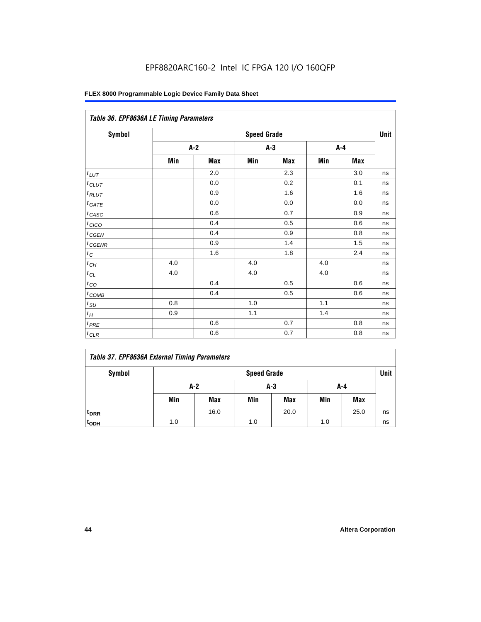| Table 36. EPF8636A LE Timing Parameters |       |                    |       |            |       |            |    |  |  |  |  |
|-----------------------------------------|-------|--------------------|-------|------------|-------|------------|----|--|--|--|--|
| Symbol                                  |       | <b>Speed Grade</b> |       |            |       |            |    |  |  |  |  |
|                                         | $A-2$ |                    | $A-3$ |            | $A-4$ |            |    |  |  |  |  |
|                                         | Min   | Max                | Min   | <b>Max</b> | Min   | <b>Max</b> |    |  |  |  |  |
| $t_{LUT}$                               |       | 2.0                |       | 2.3        |       | 3.0        | ns |  |  |  |  |
| $t_{CLUT}$                              |       | 0.0                |       | 0.2        |       | 0.1        | ns |  |  |  |  |
| $t_{RLUT}$                              |       | 0.9                |       | 1.6        |       | 1.6        | ns |  |  |  |  |
| $t_{GATE}$                              |       | 0.0                |       | 0.0        |       | 0.0        | ns |  |  |  |  |
| $t_{CASC}$                              |       | 0.6                |       | 0.7        |       | 0.9        | ns |  |  |  |  |
| t <sub>CICO</sub>                       |       | 0.4                |       | 0.5        |       | 0.6        | ns |  |  |  |  |
| $t_{GEN}$                               |       | 0.4                |       | 0.9        |       | 0.8        | ns |  |  |  |  |
| $t_{CGENR}$                             |       | 0.9                |       | 1.4        |       | 1.5        | ns |  |  |  |  |
| $t_C$                                   |       | 1.6                |       | 1.8        |       | 2.4        | ns |  |  |  |  |
| $t_{CH}$                                | 4.0   |                    | 4.0   |            | 4.0   |            | ns |  |  |  |  |
| $t_{CL}$                                | 4.0   |                    | 4.0   |            | 4.0   |            | ns |  |  |  |  |
| $t_{CO}$                                |       | 0.4                |       | 0.5        |       | 0.6        | ns |  |  |  |  |
| $t_{COMB}$                              |       | 0.4                |       | 0.5        |       | 0.6        | ns |  |  |  |  |
| $t_{SU}$                                | 0.8   |                    | 1.0   |            | 1.1   |            | ns |  |  |  |  |
| $t_H$                                   | 0.9   |                    | 1.1   |            | 1.4   |            | ns |  |  |  |  |
| $t_{PRE}$                               |       | 0.6                |       | 0.7        |       | 0.8        | ns |  |  |  |  |
| $t_{CLR}$                               |       | 0.6                |       | 0.7        |       | 0.8        | ns |  |  |  |  |

### *Table 37. EPF8636A External Timing Parameters*

| Symbol           |     | <b>Speed Grade</b>  |     |            |     |      |    |  |  |  |
|------------------|-----|---------------------|-----|------------|-----|------|----|--|--|--|
|                  |     | $A-2$<br>A-3<br>A-4 |     |            |     |      |    |  |  |  |
|                  | Min | <b>Max</b>          | Min | <b>Max</b> | Min | Max  |    |  |  |  |
| t <sub>DRR</sub> |     | 16.0                |     | 20.0       |     | 25.0 | ns |  |  |  |
| t <sub>ODH</sub> | 1.0 |                     | 1.0 |            | 1.0 |      | ns |  |  |  |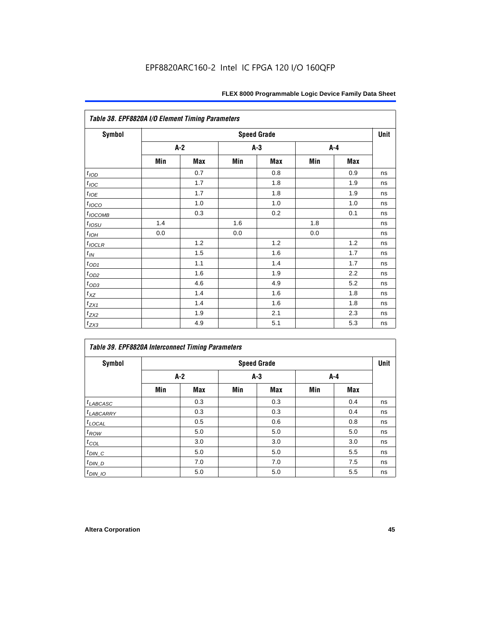|                                 | Table 38. EPF8820A I/O Element Timing Parameters |     |     |                    |     |            |      |  |  |  |  |  |
|---------------------------------|--------------------------------------------------|-----|-----|--------------------|-----|------------|------|--|--|--|--|--|
| <b>Symbol</b>                   |                                                  |     |     | <b>Speed Grade</b> |     |            | Unit |  |  |  |  |  |
|                                 |                                                  | A-2 |     | A-3                |     | A-4        |      |  |  |  |  |  |
|                                 | Min                                              | Max | Min | <b>Max</b>         | Min | <b>Max</b> |      |  |  |  |  |  |
| $t_{\textit{\scriptsize{IOD}}}$ |                                                  | 0.7 |     | 0.8                |     | 0.9        | ns   |  |  |  |  |  |
| $t_{\text{IOC}}$                |                                                  | 1.7 |     | 1.8                |     | 1.9        | ns   |  |  |  |  |  |
| $t_{IOE}$                       |                                                  | 1.7 |     | 1.8                |     | 1.9        | ns   |  |  |  |  |  |
| $t_{IOCO}$                      |                                                  | 1.0 |     | 1.0                |     | 1.0        | ns   |  |  |  |  |  |
| $t_{IOCOMB}$                    |                                                  | 0.3 |     | 0.2                |     | 0.1        | ns   |  |  |  |  |  |
| $t_{IOSU}$                      | 1.4                                              |     | 1.6 |                    | 1.8 |            | ns   |  |  |  |  |  |
| $t_{IOH}$                       | 0.0                                              |     | 0.0 |                    | 0.0 |            | ns   |  |  |  |  |  |
| $t_{IOCLR}$                     |                                                  | 1.2 |     | 1.2                |     | 1.2        | ns   |  |  |  |  |  |
| $t_{I\!N}$                      |                                                  | 1.5 |     | 1.6                |     | 1.7        | ns   |  |  |  |  |  |
| $t_{OD1}$                       |                                                  | 1.1 |     | 1.4                |     | 1.7        | ns   |  |  |  |  |  |
| $t_{\text{OD2}}$                |                                                  | 1.6 |     | 1.9                |     | 2.2        | ns   |  |  |  |  |  |
| $t_{OD3}$                       |                                                  | 4.6 |     | 4.9                |     | 5.2        | ns   |  |  |  |  |  |
| $t_{\text{XZ}}$                 |                                                  | 1.4 |     | 1.6                |     | 1.8        | ns   |  |  |  |  |  |
| $t_{ZX1}$                       |                                                  | 1.4 |     | 1.6                |     | 1.8        | ns   |  |  |  |  |  |
| $t_{ZX2}$                       |                                                  | 1.9 |     | 2.1                |     | 2.3        | ns   |  |  |  |  |  |
| $t_{ZX3}$                       |                                                  | 4.9 |     | 5.1                |     | 5.3        | ns   |  |  |  |  |  |

| <b>Table 39. EPF8820A Interconnect Timing Parameters</b> |     |                    |     |       |     |       |    |  |  |  |  |
|----------------------------------------------------------|-----|--------------------|-----|-------|-----|-------|----|--|--|--|--|
| Symbol                                                   |     | <b>Speed Grade</b> |     |       |     |       |    |  |  |  |  |
|                                                          | A-2 |                    |     | $A-3$ |     | $A-4$ |    |  |  |  |  |
|                                                          | Min | <b>Max</b>         | Min | Max   | Min | Max   |    |  |  |  |  |
| $t_{LABCASC}$                                            |     | 0.3                |     | 0.3   |     | 0.4   | ns |  |  |  |  |
| $t_{LABCARY}$                                            |     | 0.3                |     | 0.3   |     | 0.4   | ns |  |  |  |  |
| $t_{\text{LOCAL}}$                                       |     | 0.5                |     | 0.6   |     | 0.8   | ns |  |  |  |  |
| $t_{ROW}$                                                |     | 5.0                |     | 5.0   |     | 5.0   | ns |  |  |  |  |
| $t_{COL}$                                                |     | 3.0                |     | 3.0   |     | 3.0   | ns |  |  |  |  |
| $t_{DIN\_C}$                                             |     | 5.0                |     | 5.0   |     | 5.5   | ns |  |  |  |  |
| $t$ <sub>DIN_D</sub>                                     |     | 7.0                |     | 7.0   |     | 7.5   | ns |  |  |  |  |
| $t_{DIN\_IO}$                                            |     | 5.0                |     | 5.0   |     | 5.5   | ns |  |  |  |  |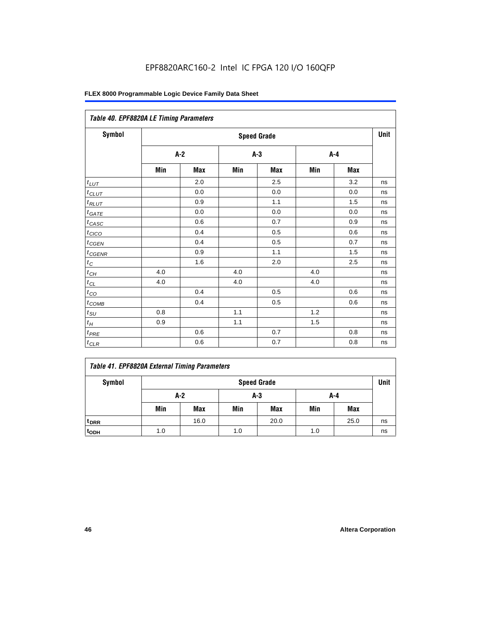| Table 40. EPF8820A LE Timing Parameters |       |     |     |                    |     |         |      |
|-----------------------------------------|-------|-----|-----|--------------------|-----|---------|------|
| Symbol                                  |       |     |     | <b>Speed Grade</b> |     |         | Unit |
|                                         | $A-2$ |     |     | $A-3$              |     | $A - 4$ |      |
|                                         | Min   | Max | Min | Max                | Min | Max     |      |
| $t_{LUT}$                               |       | 2.0 |     | 2.5                |     | 3.2     | ns   |
| $t_{CLUT}$                              |       | 0.0 |     | 0.0                |     | 0.0     | ns   |
| $t_{RLUT}$                              |       | 0.9 |     | 1.1                |     | 1.5     | ns   |
| $t_{GATE}$                              |       | 0.0 |     | 0.0                |     | 0.0     | ns   |
| $t_{CASC}$                              |       | 0.6 |     | 0.7                |     | 0.9     | ns   |
| t <sub>CICO</sub>                       |       | 0.4 |     | 0.5                |     | 0.6     | ns   |
| $t_{GEN}$                               |       | 0.4 |     | 0.5                |     | 0.7     | ns   |
| $t_{CGENR}$                             |       | 0.9 |     | 1.1                |     | 1.5     | ns   |
| $t_C$                                   |       | 1.6 |     | 2.0                |     | 2.5     | ns   |
| $t_{CH}$                                | 4.0   |     | 4.0 |                    | 4.0 |         | ns   |
| $t_{CL}$                                | 4.0   |     | 4.0 |                    | 4.0 |         | ns   |
| $t_{CO}$                                |       | 0.4 |     | 0.5                |     | 0.6     | ns   |
| $t_{COMB}$                              |       | 0.4 |     | 0.5                |     | 0.6     | ns   |
| $t_{SU}$                                | 0.8   |     | 1.1 |                    | 1.2 |         | ns   |
| $t_H\,$                                 | 0.9   |     | 1.1 |                    | 1.5 |         | ns   |
| $t_{PRE}$                               |       | 0.6 |     | 0.7                |     | 0.8     | ns   |
| $t_{CLR}$                               |       | 0.6 |     | 0.7                |     | 0.8     | ns   |

|  |  |  |  | Table 41. EPF8820A External Timing Parameters |
|--|--|--|--|-----------------------------------------------|
|--|--|--|--|-----------------------------------------------|

| Symbol           | <b>Speed Grade</b> |            |     |            |     |            |    |  |
|------------------|--------------------|------------|-----|------------|-----|------------|----|--|
|                  |                    | A-2        |     | $A-3$      | A-4 |            |    |  |
|                  | Min                | <b>Max</b> | Min | <b>Max</b> | Min | <b>Max</b> |    |  |
| t <sub>DRR</sub> |                    | 16.0       |     | 20.0       |     | 25.0       | ns |  |
| t <sub>ODH</sub> | 1.0                |            | 1.0 |            | 1.0 |            | ns |  |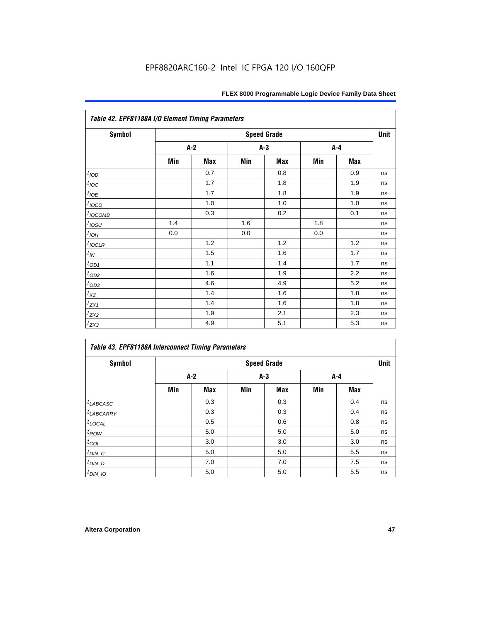| <b>Symbol</b>    |     |     |       | <b>Speed Grade</b> |     |     | Unit |
|------------------|-----|-----|-------|--------------------|-----|-----|------|
|                  | A-2 |     | $A-3$ |                    | A-4 |     |      |
|                  | Min | Max | Min   | Max                | Min | Max |      |
| t <sub>IOD</sub> |     | 0.7 |       | 0.8                |     | 0.9 | ns   |
| $t_{\text{IOC}}$ |     | 1.7 |       | 1.8                |     | 1.9 | ns   |
| $t_{IOE}$        |     | 1.7 |       | 1.8                |     | 1.9 | ns   |
| $t_{IOCO}$       |     | 1.0 |       | 1.0                |     | 1.0 | ns   |
| $t_{IOCOMB}$     |     | 0.3 |       | 0.2                |     | 0.1 | ns   |
| $t_{IOSU}$       | 1.4 |     | 1.6   |                    | 1.8 |     | ns   |
| $t_{IOH}$        | 0.0 |     | 0.0   |                    | 0.0 |     | ns   |
| $t_{IOCLR}$      |     | 1.2 |       | 1.2                |     | 1.2 | ns   |
| $t_{I\!N}$       |     | 1.5 |       | 1.6                |     | 1.7 | ns   |
| $t_{OD1}$        |     | 1.1 |       | 1.4                |     | 1.7 | ns   |
| $t_{\text{OD2}}$ |     | 1.6 |       | 1.9                |     | 2.2 | ns   |
| $t_{OD3}$        |     | 4.6 |       | 4.9                |     | 5.2 | ns   |
| $t_{X\!Z}$       |     | 1.4 |       | 1.6                |     | 1.8 | ns   |
| $t_{ZX1}$        |     | 1.4 |       | 1.6                |     | 1.8 | ns   |
| $t_{ZX2}$        |     | 1.9 |       | 2.1                |     | 2.3 | ns   |
| $t_{ZX3}$        |     | 4.9 |       | 5.1                |     | 5.3 | ns   |

| Table 43. EPF81188A Interconnect Timing Parameters |       |     |     |                    |     |            |      |  |  |  |  |
|----------------------------------------------------|-------|-----|-----|--------------------|-----|------------|------|--|--|--|--|
| <b>Symbol</b>                                      |       |     |     | <b>Speed Grade</b> |     |            | Unit |  |  |  |  |
|                                                    | $A-2$ |     |     | $A-3$              |     | A-4        |      |  |  |  |  |
|                                                    | Min   | Max | Min | <b>Max</b>         | Min | <b>Max</b> |      |  |  |  |  |
| $t_{LABCASC}$                                      |       | 0.3 |     | 0.3                |     | 0.4        | ns   |  |  |  |  |
| $t_{LABCARY}$                                      |       | 0.3 |     | 0.3                |     | 0.4        | ns   |  |  |  |  |
| $t_{\text{LOCAL}}$                                 |       | 0.5 |     | 0.6                |     | 0.8        | ns   |  |  |  |  |
| $t_{ROW}$                                          |       | 5.0 |     | 5.0                |     | 5.0        | ns   |  |  |  |  |
| $t_{COL}$                                          |       | 3.0 |     | 3.0                |     | 3.0        | ns   |  |  |  |  |
| $t_{DIN\_C}$                                       |       | 5.0 |     | 5.0                |     | 5.5        | ns   |  |  |  |  |
| $t_{DIN\_D}$                                       |       | 7.0 |     | 7.0                |     | 7.5        | ns   |  |  |  |  |
| $t_{DIN_1O}$                                       |       | 5.0 |     | 5.0                |     | 5.5        | ns   |  |  |  |  |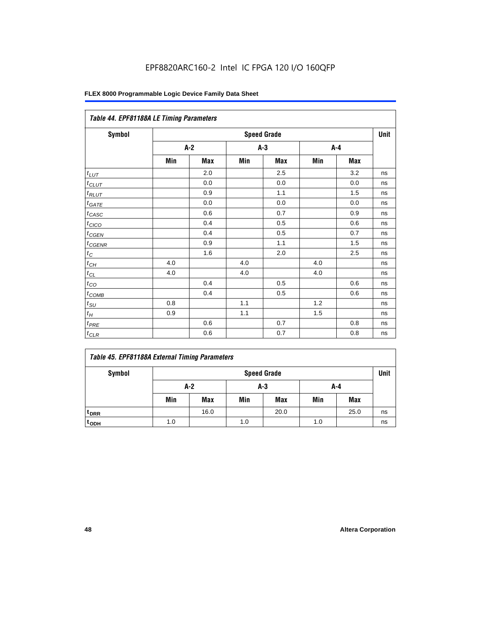| Table 44. EPF81188A LE Timing Parameters |       |     |       |                    |     |     |      |
|------------------------------------------|-------|-----|-------|--------------------|-----|-----|------|
| Symbol                                   |       |     |       | <b>Speed Grade</b> |     |     | Unit |
|                                          | $A-2$ |     | $A-3$ |                    | A-4 |     |      |
|                                          | Min   | Max | Min   | Max                | Min | Max |      |
| $t_{LUT}$                                |       | 2.0 |       | 2.5                |     | 3.2 | ns   |
| $t_{CLUT}$                               |       | 0.0 |       | 0.0                |     | 0.0 | ns   |
| $t_{RLUT}$                               |       | 0.9 |       | 1.1                |     | 1.5 | ns   |
| $t_{GATE}$                               |       | 0.0 |       | 0.0                |     | 0.0 | ns   |
| $t_{CASC}$                               |       | 0.6 |       | 0.7                |     | 0.9 | ns   |
| $t_{CICO}$                               |       | 0.4 |       | 0.5                |     | 0.6 | ns   |
| $t_{GEN}$                                |       | 0.4 |       | 0.5                |     | 0.7 | ns   |
| $t_{CGENR}$                              |       | 0.9 |       | 1.1                |     | 1.5 | ns   |
| $t_C$                                    |       | 1.6 |       | 2.0                |     | 2.5 | ns   |
| $t_{\mathit{CH}}$                        | 4.0   |     | 4.0   |                    | 4.0 |     | ns   |
| $t_{CL}$                                 | 4.0   |     | 4.0   |                    | 4.0 |     | ns   |
| $t_{CO}$                                 |       | 0.4 |       | 0.5                |     | 0.6 | ns   |
| $t_{\text{COMB}}$                        |       | 0.4 |       | 0.5                |     | 0.6 | ns   |
| $t_{SU}$                                 | 0.8   |     | 1.1   |                    | 1.2 |     | ns   |
| $t_H$                                    | 0.9   |     | 1.1   |                    | 1.5 |     | ns   |
| $t_{PRE}$                                |       | 0.6 |       | 0.7                |     | 0.8 | ns   |
| $t_{CLR}$                                |       | 0.6 |       | 0.7                |     | 0.8 | ns   |

|  |  |  |  | Table 45. EPF81188A External Timing Parameters |
|--|--|--|--|------------------------------------------------|
|--|--|--|--|------------------------------------------------|

| Symbol           | <b>Speed Grade</b> |            |     |            |     |            |    |
|------------------|--------------------|------------|-----|------------|-----|------------|----|
|                  | $A-2$              |            | A-3 |            | A-4 |            |    |
|                  | Min                | <b>Max</b> | Min | <b>Max</b> | Min | <b>Max</b> |    |
| t <sub>DRR</sub> |                    | 16.0       |     | 20.0       |     | 25.0       | ns |
| t <sub>ODH</sub> | 1.0                |            | 1.0 |            | 1.0 |            | ns |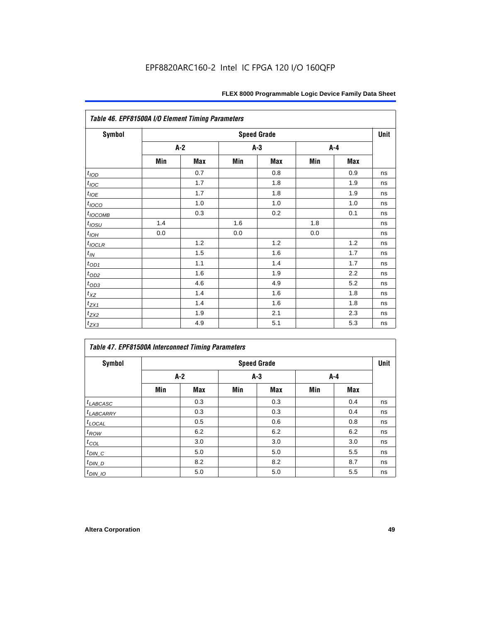| Table 46. EPF81500A I/O Element Timing Parameters |     |     |       |                    |     |            |      |  |  |
|---------------------------------------------------|-----|-----|-------|--------------------|-----|------------|------|--|--|
| <b>Symbol</b>                                     |     |     |       | <b>Speed Grade</b> |     |            | Unit |  |  |
|                                                   |     | A-2 | $A-3$ |                    |     | $A-4$      |      |  |  |
|                                                   | Min | Max | Min   | <b>Max</b>         | Min | <b>Max</b> |      |  |  |
| t <sub>IOD</sub>                                  |     | 0.7 |       | 0.8                |     | 0.9        | ns   |  |  |
| $t_{\text{IOC}}$                                  |     | 1.7 |       | 1.8                |     | 1.9        | ns   |  |  |
| $t_{IOE}$                                         |     | 1.7 |       | 1.8                |     | 1.9        | ns   |  |  |
| $t_{IOCO}$                                        |     | 1.0 |       | 1.0                |     | 1.0        | ns   |  |  |
| $t_{IOCOMB}$                                      |     | 0.3 |       | 0.2                |     | 0.1        | ns   |  |  |
| $t_{IQSU}$                                        | 1.4 |     | 1.6   |                    | 1.8 |            | ns   |  |  |
| $t_{IOH}$                                         | 0.0 |     | 0.0   |                    | 0.0 |            | ns   |  |  |
| $t_{IOCLR}$                                       |     | 1.2 |       | 1.2                |     | 1.2        | ns   |  |  |
| $t_{I\!N}$                                        |     | 1.5 |       | 1.6                |     | 1.7        | ns   |  |  |
| $t_{OD1}$                                         |     | 1.1 |       | 1.4                |     | 1.7        | ns   |  |  |
| $t_{\underline{OD2}}$                             |     | 1.6 |       | 1.9                |     | 2.2        | ns   |  |  |
| $t_{OD3}$                                         |     | 4.6 |       | 4.9                |     | 5.2        | ns   |  |  |
| $t_{XZ}$                                          |     | 1.4 |       | 1.6                |     | 1.8        | ns   |  |  |
| $t_{ZX1}$                                         |     | 1.4 |       | 1.6                |     | 1.8        | ns   |  |  |
| $t_{ZX2}$                                         |     | 1.9 |       | 2.1                |     | 2.3        | ns   |  |  |
| $t_{ZX3}$                                         |     | 4.9 |       | 5.1                |     | 5.3        | ns   |  |  |

| Table 47. EPF81500A Interconnect Timing Parameters |     |            |       |                    |       |            |      |  |  |  |
|----------------------------------------------------|-----|------------|-------|--------------------|-------|------------|------|--|--|--|
| Symbol                                             |     |            |       | <b>Speed Grade</b> |       |            | Unit |  |  |  |
|                                                    |     | $A-2$      | $A-3$ |                    | $A-4$ |            |      |  |  |  |
|                                                    | Min | <b>Max</b> | Min   | <b>Max</b>         | Min   | <b>Max</b> |      |  |  |  |
| $t_{LABCASC}$                                      |     | 0.3        |       | 0.3                |       | 0.4        | ns   |  |  |  |
| $t_{LABCARY}$                                      |     | 0.3        |       | 0.3                |       | 0.4        | ns   |  |  |  |
| $t_{\text{LOCAL}}$                                 |     | 0.5        |       | 0.6                |       | 0.8        | ns   |  |  |  |
| $t_{ROW}$                                          |     | 6.2        |       | 6.2                |       | 6.2        | ns   |  |  |  |
| $t_{COL}$                                          |     | 3.0        |       | 3.0                |       | 3.0        | ns   |  |  |  |
| $t_{DIN\_C}$                                       |     | 5.0        |       | 5.0                |       | 5.5        | ns   |  |  |  |
| $t_{DIN\_D}$                                       |     | 8.2        |       | 8.2                |       | 8.7        | ns   |  |  |  |
| $t_{DIN\_IO}$                                      |     | 5.0        |       | 5.0                |       | 5.5        | ns   |  |  |  |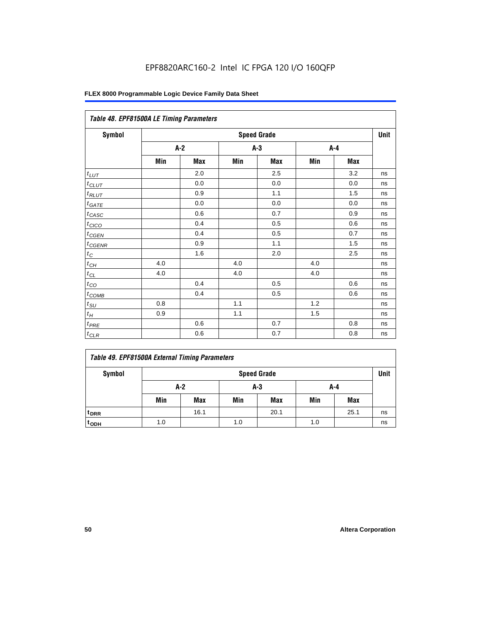| Table 48. EPF81500A LE Timing Parameters |     |       |     |                    |     |     |      |  |  |
|------------------------------------------|-----|-------|-----|--------------------|-----|-----|------|--|--|
| Symbol                                   |     |       |     | <b>Speed Grade</b> |     |     | Unit |  |  |
|                                          |     | $A-2$ |     | $A-3$              |     | A-4 |      |  |  |
|                                          | Min | Max   | Min | Max                | Min | Max |      |  |  |
| $t_{LUT}$                                |     | 2.0   |     | 2.5                |     | 3.2 | ns   |  |  |
| $t_{CLUT}$                               |     | 0.0   |     | 0.0                |     | 0.0 | ns   |  |  |
| $t_{RLUT}$                               |     | 0.9   |     | 1.1                |     | 1.5 | ns   |  |  |
| $t_{\underline{GATE}}$                   |     | 0.0   |     | 0.0                |     | 0.0 | ns   |  |  |
| $t_{CASC}$                               |     | 0.6   |     | 0.7                |     | 0.9 | ns   |  |  |
| $t_{CICO}$                               |     | 0.4   |     | 0.5                |     | 0.6 | ns   |  |  |
| $t_{CGEN}$                               |     | 0.4   |     | 0.5                |     | 0.7 | ns   |  |  |
| $t_{CGENR}$                              |     | 0.9   |     | 1.1                |     | 1.5 | ns   |  |  |
| $t_C$                                    |     | 1.6   |     | 2.0                |     | 2.5 | ns   |  |  |
| $t_{\mathit{CH}}$                        | 4.0 |       | 4.0 |                    | 4.0 |     | ns   |  |  |
| $t_{CL}$                                 | 4.0 |       | 4.0 |                    | 4.0 |     | ns   |  |  |
| $t_{\rm CO}$                             |     | 0.4   |     | 0.5                |     | 0.6 | ns   |  |  |
| $t_{\text{COMB}}$                        |     | 0.4   |     | 0.5                |     | 0.6 | ns   |  |  |
| $t_{\text{SU}}$                          | 0.8 |       | 1.1 |                    | 1.2 |     | ns   |  |  |
| $t_H$                                    | 0.9 |       | 1.1 |                    | 1.5 |     | ns   |  |  |
| $t_{PRE}$                                |     | 0.6   |     | 0.7                |     | 0.8 | ns   |  |  |
| $t_{CLR}$                                |     | 0.6   |     | 0.7                |     | 0.8 | ns   |  |  |

|  |  |  |  | Table 49. EPF81500A External Timing Parameters |
|--|--|--|--|------------------------------------------------|
|--|--|--|--|------------------------------------------------|

| Symbol             | <b>Speed Grade</b> |            |     |            |     |            | Unit |
|--------------------|--------------------|------------|-----|------------|-----|------------|------|
|                    | A-2                |            | A-3 |            | A-4 |            |      |
|                    | Min                | <b>Max</b> | Min | <b>Max</b> | Min | <b>Max</b> |      |
| t <sub>DRR</sub>   |                    | 16.1       |     | 20.1       |     | 25.1       | ns   |
| $t$ <sub>ODH</sub> | 1.0                |            | 1.0 |            | 1.0 |            | ns   |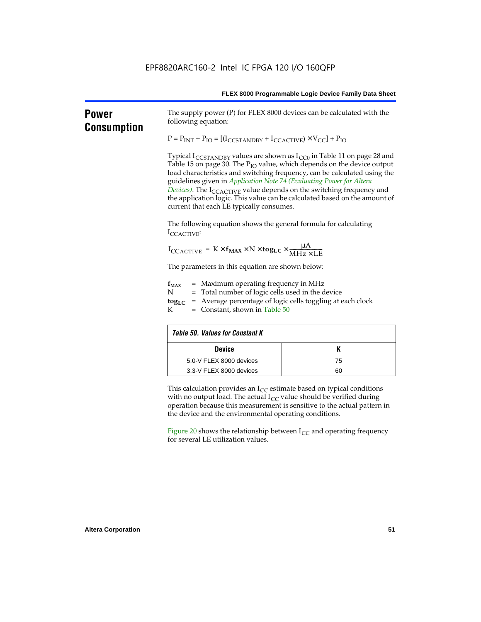| <b>Power</b><br><b>Consumption</b> | The supply power (P) for FLEX 8000 devices can be calculated with the<br>following equation:                                                                                                                                                                                                                                                                                                                                                                                                                                                            |    |  |  |  |  |  |
|------------------------------------|---------------------------------------------------------------------------------------------------------------------------------------------------------------------------------------------------------------------------------------------------------------------------------------------------------------------------------------------------------------------------------------------------------------------------------------------------------------------------------------------------------------------------------------------------------|----|--|--|--|--|--|
|                                    | $P = P_{INT} + P_{IO} = [(I_{CCSTANDBY} + I_{CCACTIVE}) \times V_{CC}] + P_{IO}$                                                                                                                                                                                                                                                                                                                                                                                                                                                                        |    |  |  |  |  |  |
|                                    | Typical $I_{\text{CCSTANDBY}}$ values are shown as $I_{\text{CC0}}$ in Table 11 on page 28 and<br>Table 15 on page 30. The P <sub>IO</sub> value, which depends on the device output<br>load characteristics and switching frequency, can be calculated using the<br>guidelines given in Application Note 74 (Evaluating Power for Altera<br>Devices). The I <sub>CCACTIVE</sub> value depends on the switching frequency and<br>the application logic. This value can be calculated based on the amount of<br>current that each LE typically consumes. |    |  |  |  |  |  |
|                                    | The following equation shows the general formula for calculating<br>ICCACTIVE:                                                                                                                                                                                                                                                                                                                                                                                                                                                                          |    |  |  |  |  |  |
|                                    | $I_{\text{CCACTIVE}} = K \times f_{\text{MAX}} \times N \times \text{togLC} \times \frac{\mu A}{\text{MHz} \times \text{LE}}$                                                                                                                                                                                                                                                                                                                                                                                                                           |    |  |  |  |  |  |
|                                    | The parameters in this equation are shown below:                                                                                                                                                                                                                                                                                                                                                                                                                                                                                                        |    |  |  |  |  |  |
|                                    | $=$ Maximum operating frequency in MHz<br>$f_{MAX}$<br>Ν<br>= Total number of logic cells used in the device<br>= Average percentage of logic cells toggling at each clock<br>$\log_{LC}$<br>К<br>$=$ Constant, shown in Table 50                                                                                                                                                                                                                                                                                                                       |    |  |  |  |  |  |
|                                    | <b>Table 50. Values for Constant K</b>                                                                                                                                                                                                                                                                                                                                                                                                                                                                                                                  |    |  |  |  |  |  |
|                                    | <b>Device</b>                                                                                                                                                                                                                                                                                                                                                                                                                                                                                                                                           | Κ  |  |  |  |  |  |
|                                    | 5.0-V FLEX 8000 devices                                                                                                                                                                                                                                                                                                                                                                                                                                                                                                                                 | 75 |  |  |  |  |  |
|                                    | 3.3-V FLEX 8000 devices                                                                                                                                                                                                                                                                                                                                                                                                                                                                                                                                 | 60 |  |  |  |  |  |
|                                    | This calculation provides an $I_{CC}$ estimate based on typical conditions<br>with no output load. The actual $I_{CC}$ value should be verified during<br>operation because this measurement is sensitive to the actual pattern in<br>the device and the environmental operating conditions.                                                                                                                                                                                                                                                            |    |  |  |  |  |  |
|                                    | Figure 20 shows the relationship between $I_{CC}$ and operating frequency<br>for several LE utilization values.                                                                                                                                                                                                                                                                                                                                                                                                                                         |    |  |  |  |  |  |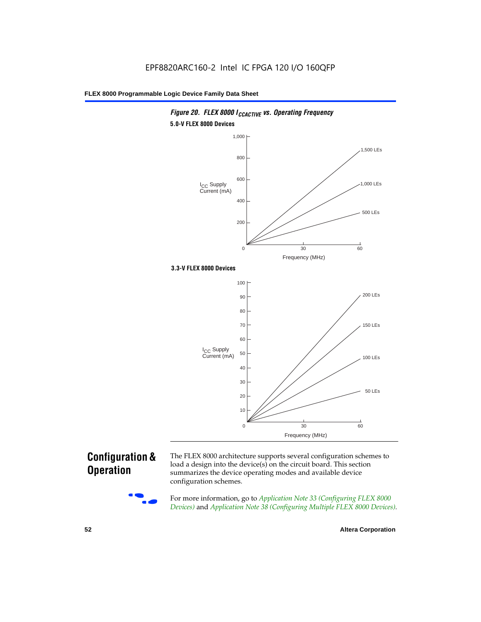

### *Figure 20. FLEX 8000 I<sub>CCACTIVE</sub> vs. Operating Frequency* **5.0-V FLEX 8000 Devices**

### **Configuration & Operation**



The FLEX 8000 architecture supports several configuration schemes to load a design into the device(s) on the circuit board. This section summarizes the device operating modes and available device configuration schemes.

For more information, go to *Application Note 33 (Configuring FLEX 8000 Devices)* and *Application Note 38 (Configuring Multiple FLEX 8000 Devices)*.

**52 Altera Corporation**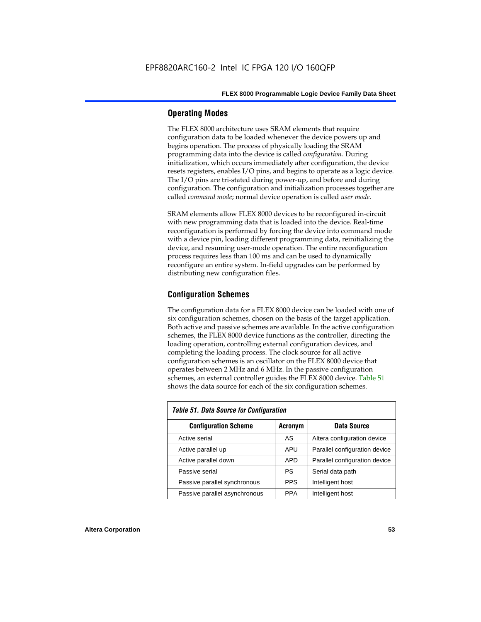### **Operating Modes**

The FLEX 8000 architecture uses SRAM elements that require configuration data to be loaded whenever the device powers up and begins operation. The process of physically loading the SRAM programming data into the device is called *configuration*. During initialization, which occurs immediately after configuration, the device resets registers, enables I/O pins, and begins to operate as a logic device. The I/O pins are tri-stated during power-up, and before and during configuration. The configuration and initialization processes together are called *command mode*; normal device operation is called *user mode*.

SRAM elements allow FLEX 8000 devices to be reconfigured in-circuit with new programming data that is loaded into the device. Real-time reconfiguration is performed by forcing the device into command mode with a device pin, loading different programming data, reinitializing the device, and resuming user-mode operation. The entire reconfiguration process requires less than 100 ms and can be used to dynamically reconfigure an entire system. In-field upgrades can be performed by distributing new configuration files.

### **Configuration Schemes**

The configuration data for a FLEX 8000 device can be loaded with one of six configuration schemes, chosen on the basis of the target application. Both active and passive schemes are available. In the active configuration schemes, the FLEX 8000 device functions as the controller, directing the loading operation, controlling external configuration devices, and completing the loading process. The clock source for all active configuration schemes is an oscillator on the FLEX 8000 device that operates between 2 MHz and 6 MHz. In the passive configuration schemes, an external controller guides the FLEX 8000 device. Table 51 shows the data source for each of the six configuration schemes.

| <b>Table 51. Data Source for Configuration</b> |                |                               |  |  |  |  |  |  |  |
|------------------------------------------------|----------------|-------------------------------|--|--|--|--|--|--|--|
| <b>Configuration Scheme</b>                    | <b>Acronym</b> | Data Source                   |  |  |  |  |  |  |  |
| Active serial                                  | AS             | Altera configuration device   |  |  |  |  |  |  |  |
| Active parallel up                             | APU            | Parallel configuration device |  |  |  |  |  |  |  |
| Active parallel down                           | <b>APD</b>     | Parallel configuration device |  |  |  |  |  |  |  |
| Passive serial                                 | PS             | Serial data path              |  |  |  |  |  |  |  |
| Passive parallel synchronous                   | <b>PPS</b>     | Intelligent host              |  |  |  |  |  |  |  |
| Passive parallel asynchronous                  | <b>PPA</b>     | Intelligent host              |  |  |  |  |  |  |  |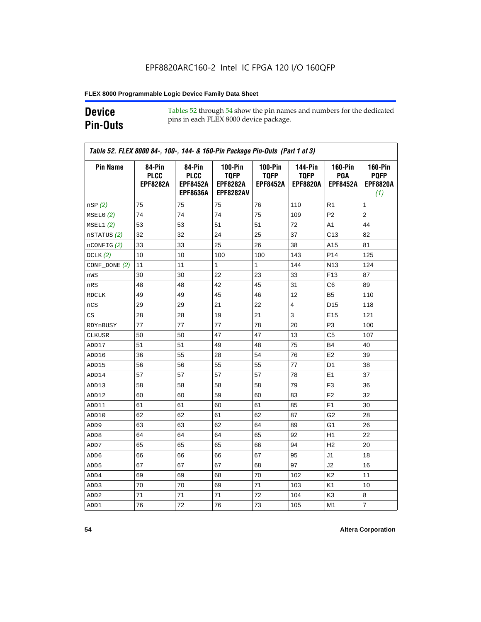### **Device Pin-Outs**

Tables 52 through 54 show the pin names and numbers for the dedicated pins in each FLEX 8000 device package.

| <b>Pin Name</b>  | 84-Pin<br><b>PLCC</b><br><b>EPF8282A</b> | 84-Pin<br><b>PLCC</b><br><b>EPF8452A</b><br><b>EPF8636A</b> | <b>100-Pin</b><br><b>TQFP</b><br><b>EPF8282A</b><br><b>EPF8282AV</b> | <b>100-Pin</b><br><b>TQFP</b><br><b>EPF8452A</b> | 144-Pin<br><b>TQFP</b><br><b>EPF8820A</b> | <b>160-Pin</b><br>PGA<br><b>EPF8452A</b> | <b>160-Pin</b><br><b>PQFP</b><br><b>EPF8820A</b><br>(1) |
|------------------|------------------------------------------|-------------------------------------------------------------|----------------------------------------------------------------------|--------------------------------------------------|-------------------------------------------|------------------------------------------|---------------------------------------------------------|
| nSP(2)           | 75                                       | 75                                                          | 75                                                                   | 76                                               | 110                                       | R1                                       | 1                                                       |
| MSELO(2)         | 74                                       | 74                                                          | 74                                                                   | 75                                               | 109                                       | P <sub>2</sub>                           | $\overline{2}$                                          |
| MSEL1(2)         | 53                                       | 53                                                          | 51                                                                   | 51                                               | 72                                        | A1                                       | 44                                                      |
| nSTATUS (2)      | 32                                       | 32                                                          | 24                                                                   | 25                                               | 37                                        | C <sub>13</sub>                          | 82                                                      |
| $n$ CONFIG $(2)$ | 33                                       | 33                                                          | 25                                                                   | 26                                               | 38                                        | A15                                      | 81                                                      |
| DCLK $(2)$       | 10                                       | 10                                                          | 100                                                                  | 100                                              | 143                                       | P <sub>14</sub>                          | 125                                                     |
| $CONF\_DONE(2)$  | 11                                       | 11                                                          | $\mathbf{1}$                                                         | $\mathbf{1}$                                     | 144                                       | N <sub>13</sub>                          | 124                                                     |
| nWS              | 30                                       | 30                                                          | 22                                                                   | 23                                               | 33                                        | F <sub>13</sub>                          | 87                                                      |
| nRS              | 48                                       | 48                                                          | 42                                                                   | 45                                               | 31                                        | C6                                       | 89                                                      |
| <b>RDCLK</b>     | 49                                       | 49                                                          | 45                                                                   | 46                                               | 12                                        | B <sub>5</sub>                           | 110                                                     |
| nCS              | 29                                       | 29                                                          | 21                                                                   | 22                                               | 4                                         | D <sub>15</sub>                          | 118                                                     |
| CS               | 28                                       | 28                                                          | 19                                                                   | 21                                               | 3                                         | E <sub>15</sub>                          | 121                                                     |
| RDYnBUSY         | 77                                       | 77                                                          | 77                                                                   | 78                                               | 20                                        | P3                                       | 100                                                     |
| CLKUSR           | 50                                       | 50                                                          | 47                                                                   | 47                                               | 13                                        | C <sub>5</sub>                           | 107                                                     |
| ADD17            | 51                                       | 51                                                          | 49                                                                   | 48                                               | 75                                        | <b>B4</b>                                | 40                                                      |
| ADD16            | 36                                       | 55                                                          | 28                                                                   | 54                                               | 76                                        | E <sub>2</sub>                           | 39                                                      |
| ADD15            | 56                                       | 56                                                          | 55                                                                   | 55                                               | 77                                        | D <sub>1</sub>                           | 38                                                      |
| ADD14            | 57                                       | 57                                                          | 57                                                                   | 57                                               | 78                                        | E <sub>1</sub>                           | 37                                                      |
| ADD13            | 58                                       | 58                                                          | 58                                                                   | 58                                               | 79                                        | F <sub>3</sub>                           | 36                                                      |
| ADD12            | 60                                       | 60                                                          | 59                                                                   | 60                                               | 83                                        | F <sub>2</sub>                           | 32                                                      |
| ADD11            | 61                                       | 61                                                          | 60                                                                   | 61                                               | 85                                        | F <sub>1</sub>                           | 30                                                      |
| ADD10            | 62                                       | 62                                                          | 61                                                                   | 62                                               | 87                                        | G2                                       | 28                                                      |
| ADD <sub>9</sub> | 63                                       | 63                                                          | 62                                                                   | 64                                               | 89                                        | G1                                       | 26                                                      |
| ADD <sub>8</sub> | 64                                       | 64                                                          | 64                                                                   | 65                                               | 92                                        | H1                                       | 22                                                      |
| ADD7             | 65                                       | 65                                                          | 65                                                                   | 66                                               | 94                                        | H <sub>2</sub>                           | 20                                                      |
| ADD6             | 66                                       | 66                                                          | 66                                                                   | 67                                               | 95                                        | J1                                       | 18                                                      |
| ADD <sub>5</sub> | 67                                       | 67                                                          | 67                                                                   | 68                                               | 97                                        | J2                                       | 16                                                      |
| ADD4             | 69                                       | 69                                                          | 68                                                                   | 70                                               | 102                                       | K <sub>2</sub>                           | 11                                                      |
| ADD3             | 70                                       | 70                                                          | 69                                                                   | 71                                               | 103                                       | K <sub>1</sub>                           | 10                                                      |
| ADD <sub>2</sub> | 71                                       | 71                                                          | 71                                                                   | 72                                               | 104                                       | K3                                       | 8                                                       |
| ADD1             | 76                                       | 72                                                          | 76                                                                   | 73                                               | 105                                       | M1                                       | $\overline{7}$                                          |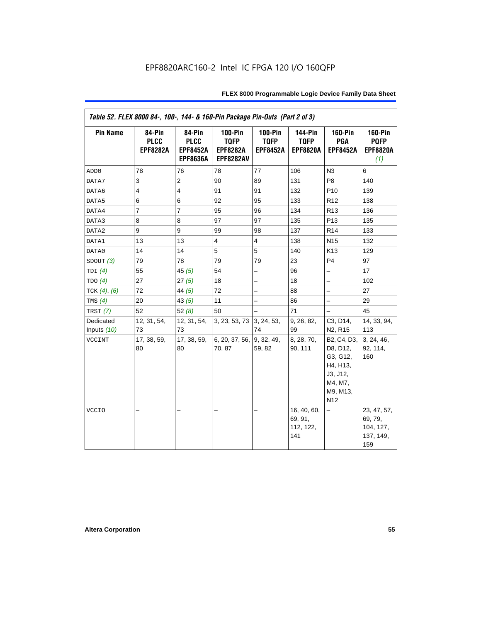|                   | Table 52. FLEX 8000 84-, 100-, 144- & 160-Pin Package Pin-Outs (Part 2 of 3) |                                                             |                                                                      |                                                  |                                                  |                                                                                                                                              |                                                         |  |  |  |
|-------------------|------------------------------------------------------------------------------|-------------------------------------------------------------|----------------------------------------------------------------------|--------------------------------------------------|--------------------------------------------------|----------------------------------------------------------------------------------------------------------------------------------------------|---------------------------------------------------------|--|--|--|
| <b>Pin Name</b>   | 84-Pin<br><b>PLCC</b><br><b>EPF8282A</b>                                     | 84-Pin<br><b>PLCC</b><br><b>EPF8452A</b><br><b>EPF8636A</b> | <b>100-Pin</b><br><b>TQFP</b><br><b>EPF8282A</b><br><b>EPF8282AV</b> | <b>100-Pin</b><br><b>TQFP</b><br><b>EPF8452A</b> | <b>144-Pin</b><br><b>TQFP</b><br><b>EPF8820A</b> | <b>160-Pin</b><br>PGA<br><b>EPF8452A</b>                                                                                                     | <b>160-Pin</b><br><b>PQFP</b><br><b>EPF8820A</b><br>(1) |  |  |  |
| ADD <sub>0</sub>  | 78                                                                           | 76                                                          | 78                                                                   | 77                                               | 106                                              | N <sub>3</sub>                                                                                                                               | 6                                                       |  |  |  |
| DATA7             | 3                                                                            | 2                                                           | 90                                                                   | 89                                               | 131                                              | P <sub>8</sub>                                                                                                                               | 140                                                     |  |  |  |
| DATA6             | $\overline{4}$                                                               | $\overline{4}$                                              | 91                                                                   | 91                                               | 132                                              | P <sub>10</sub>                                                                                                                              | 139                                                     |  |  |  |
| DATA5             | $\,6$                                                                        | $\,6$                                                       | 92                                                                   | 95                                               | 133                                              | R <sub>12</sub>                                                                                                                              | 138                                                     |  |  |  |
| DATA4             | $\overline{7}$                                                               | $\overline{7}$                                              | 95                                                                   | 96                                               | 134                                              | R <sub>13</sub>                                                                                                                              | 136                                                     |  |  |  |
| DATA3             | 8                                                                            | 8                                                           | 97                                                                   | 97                                               | 135                                              | P <sub>13</sub>                                                                                                                              | 135                                                     |  |  |  |
| DATA2             | 9                                                                            | 9                                                           | 99                                                                   | 98                                               | 137                                              | R <sub>14</sub>                                                                                                                              | 133                                                     |  |  |  |
| DATA1             | 13                                                                           | 13                                                          | $\overline{\mathbf{4}}$                                              | $\overline{4}$                                   | 138                                              | N <sub>15</sub>                                                                                                                              | 132                                                     |  |  |  |
| DATA0             | 14                                                                           | 14                                                          | 5                                                                    | 5                                                | 140                                              | K <sub>13</sub>                                                                                                                              | 129                                                     |  |  |  |
| SDOUT(3)          | 79                                                                           | 78                                                          | 79                                                                   | 79                                               | 23                                               | P <sub>4</sub>                                                                                                                               | 97                                                      |  |  |  |
| TDI $(4)$         | 55                                                                           | 45 $(5)$                                                    | 54                                                                   | $\overline{\phantom{0}}$                         | 96                                               | $\overline{\phantom{0}}$                                                                                                                     | 17                                                      |  |  |  |
| TDO(4)            | 27                                                                           | 27(5)                                                       | 18                                                                   | -                                                | 18                                               | $\overline{\phantom{0}}$                                                                                                                     | 102                                                     |  |  |  |
| TCK $(4)$ , $(6)$ | 72                                                                           | 44 $(5)$                                                    | 72                                                                   | -                                                | 88                                               | $\overline{a}$                                                                                                                               | 27                                                      |  |  |  |
| TMS $(4)$         | 20                                                                           | 43(5)                                                       | 11                                                                   | -                                                | 86                                               | -                                                                                                                                            | 29                                                      |  |  |  |
| TRST $(7)$        | 52                                                                           | 52 $(8)$                                                    | 50                                                                   |                                                  | 71                                               |                                                                                                                                              | 45                                                      |  |  |  |
| Dedicated         | 12, 31, 54,                                                                  | 12, 31, 54,                                                 | 3, 23, 53, 73                                                        | 3, 24, 53,                                       | 9, 26, 82,                                       | C3, D14,                                                                                                                                     | 14, 33, 94,                                             |  |  |  |
| Inputs $(10)$     | 73                                                                           | 73                                                          |                                                                      | 74                                               | 99                                               | N <sub>2</sub> , R <sub>15</sub>                                                                                                             | 113                                                     |  |  |  |
| VCCINT            | 17, 38, 59,<br>80                                                            | 17, 38, 59,<br>80                                           | 6, 20, 37, 56,<br>70, 87                                             | 9, 32, 49,<br>59, 82                             | 8, 28, 70,<br>90, 111                            | B <sub>2</sub> , C <sub>4</sub> , D <sub>3</sub> ,<br>D8, D12,<br>G3, G12,<br>H4, H13,<br>J3, J12,<br>M4, M7,<br>M9, M13,<br>N <sub>12</sub> | 3, 24, 46,<br>92, 114,<br>160                           |  |  |  |
| <b>VCCIO</b>      |                                                                              |                                                             |                                                                      | $\overline{\phantom{0}}$                         | 16, 40, 60,<br>69, 91,<br>112, 122,<br>141       | -                                                                                                                                            | 23, 47, 57,<br>69, 79,<br>104, 127,<br>137, 149,<br>159 |  |  |  |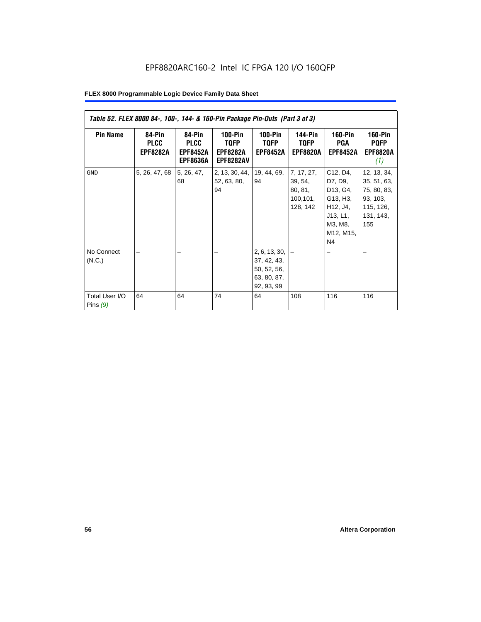| Table 52. FLEX 8000 84-, 100-, 144- & 160-Pin Package Pin-Outs (Part 3 of 3) |                                          |                                                             |                                                          |                                                                                |                                                           |                                                                                                               |                                                                                        |
|------------------------------------------------------------------------------|------------------------------------------|-------------------------------------------------------------|----------------------------------------------------------|--------------------------------------------------------------------------------|-----------------------------------------------------------|---------------------------------------------------------------------------------------------------------------|----------------------------------------------------------------------------------------|
| <b>Pin Name</b>                                                              | 84-Pin<br><b>PLCC</b><br><b>EPF8282A</b> | 84-Pin<br><b>PLCC</b><br><b>EPF8452A</b><br><b>EPF8636A</b> | $100-Pin$<br>TQFP<br><b>EPF8282A</b><br><b>EPF8282AV</b> | $100-Pin$<br><b>TQFP</b><br><b>EPF8452A</b>                                    | <b>144-Pin</b><br><b>TQFP</b><br><b>EPF8820A</b>          | <b>160-Pin</b><br>PGA<br><b>EPF8452A</b>                                                                      | <b>160-Pin</b><br><b>PQFP</b><br><b>EPF8820A</b><br>(1)                                |
| <b>GND</b>                                                                   | 5, 26, 47, 68                            | 5, 26, 47,<br>68                                            | 2, 13, 30, 44,<br>52, 63, 80,<br>94                      | 19, 44, 69,<br>94                                                              | 7, 17, 27,<br>39, 54,<br>80, 81,<br>100, 101,<br>128, 142 | C12, D4,<br>D7, D9,<br>D13, G4,<br>G13, H3,<br>H12, J4,<br>J13, L1,<br>M3, M8,<br>M12, M15,<br>N <sub>4</sub> | 12, 13, 34,<br>35, 51, 63,<br>75, 80, 83,<br>93, 103,<br>115, 126,<br>131, 143,<br>155 |
| No Connect<br>(N.C.)<br>Total User I/O<br>Pins $(9)$                         | 64                                       | 64                                                          | 74                                                       | 2, 6, 13, 30,<br>37, 42, 43,<br>50, 52, 56,<br>63, 80, 87,<br>92, 93, 99<br>64 | 108                                                       | 116                                                                                                           | 116                                                                                    |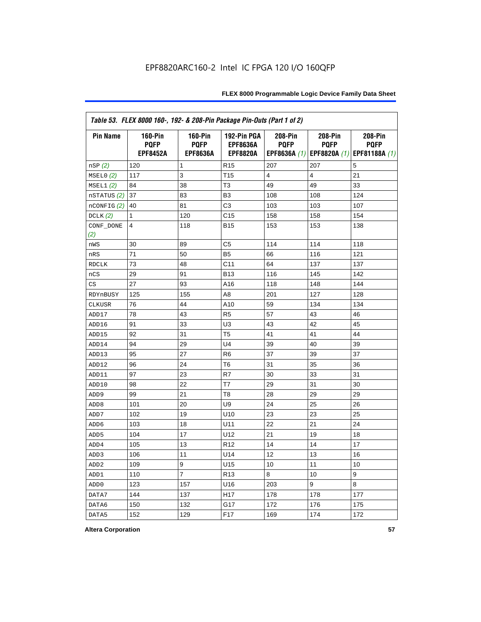| Table 53. FLEX 8000 160-, 192- & 208-Pin Package Pin-Outs (Part 1 of 2) |                                                  |                                                  |                                                   |                        |                        |                                                                   |
|-------------------------------------------------------------------------|--------------------------------------------------|--------------------------------------------------|---------------------------------------------------|------------------------|------------------------|-------------------------------------------------------------------|
| <b>Pin Name</b>                                                         | <b>160-Pin</b><br><b>PQFP</b><br><b>EPF8452A</b> | <b>160-Pin</b><br><b>PQFP</b><br><b>EPF8636A</b> | 192-Pin PGA<br><b>EPF8636A</b><br><b>EPF8820A</b> | 208-Pin<br><b>PQFP</b> | 208-Pin<br><b>PQFP</b> | 208-Pin<br><b>PQFP</b><br>EPF8636A (1) EPF8820A (1) EPF81188A (1) |
| nSP (2)                                                                 | 120                                              | 1                                                | R <sub>15</sub>                                   | 207                    | 207                    | 5                                                                 |
| MSELO(2)                                                                | 117                                              | 3                                                | T <sub>15</sub>                                   | 4                      | 4                      | 21                                                                |
| MSEL1(2)                                                                | 84                                               | 38                                               | T <sub>3</sub>                                    | 49                     | 49                     | 33                                                                |
| nSTATUS (2)                                                             | 37                                               | 83                                               | B <sub>3</sub>                                    | 108                    | 108                    | 124                                                               |
| nCONFIG (2)                                                             | 40                                               | 81                                               | C <sub>3</sub>                                    | 103                    | 103                    | 107                                                               |
| DCLK $(2)$                                                              | 1                                                | 120                                              | C <sub>15</sub>                                   | 158                    | 158                    | 154                                                               |
| CONF_DONE<br>(2)                                                        | 4                                                | 118                                              | <b>B15</b>                                        | 153                    | 153                    | 138                                                               |
| nWS                                                                     | 30                                               | 89                                               | C5                                                | 114                    | 114                    | 118                                                               |
| nRS                                                                     | 71                                               | 50                                               | B <sub>5</sub>                                    | 66                     | 116                    | 121                                                               |
| <b>RDCLK</b>                                                            | 73                                               | 48                                               | C <sub>11</sub>                                   | 64                     | 137                    | 137                                                               |
| nCS                                                                     | 29                                               | 91                                               | <b>B13</b>                                        | 116                    | 145                    | 142                                                               |
| CS                                                                      | 27                                               | 93                                               | A16                                               | 118                    | 148                    | 144                                                               |
| RDYnBUSY                                                                | 125                                              | 155                                              | A <sub>8</sub>                                    | 201                    | 127                    | 128                                                               |
| CLKUSR                                                                  | 76                                               | 44                                               | A10                                               | 59                     | 134                    | 134                                                               |
| ADD17                                                                   | 78                                               | 43                                               | R <sub>5</sub>                                    | 57                     | 43                     | 46                                                                |
| ADD16                                                                   | 91                                               | 33                                               | U <sub>3</sub>                                    | 43                     | 42                     | 45                                                                |
| ADD15                                                                   | 92                                               | 31                                               | T <sub>5</sub>                                    | 41                     | 41                     | 44                                                                |
| ADD14                                                                   | 94                                               | 29                                               | U <sub>4</sub>                                    | 39                     | 40                     | 39                                                                |
| ADD13                                                                   | 95                                               | 27                                               | R <sub>6</sub>                                    | 37                     | 39                     | 37                                                                |
| ADD12                                                                   | 96                                               | 24                                               | T <sub>6</sub>                                    | 31                     | 35                     | 36                                                                |
| ADD11                                                                   | 97                                               | 23                                               | R7                                                | 30                     | 33                     | 31                                                                |
| ADD10                                                                   | 98                                               | 22                                               | T7                                                | 29                     | 31                     | 30                                                                |
| ADD <sub>9</sub>                                                        | 99                                               | 21                                               | T <sub>8</sub>                                    | 28                     | 29                     | 29                                                                |
| ADD <sub>8</sub>                                                        | 101                                              | 20                                               | U <sub>9</sub>                                    | 24                     | 25                     | 26                                                                |
| ADD7                                                                    | 102                                              | 19                                               | U10                                               | 23                     | 23                     | 25                                                                |
| ADD <sub>6</sub>                                                        | 103                                              | 18                                               | U11                                               | 22                     | 21                     | 24                                                                |
| ADD <sub>5</sub>                                                        | 104                                              | 17                                               | U12                                               | 21                     | 19                     | 18                                                                |
| ADD4                                                                    | 105                                              | 13                                               | R <sub>12</sub>                                   | 14                     | 14                     | 17                                                                |
| ADD <sub>3</sub>                                                        | 106                                              | 11                                               | U14                                               | 12                     | 13                     | 16                                                                |
| ADD <sub>2</sub>                                                        | 109                                              | 9                                                | U15                                               | 10                     | 11                     | 10                                                                |
| ADD1                                                                    | 110                                              | $\overline{7}$                                   | R <sub>13</sub>                                   | 8                      | 10                     | 9                                                                 |
| ADD <sub>0</sub>                                                        | 123                                              | 157                                              | U16                                               | 203                    | 9                      | 8                                                                 |
| DATA7                                                                   | 144                                              | 137                                              | H <sub>17</sub>                                   | 178                    | 178                    | 177                                                               |
| DATA6                                                                   | 150                                              | 132                                              | G17                                               | 172                    | 176                    | 175                                                               |
| DATA5                                                                   | 152                                              | 129                                              | F <sub>17</sub>                                   | 169                    | 174                    | 172                                                               |

**Altera Corporation 57**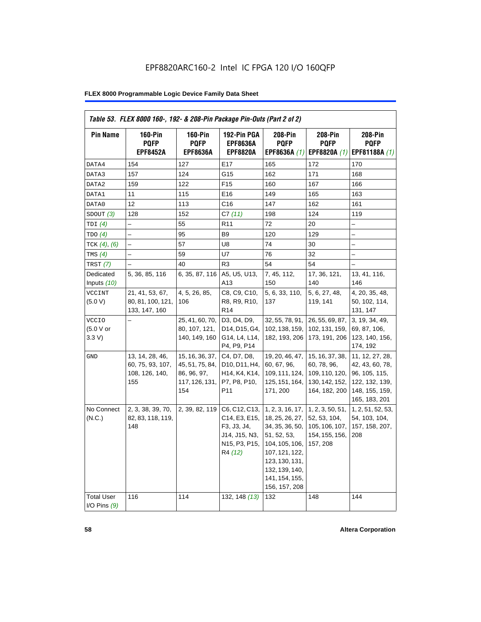| <b>Pin Name</b>                     | <b>160-Pin</b><br><b>PQFP</b><br><b>EPF8452A</b>             | $160-Pin$<br><b>PQFP</b><br><b>EPF8636A</b>                                | 192-Pin PGA<br><b>EPF8636A</b><br><b>EPF8820A</b>                                                                       | 208-Pin<br><b>PQFP</b><br>EPF8636A (1)                                                                                                                                           | <b>208-Pin</b><br><b>PQFP</b><br>EPF8820A (1)                                       | 208-Pin<br><b>PQFP</b><br>EPF81188A (1)                                                                  |
|-------------------------------------|--------------------------------------------------------------|----------------------------------------------------------------------------|-------------------------------------------------------------------------------------------------------------------------|----------------------------------------------------------------------------------------------------------------------------------------------------------------------------------|-------------------------------------------------------------------------------------|----------------------------------------------------------------------------------------------------------|
| DATA4                               | 154                                                          | 127                                                                        | E17                                                                                                                     | 165                                                                                                                                                                              | 172                                                                                 | 170                                                                                                      |
| DATA3                               | 157                                                          | 124                                                                        | G15                                                                                                                     | 162                                                                                                                                                                              | 171                                                                                 | 168                                                                                                      |
| DATA2                               | 159                                                          | 122                                                                        | F <sub>15</sub>                                                                                                         | 160                                                                                                                                                                              | 167                                                                                 | 166                                                                                                      |
| DATA1                               | 11                                                           | 115                                                                        | E16                                                                                                                     | 149                                                                                                                                                                              | 165                                                                                 | 163                                                                                                      |
| DATA0                               | 12                                                           | 113                                                                        | C16                                                                                                                     | 147                                                                                                                                                                              | 162                                                                                 | 161                                                                                                      |
| SDOUT(3)                            | 128                                                          | 152                                                                        | C7(11)                                                                                                                  | 198                                                                                                                                                                              | 124                                                                                 | 119                                                                                                      |
| TDI(4)                              |                                                              | 55                                                                         | R <sub>11</sub>                                                                                                         | 72                                                                                                                                                                               | 20                                                                                  |                                                                                                          |
| TDO(4)                              | $\overline{a}$                                               | 95                                                                         | B <sub>9</sub>                                                                                                          | 120                                                                                                                                                                              | 129                                                                                 | $\overline{\phantom{0}}$                                                                                 |
| TCK $(4)$ , $(6)$                   |                                                              | 57                                                                         | U8                                                                                                                      | 74                                                                                                                                                                               | 30                                                                                  |                                                                                                          |
| TMS $(4)$                           |                                                              | 59                                                                         | U7                                                                                                                      | 76                                                                                                                                                                               | 32                                                                                  | -                                                                                                        |
| TRST(7)                             |                                                              | 40                                                                         | R <sub>3</sub>                                                                                                          | 54                                                                                                                                                                               | 54                                                                                  |                                                                                                          |
| Dedicated<br>Inputs (10)            | 5, 36, 85, 116                                               | 6, 35, 87, 116                                                             | A5, U5, U13,<br>A13                                                                                                     | 7, 45, 112,<br>150                                                                                                                                                               | 17, 36, 121,<br>140                                                                 | 13, 41, 116,<br>146                                                                                      |
| <b>VCCINT</b><br>(5.0 V)            | 21, 41, 53, 67,<br>80, 81, 100, 121,<br>133, 147, 160        | 4, 5, 26, 85,<br>106                                                       | C8, C9, C10,<br>R8, R9, R10,<br>R <sub>14</sub>                                                                         | 5, 6, 33, 110,<br>137                                                                                                                                                            | 5, 6, 27, 48,<br>119, 141                                                           | 4, 20, 35, 48,<br>50, 102, 114,<br>131, 147                                                              |
| <b>VCCIO</b><br>(5.0 V or<br>3.3 V  |                                                              | 25, 41, 60, 70,<br>80, 107, 121,<br>140, 149, 160                          | D3, D4, D9,<br>D14, D15, G4,<br>G14, L4, L14,<br>P4, P9, P14                                                            | 32, 55, 78, 91,<br>102, 138, 159,<br>182, 193, 206                                                                                                                               | 26, 55, 69, 87,<br>102, 131, 159,<br>173, 191, 206                                  | 3, 19, 34, 49,<br>69, 87, 106,<br>123, 140, 156,<br>174, 192                                             |
| GND                                 | 13, 14, 28, 46,<br>60, 75, 93, 107,<br>108, 126, 140,<br>155 | 15, 16, 36, 37,<br>45, 51, 75, 84,<br>86, 96, 97,<br>117, 126, 131,<br>154 | C4, D7, D8,<br>D10, D11, H4,<br>H <sub>14</sub> , K <sub>4</sub> , K <sub>14</sub> ,<br>P7, P8, P10,<br>P <sub>11</sub> | 19, 20, 46, 47,<br>60, 67, 96,<br>109, 111, 124,<br>125, 151, 164,<br>171, 200                                                                                                   | 15, 16, 37, 38,<br>60, 78, 96,<br>109, 110, 120,<br>130, 142, 152,<br>164, 182, 200 | 11, 12, 27, 28,<br>42, 43, 60, 78,<br>96, 105, 115,<br>122, 132, 139,<br>148, 155, 159,<br>165, 183, 201 |
| No Connect<br>(N.C.)                | 2, 3, 38, 39, 70,<br>82, 83, 118, 119,<br>148                | 2, 39, 82, 119                                                             | C6, C12, C13,<br>C14, E3, E15,<br>F3, J3, J4,<br>J14, J15, N3,<br>N15, P3, P15,<br>R4 (12)                              | 1, 2, 3, 16, 17,<br>18, 25, 26, 27,<br>34, 35, 36, 50,<br>51, 52, 53,<br>104, 105, 106,<br>107, 121, 122,<br>123, 130, 131,<br>132, 139, 140,<br>141, 154, 155,<br>156, 157, 208 | 1, 2, 3, 50, 51,<br>52, 53, 104,<br>105, 106, 107,<br>154, 155, 156,<br>157, 208    | 1, 2, 51, 52, 53,<br>54, 103, 104,<br>157, 158, 207,<br>208                                              |
| <b>Total User</b><br>I/O Pins $(9)$ | 116                                                          | 114                                                                        | 132, 148 (13)                                                                                                           | 132                                                                                                                                                                              | 148                                                                                 | 144                                                                                                      |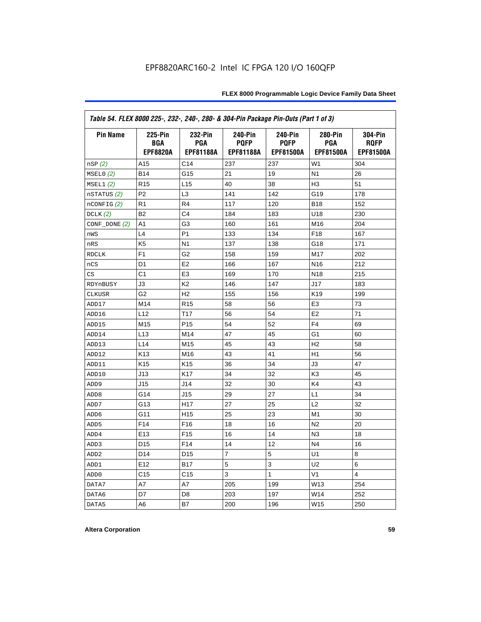| Table 54. FLEX 8000 225-, 232-, 240-, 280- & 304-Pin Package Pin-Outs (Part 1 of 3) |                                          |                                           |                                            |                                            |                                           |                                            |
|-------------------------------------------------------------------------------------|------------------------------------------|-------------------------------------------|--------------------------------------------|--------------------------------------------|-------------------------------------------|--------------------------------------------|
| <b>Pin Name</b>                                                                     | <b>225-Pin</b><br>BGA<br><b>EPF8820A</b> | 232-Pin<br><b>PGA</b><br><b>EPF81188A</b> | 240-Pin<br><b>PQFP</b><br><b>EPF81188A</b> | 240-Pin<br><b>PQFP</b><br><b>EPF81500A</b> | 280-Pin<br><b>PGA</b><br><b>EPF81500A</b> | 304-Pin<br><b>ROFP</b><br><b>EPF81500A</b> |
| nSP(2)                                                                              | A15                                      | C <sub>14</sub>                           | 237                                        | 237                                        | W <sub>1</sub>                            | 304                                        |
| MSELO(2)                                                                            | <b>B14</b>                               | G15                                       | 21                                         | 19                                         | N <sub>1</sub>                            | 26                                         |
| MSEL1(2)                                                                            | R <sub>15</sub>                          | L <sub>15</sub>                           | 40                                         | 38                                         | H <sub>3</sub>                            | 51                                         |
| nSTATUS (2)                                                                         | P <sub>2</sub>                           | L <sub>3</sub>                            | 141                                        | 142                                        | G19                                       | 178                                        |
| $n$ CONFIG $(2)$                                                                    | R <sub>1</sub>                           | R4                                        | 117                                        | 120                                        | <b>B18</b>                                | 152                                        |
| DCLK $(2)$                                                                          | <b>B2</b>                                | C <sub>4</sub>                            | 184                                        | 183                                        | U18                                       | 230                                        |
| $CONF\_DONE(2)$                                                                     | A1                                       | G3                                        | 160                                        | 161                                        | M16                                       | 204                                        |
| nWS                                                                                 | L4                                       | P <sub>1</sub>                            | 133                                        | 134                                        | F <sub>18</sub>                           | 167                                        |
| nRS                                                                                 | K <sub>5</sub>                           | N <sub>1</sub>                            | 137                                        | 138                                        | G18                                       | 171                                        |
| <b>RDCLK</b>                                                                        | F <sub>1</sub>                           | G <sub>2</sub>                            | 158                                        | 159                                        | M17                                       | 202                                        |
| nCS                                                                                 | D <sub>1</sub>                           | E <sub>2</sub>                            | 166                                        | 167                                        | N <sub>16</sub>                           | 212                                        |
| CS                                                                                  | C1                                       | E <sub>3</sub>                            | 169                                        | 170                                        | N <sub>18</sub>                           | 215                                        |
| RDYnBUSY                                                                            | JЗ                                       | K <sub>2</sub>                            | 146                                        | 147                                        | J17                                       | 183                                        |
| <b>CLKUSR</b>                                                                       | G <sub>2</sub>                           | H <sub>2</sub>                            | 155                                        | 156                                        | K19                                       | 199                                        |
| ADD17                                                                               | M14                                      | R <sub>15</sub>                           | 58                                         | 56                                         | E <sub>3</sub>                            | 73                                         |
| ADD16                                                                               | L12                                      | T <sub>17</sub>                           | 56                                         | 54                                         | E <sub>2</sub>                            | 71                                         |
| ADD15                                                                               | M15                                      | P <sub>15</sub>                           | 54                                         | 52                                         | F <sub>4</sub>                            | 69                                         |
| ADD14                                                                               | L13                                      | M14                                       | 47                                         | 45                                         | G1                                        | 60                                         |
| ADD13                                                                               | L14                                      | M15                                       | 45                                         | 43                                         | H <sub>2</sub>                            | 58                                         |
| ADD12                                                                               | K <sub>13</sub>                          | M16                                       | 43                                         | 41                                         | H1                                        | 56                                         |
| ADD11                                                                               | K <sub>15</sub>                          | K <sub>15</sub>                           | 36                                         | 34                                         | JЗ                                        | 47                                         |
| ADD10                                                                               | J13                                      | K <sub>17</sub>                           | 34                                         | 32                                         | K <sub>3</sub>                            | 45                                         |
| ADD <sub>9</sub>                                                                    | J15                                      | J14                                       | 32                                         | 30                                         | K4                                        | 43                                         |
| ADD <sub>8</sub>                                                                    | G14                                      | J15                                       | 29                                         | 27                                         | L1                                        | 34                                         |
| ADD7                                                                                | G13                                      | H <sub>17</sub>                           | 27                                         | 25                                         | L2                                        | 32                                         |
| ADD <sub>6</sub>                                                                    | G11                                      | H <sub>15</sub>                           | 25                                         | 23                                         | M1                                        | 30                                         |
| ADD <sub>5</sub>                                                                    | F14                                      | F16                                       | 18                                         | 16                                         | N <sub>2</sub>                            | 20                                         |
| ADD4                                                                                | E13                                      | F <sub>15</sub>                           | 16                                         | 14                                         | N <sub>3</sub>                            | 18                                         |
| ADD3                                                                                | D <sub>15</sub>                          | F <sub>14</sub>                           | 14                                         | 12                                         | N <sub>4</sub>                            | 16                                         |
| ADD <sub>2</sub>                                                                    | D <sub>14</sub>                          | D <sub>15</sub>                           | 7                                          | 5                                          | U1                                        | 8                                          |
| ADD1                                                                                | E <sub>12</sub>                          | <b>B17</b>                                | 5                                          | 3                                          | U <sub>2</sub>                            | 6                                          |
| ADD <sub>0</sub>                                                                    | C15                                      | C <sub>15</sub>                           | 3                                          | 1                                          | V <sub>1</sub>                            | 4                                          |
| DATA7                                                                               | A7                                       | A7                                        | 205                                        | 199                                        | W13                                       | 254                                        |
| DATA6                                                                               | D7                                       | D <sub>8</sub>                            | 203                                        | 197                                        | W14                                       | 252                                        |
| DATA5                                                                               | A6                                       | B7                                        | 200                                        | 196                                        | W15                                       | 250                                        |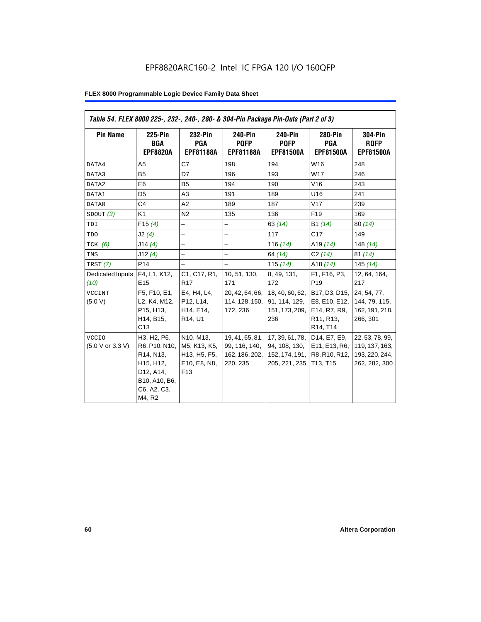| Table 54. FLEX 8000 225-, 232-, 240-, 280- & 304-Pin Package Pin-Outs (Part 2 of 3) |                                                                                                                                         |                                                                                                                     |                                                                |                                                                     |                                                                                                                            |                                                                      |
|-------------------------------------------------------------------------------------|-----------------------------------------------------------------------------------------------------------------------------------------|---------------------------------------------------------------------------------------------------------------------|----------------------------------------------------------------|---------------------------------------------------------------------|----------------------------------------------------------------------------------------------------------------------------|----------------------------------------------------------------------|
| <b>Pin Name</b>                                                                     | 225-Pin<br><b>BGA</b><br><b>EPF8820A</b>                                                                                                | 232-Pin<br><b>PGA</b><br><b>EPF81188A</b>                                                                           | 240-Pin<br><b>POFP</b><br><b>EPF81188A</b>                     | 240-Pin<br><b>POFP</b><br><b>EPF81500A</b>                          | <b>280-Pin</b><br><b>PGA</b><br><b>EPF81500A</b>                                                                           | <b>304-Pin</b><br><b>RQFP</b><br><b>EPF81500A</b>                    |
| DATA4                                                                               | A <sub>5</sub>                                                                                                                          | C7                                                                                                                  | 198                                                            | 194                                                                 | W16                                                                                                                        | 248                                                                  |
| DATA3                                                                               | B <sub>5</sub>                                                                                                                          | D7                                                                                                                  | 196                                                            | 193                                                                 | W17                                                                                                                        | 246                                                                  |
| DATA2                                                                               | E <sub>6</sub>                                                                                                                          | B <sub>5</sub>                                                                                                      | 194                                                            | 190                                                                 | V16                                                                                                                        | 243                                                                  |
| DATA1                                                                               | D <sub>5</sub>                                                                                                                          | A3                                                                                                                  | 191                                                            | 189                                                                 | U16                                                                                                                        | 241                                                                  |
| DATA0                                                                               | C <sub>4</sub>                                                                                                                          | A2                                                                                                                  | 189                                                            | 187                                                                 | V17                                                                                                                        | 239                                                                  |
| SDOUT(3)                                                                            | K <sub>1</sub>                                                                                                                          | N <sub>2</sub>                                                                                                      | 135                                                            | 136                                                                 | F <sub>19</sub>                                                                                                            | 169                                                                  |
| TDI                                                                                 | F15(4)                                                                                                                                  | -                                                                                                                   | -                                                              | 63(14)                                                              | B1 (14)                                                                                                                    | 80(14)                                                               |
| TDO                                                                                 | J2(4)                                                                                                                                   |                                                                                                                     |                                                                | 117                                                                 | C17                                                                                                                        | 149                                                                  |
| $TCK$ (6)                                                                           | J14(4)                                                                                                                                  | $\overline{\phantom{0}}$                                                                                            | $\overline{\phantom{0}}$                                       | 116 $(14)$                                                          | A <sub>19</sub> $(14)$                                                                                                     | 148 $(14)$                                                           |
| TMS                                                                                 | J12(4)                                                                                                                                  | $\overline{\phantom{0}}$                                                                                            | $\overline{\phantom{0}}$                                       | 64 (14)                                                             | C2(14)                                                                                                                     | 81(14)                                                               |
| TRST (7)                                                                            | P <sub>14</sub>                                                                                                                         |                                                                                                                     | $\overline{\phantom{0}}$                                       | 115 $(14)$                                                          | A18 $(14)$                                                                                                                 | 145(14)                                                              |
| Dedicated Inputs<br>(10)                                                            | F4, L1, K12,<br>E <sub>15</sub>                                                                                                         | C <sub>1</sub> , C <sub>17</sub> , R <sub>1</sub> ,<br>R <sub>17</sub>                                              | 10, 51, 130,<br>171                                            | 8, 49, 131,<br>172                                                  | F1, F16, P3,<br>P <sub>19</sub>                                                                                            | 12, 64, 164,<br>217                                                  |
| <b>VCCINT</b><br>(5.0 V)                                                            | F5, F10, E1,<br>L2, K4, M12,<br>P15, H13,<br>H14, B15,<br>C13                                                                           | E4, H4, L4,<br>P12, L14,<br>H14, E14,<br>R14, U1                                                                    | 20, 42, 64, 66,<br>114, 128, 150,<br>172, 236                  | 18, 40, 60, 62,<br>91, 114, 129,<br>151, 173, 209,<br>236           | B17, D3, D15,<br>E8, E10, E12,<br>E14, R7, R9,<br>R <sub>11</sub> , R <sub>13</sub> ,<br>R <sub>14</sub> , T <sub>14</sub> | 24, 54, 77,<br>144, 79, 115,<br>162, 191, 218,<br>266, 301           |
| <b>VCCIO</b><br>(5.0 V or 3.3 V)                                                    | H3, H2, P6,<br>R6, P10, N10,<br>R <sub>14</sub> , N <sub>13</sub> ,<br>H15, H12,<br>D12, A14,<br>B10, A10, B6,<br>C6, A2, C3,<br>M4, R2 | N10, M13,<br>M5, K13, K5,<br>H <sub>13</sub> , H <sub>5</sub> , F <sub>5</sub> ,<br>E10, E8, N8,<br>F <sub>13</sub> | 19, 41, 65, 81,<br>99, 116, 140,<br>162, 186, 202,<br>220, 235 | 17, 39, 61, 78,<br>94, 108, 130,<br>152, 174, 191,<br>205, 221, 235 | D14, E7, E9,<br>E11, E13, R6,<br>R8, R10, R12,<br>T13, T15                                                                 | 22, 53, 78, 99,<br>119, 137, 163,<br>193, 220, 244,<br>262, 282, 300 |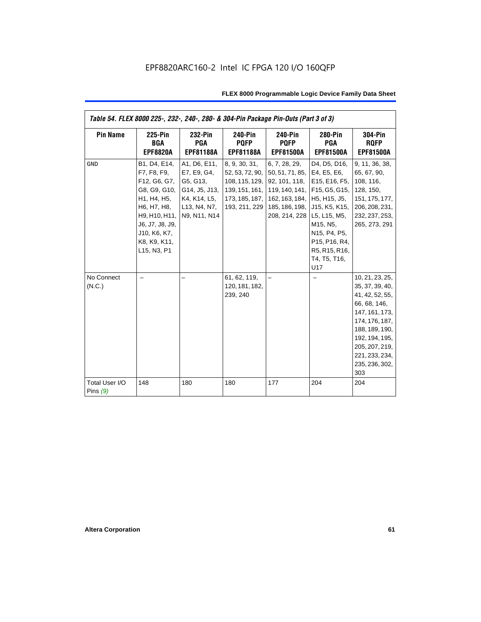| Table 54. FLEX 8000 225-, 232-, 240-, 280- & 304-Pin Package Pin-Outs (Part 3 of 3) |                                                                                                                                                                              |                                                                                                          |                                                                                                         |                                                                                                                                                              |                                                                                                                                                                              |                                                                                                                                                                                                            |
|-------------------------------------------------------------------------------------|------------------------------------------------------------------------------------------------------------------------------------------------------------------------------|----------------------------------------------------------------------------------------------------------|---------------------------------------------------------------------------------------------------------|--------------------------------------------------------------------------------------------------------------------------------------------------------------|------------------------------------------------------------------------------------------------------------------------------------------------------------------------------|------------------------------------------------------------------------------------------------------------------------------------------------------------------------------------------------------------|
| <b>Pin Name</b>                                                                     | <b>225-Pin</b><br><b>BGA</b><br><b>EPF8820A</b>                                                                                                                              | 232-Pin<br><b>PGA</b><br><b>EPF81188A</b>                                                                | 240-Pin<br><b>PQFP</b><br><b>EPF81188A</b>                                                              | 240-Pin<br><b>PQFP</b><br><b>EPF81500A</b>                                                                                                                   | 280-Pin<br><b>PGA</b><br><b>EPF81500A</b>                                                                                                                                    | <b>304-Pin</b><br><b>ROFP</b><br><b>EPF81500A</b>                                                                                                                                                          |
| <b>GND</b>                                                                          | B1, D4, E14,<br>F7, F8, F9,<br>F12, G6, G7,<br>G8, G9, G10,<br>H1, H4, H5,<br>H6, H7, H8,<br>H9, H10, H11,<br>J6, J7, J8, J9,<br>J10, K6, K7,<br>K8, K9, K11,<br>L15, N3, P1 | A1, D6, E11,<br>E7, E9, G4,<br>G5, G13,<br>G14, J5, J13,<br>K4, K14, L5,<br>L13, N4, N7,<br>N9, N11, N14 | 8, 9, 30, 31,<br>52, 53, 72, 90,<br>108, 115, 129,<br>139, 151, 161,<br>173, 185, 187,<br>193, 211, 229 | 6, 7, 28, 29,<br>50, 51, 71, 85, E4, E5, E6,<br>92, 101, 118,<br>162, 163, 184, H5, H15, J5,<br>185, 186, 198, U15, K5, K15,<br>208, 214, 228   L5, L15, M5, | D4, D5, D16,<br>E15, E16, F5,<br>119, 140, 141, F15, G5, G15,<br>M <sub>15</sub> , N <sub>5</sub> ,<br>N15, P4, P5,<br>P15, P16, R4,<br>R5, R15, R16,<br>T4, T5, T16,<br>U17 | 9, 11, 36, 38,<br>65, 67, 90,<br>108, 116,<br>128, 150,<br>151, 175, 177,<br>206, 208, 231,<br>232, 237, 253,<br>265, 273, 291                                                                             |
| No Connect<br>(N.C.)                                                                |                                                                                                                                                                              |                                                                                                          | 61, 62, 119,<br>120, 181, 182,<br>239, 240                                                              |                                                                                                                                                              |                                                                                                                                                                              | 10, 21, 23, 25,<br>35, 37, 39, 40,<br>41, 42, 52, 55,<br>66, 68, 146,<br>147, 161, 173,<br>174, 176, 187,<br>188, 189, 190,<br>192, 194, 195,<br>205, 207, 219,<br>221, 233, 234,<br>235, 236, 302,<br>303 |
| Total User I/O<br>Pins $(9)$                                                        | 148                                                                                                                                                                          | 180                                                                                                      | 180                                                                                                     | 177                                                                                                                                                          | 204                                                                                                                                                                          | 204                                                                                                                                                                                                        |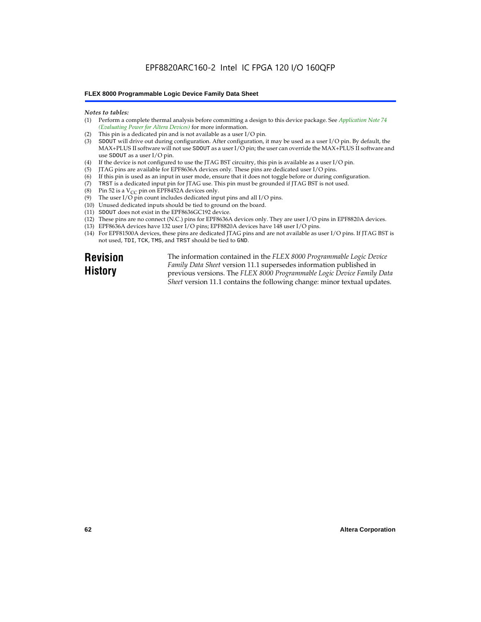### EPF8820ARC160-2 Intel IC FPGA 120 I/O 160QFP

### **FLEX 8000 Programmable Logic Device Family Data Sheet**

#### *Notes to tables:*

- (1) Perform a complete thermal analysis before committing a design to this device package. See *Application Note 74 (Evaluating Power for Altera Devices)* for more information.
- (2) This pin is a dedicated pin and is not available as a user I/O pin.
- (3) SDOUT will drive out during configuration. After configuration, it may be used as a user I/O pin. By default, the MAX+PLUS II software will not use SDOUT as a user I/O pin; the user can override the MAX+PLUS II software and use SDOUT as a user I/O pin.
- (4) If the device is not configured to use the JTAG BST circuitry, this pin is available as a user I/O pin.
- (5) JTAG pins are available for EPF8636A devices only. These pins are dedicated user I/O pins.
- (6) If this pin is used as an input in user mode, ensure that it does not toggle before or during configuration.
- (7) TRST is a dedicated input pin for JTAG use. This pin must be grounded if JTAG BST is not used.
- (8) Pin 52 is a  $V_{CC}$  pin on EPF8452A devices only.
- (9) The user I/O pin count includes dedicated input pins and all I/O pins.
- (10) Unused dedicated inputs should be tied to ground on the board.
- (11) SDOUT does not exist in the EPF8636GC192 device.
- (12) These pins are no connect (N.C.) pins for EPF8636A devices only. They are user I/O pins in EPF8820A devices.
- (13) EPF8636A devices have 132 user I/O pins; EPF8820A devices have 148 user I/O pins.
- (14) For EPF81500A devices, these pins are dedicated JTAG pins and are not available as user I/O pins. If JTAG BST is not used, TDI, TCK, TMS, and TRST should be tied to GND.

**Revision History**

The information contained in the *FLEX 8000 Programmable Logic Device Family Data Sheet* version 11.1 supersedes information published in previous versions. The *FLEX 8000 Programmable Logic Device Family Data Sheet* version 11.1 contains the following change: minor textual updates.